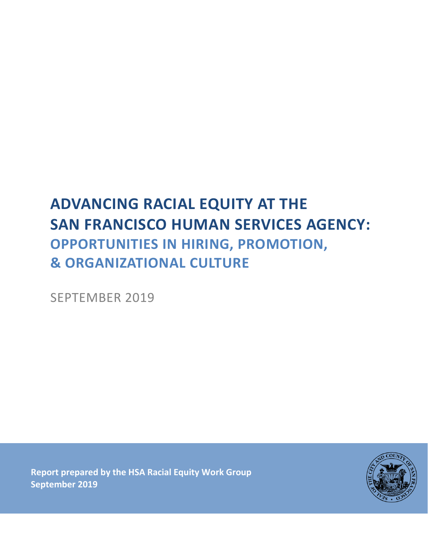# **ADVANCING RACIAL EQUITY AT THE SAN FRANCISCO HUMAN SERVICES AGENCY: OPPORTUNITIES IN HIRING, PROMOTION, & ORGANIZATIONAL CULTURE**

SEPTEMBER 2019

**Report prepared by the HSA Racial Equity Work Group September 2019**

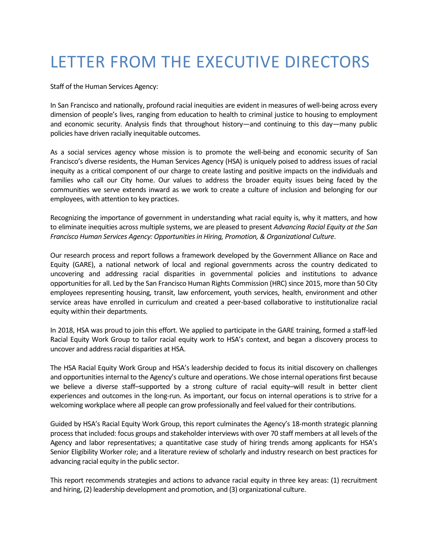# LETTER FROM THE EXECUTIVE DIRECTORS

Staff of the Human Services Agency:

In San Francisco and nationally, profound racial inequities are evident in measures of well-being across every dimension of people's lives, ranging from education to health to criminal justice to housing to employment and economic security. Analysis finds that throughout history—and continuing to this day—many public policies have driven racially inequitable outcomes.

As a social services agency whose mission is to promote the well-being and economic security of San Francisco's diverse residents, the Human Services Agency (HSA) is uniquely poised to address issues of racial inequity as a critical component of our charge to create lasting and positive impacts on the individuals and families who call our City home. Our values to address the broader equity issues being faced by the communities we serve extends inward as we work to create a culture of inclusion and belonging for our employees, with attention to key practices.

Recognizing the importance of government in understanding what racial equity is, why it matters, and how to eliminate inequities across multiple systems, we are pleased to present *Advancing Racial Equity at the San Francisco Human Services Agency: Opportunities in Hiring, Promotion, & Organizational Culture*.

Our research process and report follows a framework developed by the Government Alliance on Race and Equity (GARE), a national network of local and regional governments across the country dedicated to uncovering and addressing racial disparities in governmental policies and institutions to advance opportunities for all. Led by the San Francisco Human Rights Commission (HRC) since 2015, more than 50 City employees representing housing, transit, law enforcement, youth services, health, environment and other service areas have enrolled in curriculum and created a peer-based collaborative to institutionalize racial equity within their departments.

In 2018, HSA was proud to join this effort. We applied to participate in the GARE training, formed a staff-led Racial Equity Work Group to tailor racial equity work to HSA's context, and began a discovery process to uncover and address racial disparities at HSA.

The HSA Racial Equity Work Group and HSA's leadership decided to focus its initial discovery on challenges and opportunities internal to the Agency's culture and operations. We chose internal operations first because we believe a diverse staff–supported by a strong culture of racial equity–will result in better client experiences and outcomes in the long-run. As important, our focus on internal operations is to strive for a welcoming workplace where all people can grow professionally and feel valued for their contributions.

Guided by HSA's Racial Equity Work Group, this report culminates the Agency's 18-month strategic planning process that included: focus groups and stakeholder interviews with over 70 staff members at all levels of the Agency and labor representatives; a quantitative case study of hiring trends among applicants for HSA's Senior Eligibility Worker role; and a literature review of scholarly and industry research on best practices for advancing racial equity in the public sector.

This report recommends strategies and actions to advance racial equity in three key areas: (1) recruitment and hiring, (2) leadership development and promotion, and (3) organizational culture.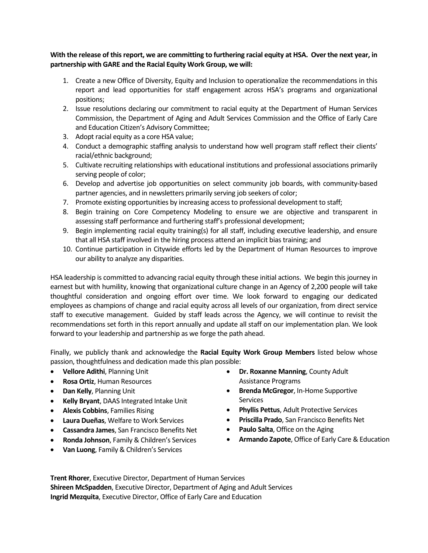### **With the release of this report, we are committing to furthering racial equity at HSA. Over the next year, in partnership with GARE and the Racial Equity Work Group, we will:**

- 1. Create a new Office of Diversity, Equity and Inclusion to operationalize the recommendations in this report and lead opportunities for staff engagement across HSA's programs and organizational positions;
- 2. Issue resolutions declaring our commitment to racial equity at the Department of Human Services Commission, the Department of Aging and Adult Services Commission and the Office of Early Care and Education Citizen's Advisory Committee;
- 3. Adopt racial equity as a core HSA value;
- 4. Conduct a demographic staffing analysis to understand how well program staff reflect their clients' racial/ethnic background;
- 5. Cultivate recruiting relationships with educational institutions and professional associations primarily serving people of color;
- 6. Develop and advertise job opportunities on select community job boards, with community-based partner agencies, and in newsletters primarily serving job seekers of color;
- 7. Promote existing opportunities by increasing access to professional development to staff;
- 8. Begin training on Core Competency Modeling to ensure we are objective and transparent in assessing staff performance and furthering staff's professional development;
- 9. Begin implementing racial equity training(s) for all staff, including executive leadership, and ensure that all HSA staff involved in the hiring process attend an implicit bias training; and
- 10. Continue participation in Citywide efforts led by the Department of Human Resources to improve our ability to analyze any disparities.

HSA leadership is committed to advancing racial equity through these initial actions. We begin this journey in earnest but with humility, knowing that organizational culture change in an Agency of 2,200 people will take thoughtful consideration and ongoing effort over time. We look forward to engaging our dedicated employees as champions of change and racial equity across all levels of our organization, from direct service staff to executive management. Guided by staff leads across the Agency, we will continue to revisit the recommendations set forth in this report annually and update all staff on our implementation plan. We look forward to your leadership and partnership as we forge the path ahead.

Finally, we publicly thank and acknowledge the **Racial Equity Work Group Members** listed below whose passion, thoughtfulness and dedication made this plan possible:

- **Vellore Adithi**, Planning Unit
- **Rosa Ortiz**, Human Resources
- **Dan Kelly**, Planning Unit
- **Kelly Bryant**, DAAS Integrated Intake Unit
- **Alexis Cobbins**, Families Rising
- **Laura Dueñas**, Welfare to Work Services
- **Cassandra James**, San Francisco Benefits Net
- **Ronda Johnson**, Family & Children's Services
- **Van Luong**, Family & Children's Services
- **Dr. Roxanne Manning**, County Adult Assistance Programs
- **Brenda McGregor**, In-Home Supportive **Services**
- **Phyllis Pettus**, Adult Protective Services
- **Priscilla Prado**, San Francisco Benefits Net
- **Paulo Salta**, Office on the Aging
- **Armando Zapote**, Office of Early Care & Education

**Trent Rhorer**, Executive Director, Department of Human Services **Shireen McSpadden**, Executive Director, Department of Aging and Adult Services **Ingrid Mezquita**, Executive Director, Office of Early Care and Education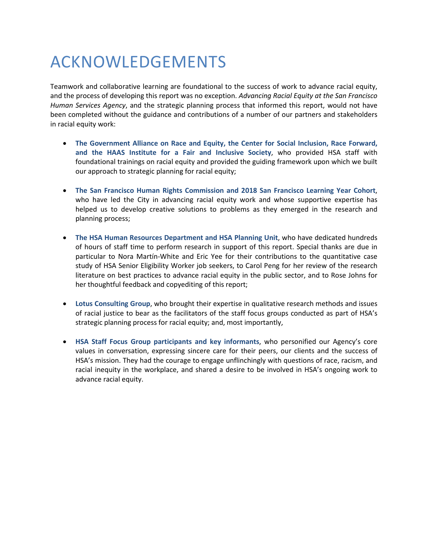# ACKNOWLEDGEMENTS

Teamwork and collaborative learning are foundational to the success of work to advance racial equity, and the process of developing this report was no exception. *Advancing Racial Equity at the San Francisco Human Services Agency*, and the strategic planning process that informed this report, would not have been completed without the guidance and contributions of a number of our partners and stakeholders in racial equity work:

- **The Government Alliance on Race and Equity, the Center for Social Inclusion, Race Forward, and the HAAS Institute for a Fair and Inclusive Society**, who provided HSA staff with foundational trainings on racial equity and provided the guiding framework upon which we built our approach to strategic planning for racial equity;
- **The San Francisco Human Rights Commission and 2018 San Francisco Learning Year Cohort**, who have led the City in advancing racial equity work and whose supportive expertise has helped us to develop creative solutions to problems as they emerged in the research and planning process;
- **The HSA Human Resources Department and HSA Planning Unit**, who have dedicated hundreds of hours of staff time to perform research in support of this report. Special thanks are due in particular to Nora Martín-White and Eric Yee for their contributions to the quantitative case study of HSA Senior Eligibility Worker job seekers, to Carol Peng for her review of the research literature on best practices to advance racial equity in the public sector, and to Rose Johns for her thoughtful feedback and copyediting of this report;
- **Lotus Consulting Group**, who brought their expertise in qualitative research methods and issues of racial justice to bear as the facilitators of the staff focus groups conducted as part of HSA's strategic planning process for racial equity; and, most importantly,
- **HSA Staff Focus Group participants and key informants**, who personified our Agency's core values in conversation, expressing sincere care for their peers, our clients and the success of HSA's mission. They had the courage to engage unflinchingly with questions of race, racism, and racial inequity in the workplace, and shared a desire to be involved in HSA's ongoing work to advance racial equity.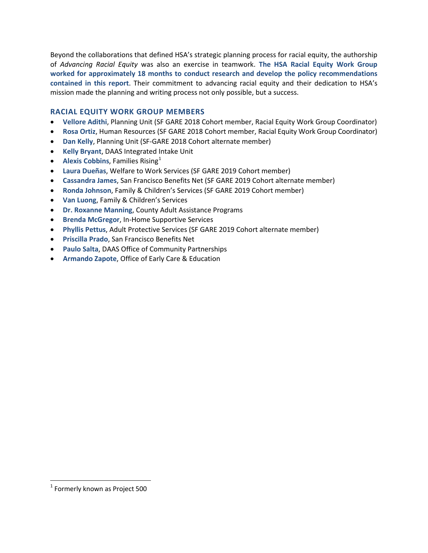Beyond the collaborations that defined HSA's strategic planning process for racial equity, the authorship of *Advancing Racial Equity* was also an exercise in teamwork. **The HSA Racial Equity Work Group worked for approximately 18 months to conduct research and develop the policy recommendations contained in this report**. Their commitment to advancing racial equity and their dedication to HSA's mission made the planning and writing process not only possible, but a success.

### **RACIAL EQUITY WORK GROUP MEMBERS**

- **Vellore Adithi**, Planning Unit (SF GARE 2018 Cohort member, Racial Equity Work Group Coordinator)
- **Rosa Ortiz**, Human Resources (SF GARE 2018 Cohort member, Racial Equity Work Group Coordinator)
- **Dan Kelly**, Planning Unit (SF-GARE 2018 Cohort alternate member)
- **Kelly Bryant**, DAAS Integrated Intake Unit
- **Alexis Cobbins**, Families Rising<sup>[1](#page-4-0)</sup>
- **Laura Dueñas**, Welfare to Work Services (SF GARE 2019 Cohort member)
- **Cassandra James**, San Francisco Benefits Net (SF GARE 2019 Cohort alternate member)
- **Ronda Johnson**, Family & Children's Services (SF GARE 2019 Cohort member)
- **Van Luong**, Family & Children's Services
- **Dr. Roxanne Manning**, County Adult Assistance Programs
- **Brenda McGregor**, In-Home Supportive Services
- **Phyllis Pettus**, Adult Protective Services (SF GARE 2019 Cohort alternate member)
- **Priscilla Prado**, San Francisco Benefits Net
- **Paulo Salta**, DAAS Office of Community Partnerships
- **Armando Zapote**, Office of Early Care & Education

<span id="page-4-0"></span> $<sup>1</sup>$  Formerly known as Project 500</sup>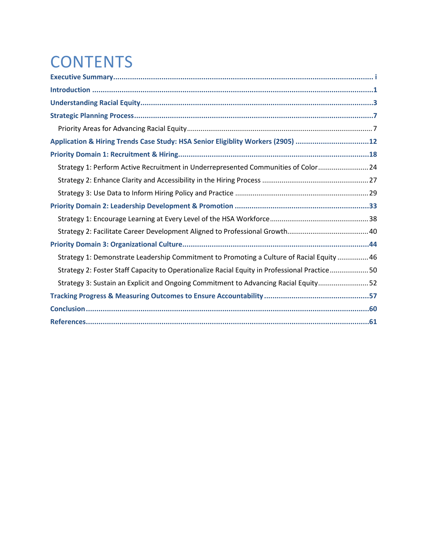# **CONTENTS**

| Application & Hiring Trends Case Study: HSA Senior Eligiblity Workers (2905) 12              |
|----------------------------------------------------------------------------------------------|
|                                                                                              |
| Strategy 1: Perform Active Recruitment in Underrepresented Communities of Color 24           |
|                                                                                              |
|                                                                                              |
|                                                                                              |
|                                                                                              |
|                                                                                              |
|                                                                                              |
| Strategy 1: Demonstrate Leadership Commitment to Promoting a Culture of Racial Equity  46    |
| Strategy 2: Foster Staff Capacity to Operationalize Racial Equity in Professional Practice50 |
| Strategy 3: Sustain an Explicit and Ongoing Commitment to Advancing Racial Equity 52         |
|                                                                                              |
|                                                                                              |
|                                                                                              |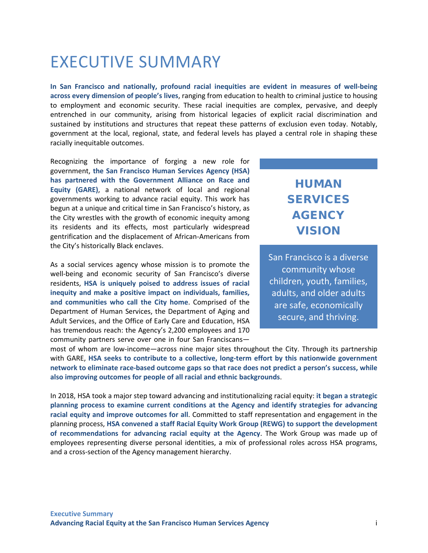# <span id="page-6-0"></span>EXECUTIVE SUMMARY

**In San Francisco and nationally, profound racial inequities are evident in measures of well-being across every dimension of people's lives**, ranging from education to health to criminal justice to housing to employment and economic security. These racial inequities are complex, pervasive, and deeply entrenched in our community, arising from historical legacies of explicit racial discrimination and sustained by institutions and structures that repeat these patterns of exclusion even today. Notably, government at the local, regional, state, and federal levels has played a central role in shaping these racially inequitable outcomes.

Recognizing the importance of forging a new role for government, **the San Francisco Human Services Agency (HSA) has partnered with the Government Alliance on Race and Equity (GARE)**, a national network of local and regional governments working to advance racial equity. This work has begun at a unique and critical time in San Francisco's history, as the City wrestles with the growth of economic inequity among its residents and its effects, most particularly widespread gentrification and the displacement of African-Americans from the City's historically Black enclaves.

As a social services agency whose mission is to promote the well-being and economic security of San Francisco's diverse residents, **HSA is uniquely poised to address issues of racial inequity and make a positive impact on individuals, families, and communities who call the City home**. Comprised of the Department of Human Services, the Department of Aging and Adult Services, and the Office of Early Care and Education, HSA has tremendous reach: the Agency's 2,200 employees and 170 community partners serve over one in four San Franciscans—

## HUMAN SERVICES **AGENCY** VISION

San Francisco is a diverse community whose children, youth, families, adults, and older adults are safe, economically secure, and thriving.

most of whom are low-income—across nine major sites throughout the City. Through its partnership with GARE, **HSA seeks to contribute to a collective, long-term effort by this nationwide government network to eliminate race-based outcome gaps so that race does not predict a person's success, while also improving outcomes for people of all racial and ethnic backgrounds**.

In 2018, HSA took a major step toward advancing and institutionalizing racial equity: **it began a strategic planning process to examine current conditions at the Agency and identify strategies for advancing racial equity and improve outcomes for all**. Committed to staff representation and engagement in the planning process, **HSA convened a staff Racial Equity Work Group (REWG) to support the development of recommendations for advancing racial equity at the Agency**. The Work Group was made up of employees representing diverse personal identities, a mix of professional roles across HSA programs, and a cross-section of the Agency management hierarchy.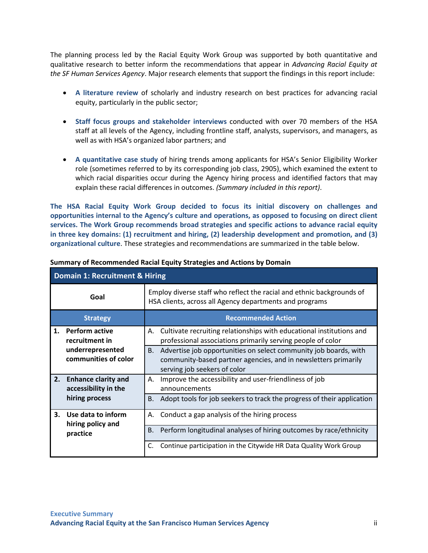The planning process led by the Racial Equity Work Group was supported by both quantitative and qualitative research to better inform the recommendations that appear in *Advancing Racial Equity at the SF Human Services Agency*. Major research elements that support the findings in this report include:

- **A literature review** of scholarly and industry research on best practices for advancing racial equity, particularly in the public sector;
- **Staff focus groups and stakeholder interviews** conducted with over 70 members of the HSA staff at all levels of the Agency, including frontline staff, analysts, supervisors, and managers, as well as with HSA's organized labor partners; and
- **A quantitative case study** of hiring trends among applicants for HSA's Senior Eligibility Worker role (sometimes referred to by its corresponding job class, 2905), which examined the extent to which racial disparities occur during the Agency hiring process and identified factors that may explain these racial differences in outcomes. *(Summary included in this report)*.

**The HSA Racial Equity Work Group decided to focus its initial discovery on challenges and opportunities internal to the Agency's culture and operations, as opposed to focusing on direct client services. The Work Group recommends broad strategies and specific actions to advance racial equity in three key domains: (1) recruitment and hiring, (2) leadership development and promotion, and (3) organizational culture**. These strategies and recommendations are summarized in the table below.

|                | <b>Domain 1: Recruitment &amp; Hiring</b>          |                                                                                                                                                                          |  |  |  |
|----------------|----------------------------------------------------|--------------------------------------------------------------------------------------------------------------------------------------------------------------------------|--|--|--|
|                | Goal                                               | Employ diverse staff who reflect the racial and ethnic backgrounds of<br>HSA clients, across all Agency departments and programs                                         |  |  |  |
|                | <b>Strategy</b>                                    | <b>Recommended Action</b>                                                                                                                                                |  |  |  |
| 1.             | <b>Perform active</b><br>recruitment in            | Cultivate recruiting relationships with educational institutions and<br>А.<br>professional associations primarily serving people of color                                |  |  |  |
|                | underrepresented<br>communities of color           | Advertise job opportunities on select community job boards, with<br>В.<br>community-based partner agencies, and in newsletters primarily<br>serving job seekers of color |  |  |  |
| 2.             | <b>Enhance clarity and</b><br>accessibility in the | Improve the accessibility and user-friendliness of job<br>А.<br>announcements                                                                                            |  |  |  |
| hiring process |                                                    | Adopt tools for job seekers to track the progress of their application<br>B.                                                                                             |  |  |  |
| 3.             | Use data to inform<br>hiring policy and            | Conduct a gap analysis of the hiring process<br>А.                                                                                                                       |  |  |  |
|                | practice                                           | Perform longitudinal analyses of hiring outcomes by race/ethnicity<br>В.                                                                                                 |  |  |  |
|                |                                                    | Continue participation in the Citywide HR Data Quality Work Group<br>C.                                                                                                  |  |  |  |

#### **Summary of Recommended Racial Equity Strategies and Actions by Domain**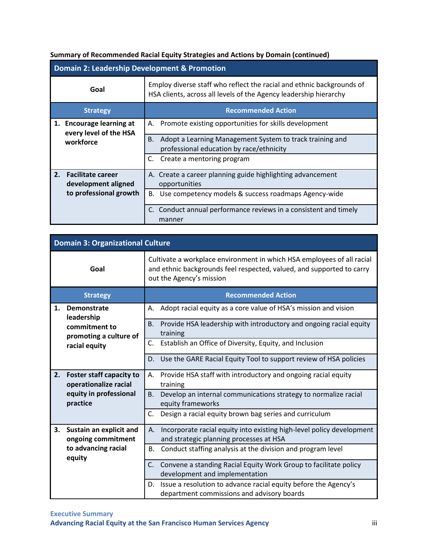### **Summary of Recommended Racial Equity Strategies and Actions by Domain (continued)**

|                                                                                        | <b>Domain 2: Leadership Development &amp; Promotion</b>     |                                                                                                                                            |  |  |
|----------------------------------------------------------------------------------------|-------------------------------------------------------------|--------------------------------------------------------------------------------------------------------------------------------------------|--|--|
|                                                                                        | Goal                                                        | Employ diverse staff who reflect the racial and ethnic backgrounds of<br>HSA clients, across all levels of the Agency leadership hierarchy |  |  |
|                                                                                        | <b>Strategy</b>                                             | <b>Recommended Action</b>                                                                                                                  |  |  |
| 1. Encourage learning at<br>every level of the HSA<br>workforce                        | Promote existing opportunities for skills development<br>А. |                                                                                                                                            |  |  |
|                                                                                        |                                                             | Adopt a Learning Management System to track training and<br>В.<br>professional education by race/ethnicity                                 |  |  |
|                                                                                        |                                                             | Create a mentoring program<br>C.                                                                                                           |  |  |
| 2. Facilitate career<br>development aligned<br>opportunities<br>to professional growth |                                                             | A. Create a career planning guide highlighting advancement                                                                                 |  |  |
|                                                                                        |                                                             | B. Use competency models & success roadmaps Agency-wide                                                                                    |  |  |
|                                                                                        |                                                             | Conduct annual performance reviews in a consistent and timely<br>manner                                                                    |  |  |

|                                                                                                      | <b>Domain 3: Organizational Culture</b>       |                                                                                                                                                                             |  |  |  |
|------------------------------------------------------------------------------------------------------|-----------------------------------------------|-----------------------------------------------------------------------------------------------------------------------------------------------------------------------------|--|--|--|
|                                                                                                      | Goal                                          | Cultivate a workplace environment in which HSA employees of all racial<br>and ethnic backgrounds feel respected, valued, and supported to carry<br>out the Agency's mission |  |  |  |
|                                                                                                      | <b>Strategy</b>                               | <b>Recommended Action</b>                                                                                                                                                   |  |  |  |
| 1.                                                                                                   | Demonstrate<br>leadership                     | Adopt racial equity as a core value of HSA's mission and vision<br>Α.                                                                                                       |  |  |  |
|                                                                                                      | commitment to<br>promoting a culture of       | B.<br>Provide HSA leadership with introductory and ongoing racial equity<br>training                                                                                        |  |  |  |
|                                                                                                      | racial equity                                 | C.<br>Establish an Office of Diversity, Equity, and Inclusion                                                                                                               |  |  |  |
|                                                                                                      |                                               | Use the GARE Racial Equity Tool to support review of HSA policies<br>D.                                                                                                     |  |  |  |
| 2.<br><b>Foster staff capacity to</b><br>operationalize racial<br>equity in professional<br>practice |                                               | Provide HSA staff with introductory and ongoing racial equity<br>А.<br>training                                                                                             |  |  |  |
|                                                                                                      |                                               | Develop an internal communications strategy to normalize racial<br>В.<br>equity frameworks                                                                                  |  |  |  |
|                                                                                                      |                                               | C.<br>Design a racial equity brown bag series and curriculum                                                                                                                |  |  |  |
| 3.                                                                                                   | Sustain an explicit and<br>ongoing commitment | Incorporate racial equity into existing high-level policy development<br>А.<br>and strategic planning processes at HSA                                                      |  |  |  |
| to advancing racial<br>equity                                                                        |                                               | Conduct staffing analysis at the division and program level<br><b>B.</b>                                                                                                    |  |  |  |
|                                                                                                      |                                               | Convene a standing Racial Equity Work Group to facilitate policy<br>C.<br>development and implementation                                                                    |  |  |  |
|                                                                                                      |                                               | Issue a resolution to advance racial equity before the Agency's<br>D.<br>department commissions and advisory boards                                                         |  |  |  |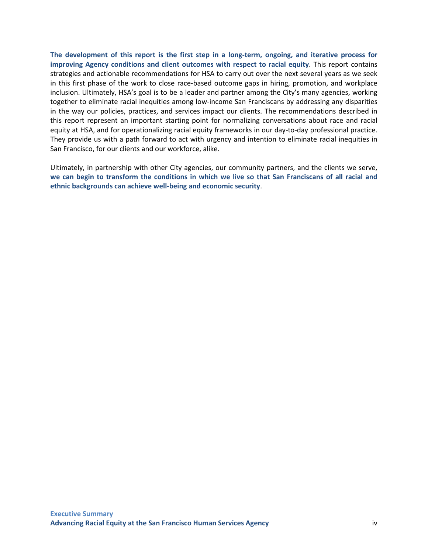**The development of this report is the first step in a long-term, ongoing, and iterative process for improving Agency conditions and client outcomes with respect to racial equity**. This report contains strategies and actionable recommendations for HSA to carry out over the next several years as we seek in this first phase of the work to close race-based outcome gaps in hiring, promotion, and workplace inclusion. Ultimately, HSA's goal is to be a leader and partner among the City's many agencies, working together to eliminate racial inequities among low-income San Franciscans by addressing any disparities in the way our policies, practices, and services impact our clients. The recommendations described in this report represent an important starting point for normalizing conversations about race and racial equity at HSA, and for operationalizing racial equity frameworks in our day-to-day professional practice. They provide us with a path forward to act with urgency and intention to eliminate racial inequities in San Francisco, for our clients and our workforce, alike.

Ultimately, in partnership with other City agencies, our community partners, and the clients we serve, **we can begin to transform the conditions in which we live so that San Franciscans of all racial and ethnic backgrounds can achieve well-being and economic security**.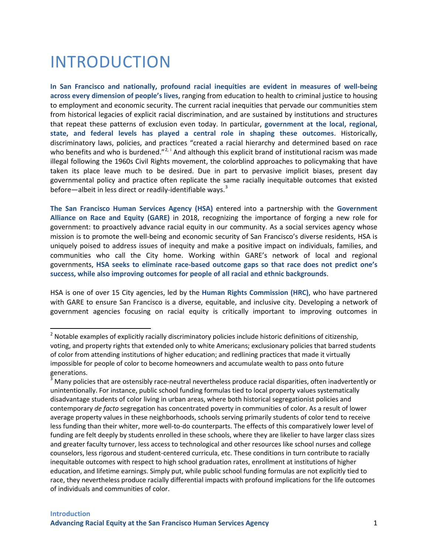# <span id="page-10-0"></span>INTRODUCTION

**In San Francisco and nationally, profound racial inequities are evident in measures of well-being across every dimension of people's lives**, ranging from education to health to criminal justice to housing to employment and economic security. The current racial inequities that pervade our communities stem from historical legacies of explicit racial discrimination, and are sustained by institutions and structures that repeat these patterns of exclusion even today. In particular, **government at the local, regional, state, and federal levels has played a central role in shaping these outcomes**. Historically, discriminatory laws, policies, and practices "created a racial hierarchy and determined based on race who benefits and who is burdened."<sup>[2,](#page-10-1) [i](#page-71-0)</sup> And although this explicit brand of institutional racism was made illegal following the 1960s Civil Rights movement, the colorblind approaches to policymaking that have taken its place leave much to be desired. Due in part to pervasive implicit biases, present day governmental policy and practice often replicate the same racially inequitable outcomes that existed before—albeit in less direct or readily-identifiable ways.<sup>[3](#page-10-2)</sup>

**The San Francisco Human Services Agency (HSA)** entered into a partnership with the **Government Alliance on Race and Equity (GARE)** in 2018, recognizing the importance of forging a new role for government: to proactively advance racial equity in our community. As a social services agency whose mission is to promote the well-being and economic security of San Francisco's diverse residents, HSA is uniquely poised to address issues of inequity and make a positive impact on individuals, families, and communities who call the City home. Working within GARE's network of local and regional governments, **HSA seeks to eliminate race-based outcome gaps so that race does not predict one's success, while also improving outcomes for people of all racial and ethnic backgrounds**.

HSA is one of over 15 City agencies, led by the **Human Rights Commission (HRC)**, who have partnered with GARE to ensure San Francisco is a diverse, equitable, and inclusive city. Developing a network of government agencies focusing on racial equity is critically important to improving outcomes in

<span id="page-10-1"></span><sup>&</sup>lt;sup>2</sup> Notable examples of explicitly racially discriminatory policies include historic definitions of citizenship, voting, and property rights that extended only to white Americans; exclusionary policies that barred students of color from attending institutions of higher education; and redlining practices that made it virtually impossible for people of color to become homeowners and accumulate wealth to pass onto future generations.

<span id="page-10-2"></span> $3$  Many policies that are ostensibly race-neutral nevertheless produce racial disparities, often inadvertently or unintentionally. For instance, public school funding formulas tied to local property values systematically disadvantage students of color living in urban areas, where both historical segregationist policies and contemporary *de facto* segregation has concentrated poverty in communities of color. As a result of lower average property values in these neighborhoods, schools serving primarily students of color tend to receive less funding than their whiter, more well-to-do counterparts. The effects of this comparatively lower level of funding are felt deeply by students enrolled in these schools, where they are likelier to have larger class sizes and greater faculty turnover, less access to technological and other resources like school nurses and college counselors, less rigorous and student-centered curricula, etc. These conditions in turn contribute to racially inequitable outcomes with respect to high school graduation rates, enrollment at institutions of higher education, and lifetime earnings. Simply put, while public school funding formulas are not explicitly tied to race, they nevertheless produce racially differential impacts with profound implications for the life outcomes of individuals and communities of color.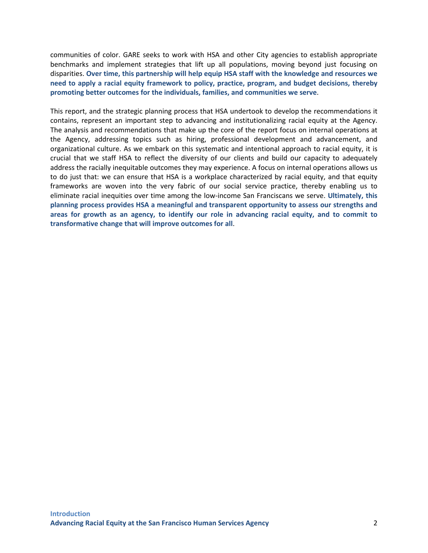communities of color. GARE seeks to work with HSA and other City agencies to establish appropriate benchmarks and implement strategies that lift up all populations, moving beyond just focusing on disparities. **Over time, this partnership will help equip HSA staff with the knowledge and resources we need to apply a racial equity framework to policy, practice, program, and budget decisions, thereby promoting better outcomes for the individuals, families, and communities we serve**.

This report, and the strategic planning process that HSA undertook to develop the recommendations it contains, represent an important step to advancing and institutionalizing racial equity at the Agency. The analysis and recommendations that make up the core of the report focus on internal operations at the Agency, addressing topics such as hiring, professional development and advancement, and organizational culture. As we embark on this systematic and intentional approach to racial equity, it is crucial that we staff HSA to reflect the diversity of our clients and build our capacity to adequately address the racially inequitable outcomes they may experience. A focus on internal operations allows us to do just that: we can ensure that HSA is a workplace characterized by racial equity, and that equity frameworks are woven into the very fabric of our social service practice, thereby enabling us to eliminate racial inequities over time among the low-income San Franciscans we serve. **Ultimately, this planning process provides HSA a meaningful and transparent opportunity to assess our strengths and areas for growth as an agency, to identify our role in advancing racial equity, and to commit to transformative change that will improve outcomes for all**.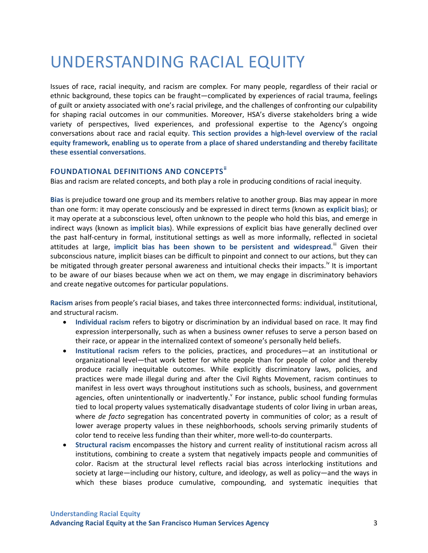# <span id="page-12-0"></span>UNDERSTANDING RACIAL EQUITY

Issues of race, racial inequity, and racism are complex. For many people, regardless of their racial or ethnic background, these topics can be fraught—complicated by experiences of racial trauma, feelings of guilt or anxiety associated with one's racial privilege, and the challenges of confronting our culpability for shaping racial outcomes in our communities. Moreover, HSA's diverse stakeholders bring a wide variety of perspectives, lived experiences, and professional expertise to the Agency's ongoing conversations about race and racial equity. **This section provides a high-level overview of the racial equity framework, enabling us to operate from a place of shared understanding and thereby facilitate these essential conversations**.

### **FOUNDATIONAL DEFINITIONS AND CONCEPTS[ii](#page-71-1)**

Bias and racism are related concepts, and both play a role in producing conditions of racial inequity.

**Bias** is prejudice toward one group and its members relative to another group. Bias may appear in more than one form: it may operate consciously and be expressed in direct terms (known as **explicit bias**); or it may operate at a subconscious level, often unknown to the people who hold this bias, and emerge in indirect ways (known as **implicit bias**). While expressions of explicit bias have generally declined over the past half-century in formal, institutional settings as well as more informally, reflected in societal attitudes at large, implicit bias has been shown to be persistent and widespread.<sup>III</sup> Given their subconscious nature, implicit biases can be difficult to pinpoint and connect to our actions, but they can be mitigated through greater personal awareness and intuitional checks their impacts.<sup>[iv](#page-71-3)</sup> It is important to be aware of our biases because when we act on them, we may engage in discriminatory behaviors and create negative outcomes for particular populations.

**Racism** arises from people's racial biases, and takes three interconnected forms: individual, institutional, and structural racism.

- **Individual racism** refers to bigotry or discrimination by an individual based on race. It may find expression interpersonally, such as when a business owner refuses to serve a person based on their race, or appear in the internalized context of someone's personally held beliefs.
- **Institutional racism** refers to the policies, practices, and procedures—at an institutional or organizational level—that work better for white people than for people of color and thereby produce racially inequitable outcomes. While explicitly discriminatory laws, policies, and practices were made illegal during and after the Civil Rights Movement, racism continues to manifest in less overt ways throughout institutions such as schools, business, and government agencies, often unintentionally or inad[v](#page-71-4)ertently.<sup>Y</sup> For instance, public school funding formulas tied to local property values systematically disadvantage students of color living in urban areas, where *de facto* segregation has concentrated poverty in communities of color; as a result of lower average property values in these neighborhoods, schools serving primarily students of color tend to receive less funding than their whiter, more well-to-do counterparts.
- **Structural racism** encompasses the history and current reality of institutional racism across all institutions, combining to create a system that negatively impacts people and communities of color. Racism at the structural level reflects racial bias across interlocking institutions and society at large—including our history, culture, and ideology, as well as policy—and the ways in which these biases produce cumulative, compounding, and systematic inequities that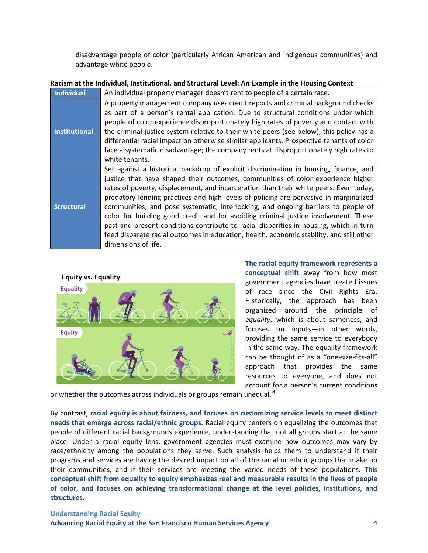disadvantage people of color (particularly African American and Indigenous communities) and advantage white people.

#### **Racism at the Individual, Institutional, and Structural Level: An Example in the Housing Context**

| Individual           | An individual property manager doesn't rent to people of a certain race.                                                                                                                                                                                                                                                                                                                                                                                                                                                                                                                                                                                                                                                                            |  |  |
|----------------------|-----------------------------------------------------------------------------------------------------------------------------------------------------------------------------------------------------------------------------------------------------------------------------------------------------------------------------------------------------------------------------------------------------------------------------------------------------------------------------------------------------------------------------------------------------------------------------------------------------------------------------------------------------------------------------------------------------------------------------------------------------|--|--|
| <b>Institutional</b> | A property management company uses credit reports and criminal background checks<br>as part of a person's rental application. Due to structural conditions under which<br>people of color experience disproportionately high rates of poverty and contact with<br>the criminal justice system relative to their white peers (see below), this policy has a<br>differential racial impact on otherwise similar applicants. Prospective tenants of color<br>face a systematic disadvantage; the company rents at disproportionately high rates to<br>white tenants.                                                                                                                                                                                   |  |  |
| <b>Structural</b>    | Set against a historical backdrop of explicit discrimination in housing, finance, and<br>justice that have shaped their outcomes, communities of color experience higher<br>rates of poverty, displacement, and incarceration than their white peers. Even today,<br>predatory lending practices and high levels of policing are pervasive in marginalized<br>communities, and pose systematic, interlocking, and ongoing barriers to people of<br>color for building good credit and for avoiding criminal justice involvement. These<br>past and present conditions contribute to racial disparities in housing, which in turn<br>feed disparate racial outcomes in education, health, economic stability, and still other<br>dimensions of life. |  |  |



**The racial equity framework represents a conceptual shift** away from how most government agencies have treated issues of race since the Civil Rights Era. Historically, the approach has been organized around the principle of *equality*, which is about sameness, and focuses on inputs—in other words, providing the same service to everybody in the same way. The equality framework can be thought of as a "one-size-fits-all" approach that provides the same resources to everyone, and does not account for a person's current conditions

or whether the outcomes across indi[vi](#page-71-5)duals or groups remain unequal.<sup>vi</sup>

By contrast, **racial** *equity* **is about fairness, and focuses on customizing service levels to meet distinct needs that emerge across racial/ethnic groups.** Racial equity centers on equalizing the outcomes that people of different racial backgrounds experience, understanding that not all groups start at the same place. Under a racial equity lens, government agencies must examine how outcomes may vary by race/ethnicity among the populations they serve. Such analysis helps them to understand if their programs and services are having the desired impact on all of the racial or ethnic groups that make up their communities, and if their services are meeting the varied needs of these populations. **This conceptual shift from equality to equity emphasizes real and measurable results in the lives of people of color, and focuses on achieving transformational change at the level policies, institutions, and structures**.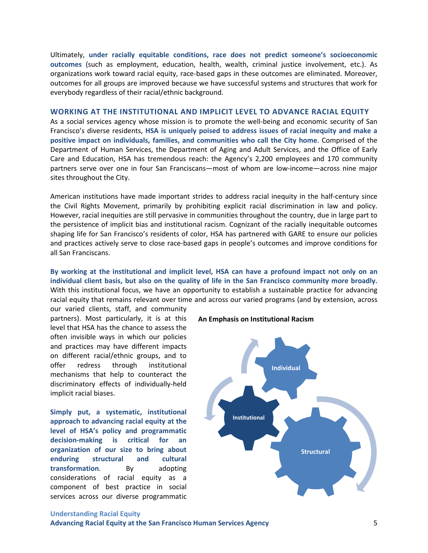Ultimately, **under racially equitable conditions, race does not predict someone's socioeconomic outcomes** (such as employment, education, health, wealth, criminal justice involvement, etc.). As organizations work toward racial equity, race-based gaps in these outcomes are eliminated. Moreover, outcomes for all groups are improved because we have successful systems and structures that work for everybody regardless of their racial/ethnic background.

#### **WORKING AT THE INSTITUTIONAL AND IMPLICIT LEVEL TO ADVANCE RACIAL EQUITY**

As a social services agency whose mission is to promote the well-being and economic security of San Francisco's diverse residents, **HSA is uniquely poised to address issues of racial inequity and make a positive impact on individuals, families, and communities who call the City home**. Comprised of the Department of Human Services, the Department of Aging and Adult Services, and the Office of Early Care and Education, HSA has tremendous reach: the Agency's 2,200 employees and 170 community partners serve over one in four San Franciscans—most of whom are low-income—across nine major sites throughout the City.

American institutions have made important strides to address racial inequity in the half-century since the Civil Rights Movement, primarily by prohibiting explicit racial discrimination in law and policy. However, racial inequities are still pervasive in communities throughout the country, due in large part to the persistence of implicit bias and institutional racism. Cognizant of the racially inequitable outcomes shaping life for San Francisco's residents of color, HSA has partnered with GARE to ensure our policies and practices actively serve to close race-based gaps in people's outcomes and improve conditions for all San Franciscans.

### **By working at the institutional and implicit level, HSA can have a profound impact not only on an individual client basis, but also on the quality of life in the San Francisco community more broadly.**  With this institutional focus, we have an opportunity to establish a sustainable practice for advancing racial equity that remains relevant over time and across our varied programs (and by extension, across

our varied clients, staff, and community partners). Most particularly, it is at this level that HSA has the chance to assess the often invisible ways in which our policies and practices may have different impacts on different racial/ethnic groups, and to offer redress through institutional mechanisms that help to counteract the discriminatory effects of individually-held implicit racial biases.

**Simply put, a systematic, institutional approach to advancing racial equity at the level of HSA's policy and programmatic decision-making is critical for an organization of our size to bring about enduring structural and cultural transformation.** By adopting considerations of racial equity as a component of best practice in social services across our diverse programmatic



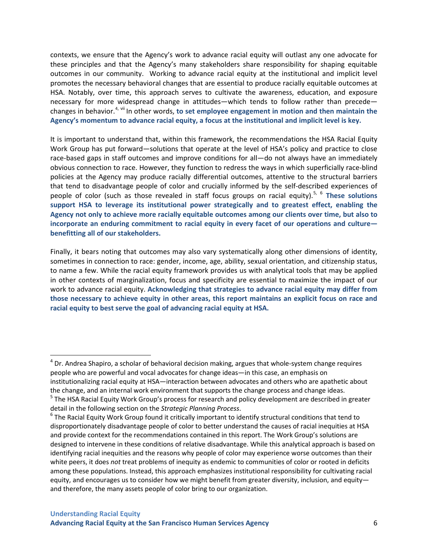contexts, we ensure that the Agency's work to advance racial equity will outlast any one advocate for these principles and that the Agency's many stakeholders share responsibility for shaping equitable outcomes in our community. Working to advance racial equity at the institutional and implicit level promotes the necessary behavioral changes that are essential to produce racially equitable outcomes at HSA. Notably, over time, this approach serves to cultivate the awareness, education, and exposure necessary for more widespread change in attitudes—which tends to follow rather than precede changes in behavior.[4](#page-15-0), [vii](#page-71-6) In other words, **to set employee engagement in motion and then maintain the Agency's momentum to advance racial equity, a focus at the institutional and implicit level is key.**

It is important to understand that, within this framework, the recommendations the HSA Racial Equity Work Group has put forward—solutions that operate at the level of HSA's policy and practice to close race-based gaps in staff outcomes and improve conditions for all—do not always have an immediately obvious connection to race. However, they function to redress the ways in which superficially race-blind policies at the Agency may produce racially differential outcomes, attentive to the structural barriers that tend to disadvantage people of color and crucially informed by the self-described experiences of people of color (such as those revealed in staff focus groups on racial equity).<sup>[5,](#page-15-1) [6](#page-15-2)</sup> These solutions **support HSA to leverage its institutional power strategically and to greatest effect, enabling the Agency not only to achieve more racially equitable outcomes among our clients over time, but also to incorporate an enduring commitment to racial equity in every facet of our operations and culture benefitting all of our stakeholders.**

Finally, it bears noting that outcomes may also vary systematically along other dimensions of identity, sometimes in connection to race: gender, income, age, ability, sexual orientation, and citizenship status, to name a few. While the racial equity framework provides us with analytical tools that may be applied in other contexts of marginalization, focus and specificity are essential to maximize the impact of our work to advance racial equity. **Acknowledging that strategies to advance racial equity may differ from those necessary to achieve equity in other areas, this report maintains an explicit focus on race and racial equity to best serve the goal of advancing racial equity at HSA.**

<span id="page-15-0"></span> $4$  Dr. Andrea Shapiro, a scholar of behavioral decision making, argues that whole-system change requires people who are powerful and vocal advocates for change ideas—in this case, an emphasis on institutionalizing racial equity at HSA—interaction between advocates and others who are apathetic about the change, and an internal work environment that supports the change process and change ideas. <sup>5</sup> The HSA Racial Equity Work Group's process for research and policy development are described in greater

<span id="page-15-2"></span><span id="page-15-1"></span>detail in the following section on the *Strategic Planning Process*.<br><sup>6</sup> The Racial Equity Work Group found it critically important to identify structural conditions that tend to disproportionately disadvantage people of color to better understand the causes of racial inequities at HSA and provide context for the recommendations contained in this report. The Work Group's solutions are designed to intervene in these conditions of relative disadvantage. While this analytical approach is based on identifying racial inequities and the reasons why people of color may experience worse outcomes than their white peers, it does *not* treat problems of inequity as endemic to communities of color or rooted in deficits among these populations. Instead, this approach emphasizes institutional responsibility for cultivating racial equity, and encourages us to consider how we might benefit from greater diversity, inclusion, and equityand therefore, the many assets people of color bring to our organization.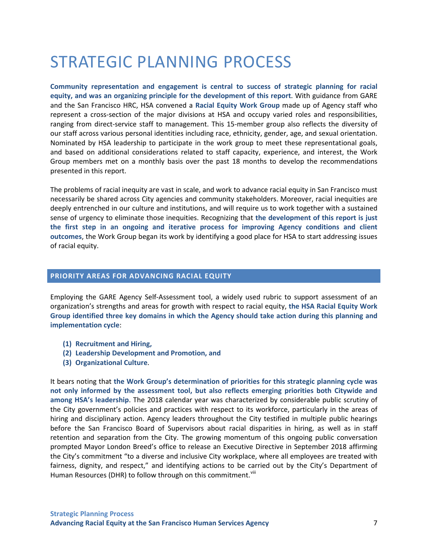# <span id="page-16-0"></span>STRATEGIC PLANNING PROCESS

**Community representation and engagement is central to success of strategic planning for racial equity, and was an organizing principle for the development of this report**. With guidance from GARE and the San Francisco HRC, HSA convened a **Racial Equity Work Group** made up of Agency staff who represent a cross-section of the major divisions at HSA and occupy varied roles and responsibilities, ranging from direct-service staff to management. This 15-member group also reflects the diversity of our staff across various personal identities including race, ethnicity, gender, age, and sexual orientation. Nominated by HSA leadership to participate in the work group to meet these representational goals, and based on additional considerations related to staff capacity, experience, and interest, the Work Group members met on a monthly basis over the past 18 months to develop the recommendations presented in this report.

The problems of racial inequity are vast in scale, and work to advance racial equity in San Francisco must necessarily be shared across City agencies and community stakeholders. Moreover, racial inequities are deeply entrenched in our culture and institutions, and will require us to work together with a sustained sense of urgency to eliminate those inequities. Recognizing that **the development of this report is just the first step in an ongoing and iterative process for improving Agency conditions and client outcomes**, the Work Group began its work by identifying a good place for HSA to start addressing issues of racial equity.

#### <span id="page-16-1"></span>**PRIORITY AREAS FOR ADVANCING RACIAL EQUITY**

Employing the GARE Agency Self-Assessment tool, a widely used rubric to support assessment of an organization's strengths and areas for growth with respect to racial equity, **the HSA Racial Equity Work Group identified three key domains in which the Agency should take action during this planning and implementation cycle**:

- **(1) Recruitment and Hiring,**
- **(2) Leadership Development and Promotion, and**
- **(3) Organizational Culture**.

It bears noting that **the Work Group's determination of priorities for this strategic planning cycle was not only informed by the assessment tool, but also reflects emerging priorities both Citywide and among HSA's leadership**. The 2018 calendar year was characterized by considerable public scrutiny of the City government's policies and practices with respect to its workforce, particularly in the areas of hiring and disciplinary action. Agency leaders throughout the City testified in multiple public hearings before the San Francisco Board of Supervisors about racial disparities in hiring, as well as in staff retention and separation from the City. The growing momentum of this ongoing public conversation prompted Mayor London Breed's office to release an Executive Directive in September 2018 affirming the City's commitment "to a diverse and inclusive City workplace, where all employees are treated with fairness, dignity, and respect," and identifying actions to be carried out by the City's Department of Human Resources (DHR) to follow through on this commitment.<sup>Viii</sup>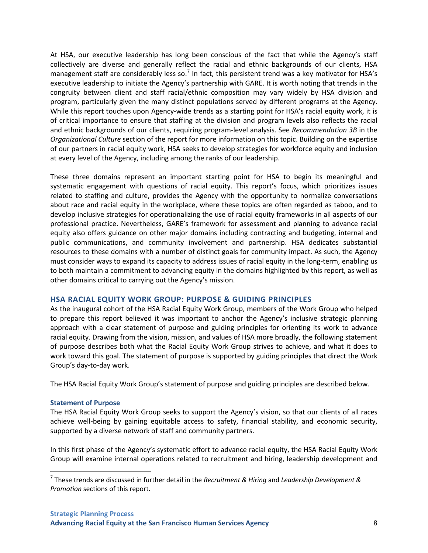At HSA, our executive leadership has long been conscious of the fact that while the Agency's staff collectively are diverse and generally reflect the racial and ethnic backgrounds of our clients, HSA management staff are considerably less so.<sup>[7](#page-17-0)</sup> In fact, this persistent trend was a key motivator for HSA's executive leadership to initiate the Agency's partnership with GARE. It is worth noting that trends in the congruity between client and staff racial/ethnic composition may vary widely by HSA division and program, particularly given the many distinct populations served by different programs at the Agency. While this report touches upon Agency-wide trends as a starting point for HSA's racial equity work, it is of critical importance to ensure that staffing at the division and program levels also reflects the racial and ethnic backgrounds of our clients, requiring program-level analysis. See *Recommendation 3B* in the *Organizational Culture* section of the report for more information on this topic. Building on the expertise of our partners in racial equity work, HSA seeks to develop strategies for workforce equity and inclusion at every level of the Agency, including among the ranks of our leadership.

These three domains represent an important starting point for HSA to begin its meaningful and systematic engagement with questions of racial equity. This report's focus, which prioritizes issues related to staffing and culture, provides the Agency with the opportunity to normalize conversations about race and racial equity in the workplace, where these topics are often regarded as taboo, and to develop inclusive strategies for operationalizing the use of racial equity frameworks in all aspects of our professional practice. Nevertheless, GARE's framework for assessment and planning to advance racial equity also offers guidance on other major domains including contracting and budgeting, internal and public communications, and community involvement and partnership. HSA dedicates substantial resources to these domains with a number of distinct goals for community impact. As such, the Agency must consider ways to expand its capacity to address issues of racial equity in the long-term, enabling us to both maintain a commitment to advancing equity in the domains highlighted by this report, as well as other domains critical to carrying out the Agency's mission.

### **HSA RACIAL EQUITY WORK GROUP: PURPOSE & GUIDING PRINCIPLES**

As the inaugural cohort of the HSA Racial Equity Work Group, members of the Work Group who helped to prepare this report believed it was important to anchor the Agency's inclusive strategic planning approach with a clear statement of purpose and guiding principles for orienting its work to advance racial equity. Drawing from the vision, mission, and values of HSA more broadly, the following statement of purpose describes both what the Racial Equity Work Group strives to achieve, and what it does to work toward this goal. The statement of purpose is supported by guiding principles that direct the Work Group's day-to-day work.

The HSA Racial Equity Work Group's statement of purpose and guiding principles are described below.

#### **Statement of Purpose**

The HSA Racial Equity Work Group seeks to support the Agency's vision, so that our clients of all races achieve well-being by gaining equitable access to safety, financial stability, and economic security, supported by a diverse network of staff and community partners.

In this first phase of the Agency's systematic effort to advance racial equity, the HSA Racial Equity Work Group will examine internal operations related to recruitment and hiring, leadership development and

<span id="page-17-0"></span> <sup>7</sup> These trends are discussed in further detail in the *Recruitment & Hiring* and *Leadership Development & Promotion* sections of this report.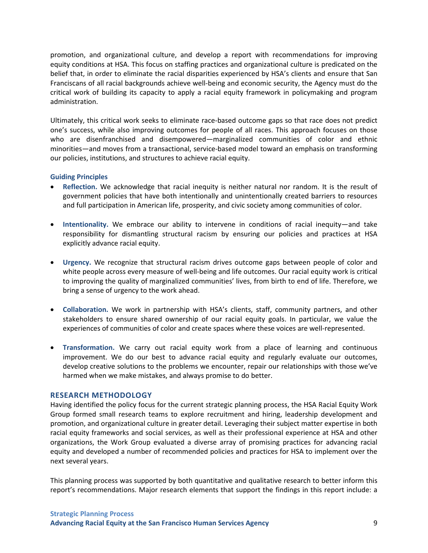promotion, and organizational culture, and develop a report with recommendations for improving equity conditions at HSA. This focus on staffing practices and organizational culture is predicated on the belief that, in order to eliminate the racial disparities experienced by HSA's clients and ensure that San Franciscans of all racial backgrounds achieve well-being and economic security, the Agency must do the critical work of building its capacity to apply a racial equity framework in policymaking and program administration.

Ultimately, this critical work seeks to eliminate race-based outcome gaps so that race does not predict one's success, while also improving outcomes for people of all races. This approach focuses on those who are disenfranchised and disempowered—marginalized communities of color and ethnic minorities—and moves from a transactional, service-based model toward an emphasis on transforming our policies, institutions, and structures to achieve racial equity.

#### **Guiding Principles**

- **Reflection.** We acknowledge that racial inequity is neither natural nor random. It is the result of government policies that have both intentionally and unintentionally created barriers to resources and full participation in American life, prosperity, and civic society among communities of color.
- **Intentionality.** We embrace our ability to intervene in conditions of racial inequity—and take responsibility for dismantling structural racism by ensuring our policies and practices at HSA explicitly advance racial equity.
- **Urgency.** We recognize that structural racism drives outcome gaps between people of color and white people across every measure of well-being and life outcomes. Our racial equity work is critical to improving the quality of marginalized communities' lives, from birth to end of life. Therefore, we bring a sense of urgency to the work ahead.
- **Collaboration.** We work in partnership with HSA's clients, staff, community partners, and other stakeholders to ensure shared ownership of our racial equity goals. In particular, we value the experiences of communities of color and create spaces where these voices are well-represented.
- **Transformation.** We carry out racial equity work from a place of learning and continuous improvement. We do our best to advance racial equity and regularly evaluate our outcomes, develop creative solutions to the problems we encounter, repair our relationships with those we've harmed when we make mistakes, and always promise to do better.

#### **RESEARCH METHODOLOGY**

Having identified the policy focus for the current strategic planning process, the HSA Racial Equity Work Group formed small research teams to explore recruitment and hiring, leadership development and promotion, and organizational culture in greater detail. Leveraging their subject matter expertise in both racial equity frameworks and social services, as well as their professional experience at HSA and other organizations, the Work Group evaluated a diverse array of promising practices for advancing racial equity and developed a number of recommended policies and practices for HSA to implement over the next several years.

This planning process was supported by both quantitative and qualitative research to better inform this report's recommendations. Major research elements that support the findings in this report include: a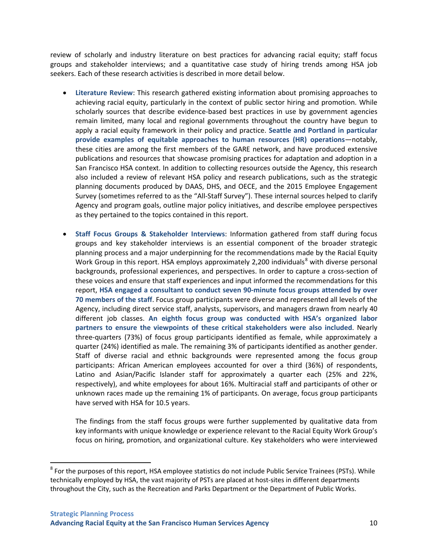review of scholarly and industry literature on best practices for advancing racial equity; staff focus groups and stakeholder interviews; and a quantitative case study of hiring trends among HSA job seekers. Each of these research activities is described in more detail below.

- **Literature Review**: This research gathered existing information about promising approaches to achieving racial equity, particularly in the context of public sector hiring and promotion. While scholarly sources that describe evidence-based best practices in use by government agencies remain limited, many local and regional governments throughout the country have begun to apply a racial equity framework in their policy and practice. **Seattle and Portland in particular provide examples of equitable approaches to human resources (HR) operations**—notably, these cities are among the first members of the GARE network, and have produced extensive publications and resources that showcase promising practices for adaptation and adoption in a San Francisco HSA context. In addition to collecting resources outside the Agency, this research also included a review of relevant HSA policy and research publications, such as the strategic planning documents produced by DAAS, DHS, and OECE, and the 2015 Employee Engagement Survey (sometimes referred to as the "All-Staff Survey"). These internal sources helped to clarify Agency and program goals, outline major policy initiatives, and describe employee perspectives as they pertained to the topics contained in this report.
- **Staff Focus Groups & Stakeholder Interviews**: Information gathered from staff during focus groups and key stakeholder interviews is an essential component of the broader strategic planning process and a major underpinning for the recommendations made by the Racial Equity Work Group in this report. HSA employs approximately 2,200 individuals<sup>[8](#page-19-0)</sup> with diverse personal backgrounds, professional experiences, and perspectives. In order to capture a cross-section of these voices and ensure that staff experiences and input informed the recommendations for this report, **HSA engaged a consultant to conduct seven 90-minute focus groups attended by over 70 members of the staff**. Focus group participants were diverse and represented all levels of the Agency, including direct service staff, analysts, supervisors, and managers drawn from nearly 40 different job classes. **An eighth focus group was conducted with HSA's organized labor partners to ensure the viewpoints of these critical stakeholders were also included**. Nearly three-quarters (73%) of focus group participants identified as female, while approximately a quarter (24%) identified as male. The remaining 3% of participants identified as another gender. Staff of diverse racial and ethnic backgrounds were represented among the focus group participants: African American employees accounted for over a third (36%) of respondents, Latino and Asian/Pacific Islander staff for approximately a quarter each (25% and 22%, respectively), and white employees for about 16%. Multiracial staff and participants of other or unknown races made up the remaining 1% of participants. On average, focus group participants have served with HSA for 10.5 years.

The findings from the staff focus groups were further supplemented by qualitative data from key informants with unique knowledge or experience relevant to the Racial Equity Work Group's focus on hiring, promotion, and organizational culture. Key stakeholders who were interviewed

<span id="page-19-0"></span><sup>&</sup>lt;sup>8</sup> For the purposes of this report, HSA employee statistics do not include Public Service Trainees (PSTs). While technically employed by HSA, the vast majority of PSTs are placed at host-sites in different departments throughout the City, such as the Recreation and Parks Department or the Department of Public Works.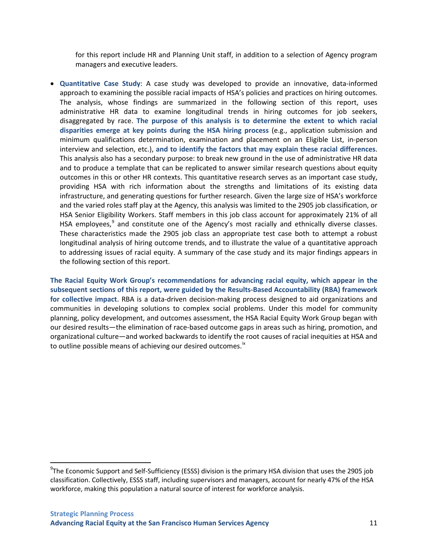for this report include HR and Planning Unit staff, in addition to a selection of Agency program managers and executive leaders.

• **Quantitative Case Study**: A case study was developed to provide an innovative, data-informed approach to examining the possible racial impacts of HSA's policies and practices on hiring outcomes. The analysis, whose findings are summarized in the following section of this report, uses administrative HR data to examine longitudinal trends in hiring outcomes for job seekers, disaggregated by race. **The purpose of this analysis is to determine the extent to which racial disparities emerge at key points during the HSA hiring process** (e.g., application submission and minimum qualifications determination, examination and placement on an Eligible List, in-person interview and selection, etc.), **and to identify the factors that may explain these racial differences**. This analysis also has a secondary purpose: to break new ground in the use of administrative HR data and to produce a template that can be replicated to answer similar research questions about equity outcomes in this or other HR contexts. This quantitative research serves as an important case study, providing HSA with rich information about the strengths and limitations of its existing data infrastructure, and generating questions for further research. Given the large size of HSA's workforce and the varied roles staff play at the Agency, this analysis was limited to the 2905 job classification, or HSA Senior Eligibility Workers. Staff members in this job class account for approximately 21% of all HSA employees, $9$  and constitute one of the Agency's most racially and ethnically diverse classes. These characteristics made the 2905 job class an appropriate test case both to attempt a robust longitudinal analysis of hiring outcome trends, and to illustrate the value of a quantitative approach to addressing issues of racial equity. A summary of the case study and its major findings appears in the following section of this report.

**The Racial Equity Work Group's recommendations for advancing racial equity, which appear in the subsequent sections of this report, were guided by the Results-Based Accountability (RBA) framework for collective impact**. RBA is a data-driven decision-making process designed to aid organizations and communities in developing solutions to complex social problems. Under this model for community planning, policy development, and outcomes assessment, the HSA Racial Equity Work Group began with our desired results—the elimination of race-based outcome gaps in areas such as hiring, promotion, and organizational culture—and worked backwards to identify the root causes of racial inequities at HSA and to outline possible means of achieving our desired outcomes.<sup>[ix](#page-71-8)</sup>

<span id="page-20-0"></span> <sup>9</sup>  $9$ The Economic Support and Self-Sufficiency (ESSS) division is the primary HSA division that uses the 2905 job classification. Collectively, ESSS staff, including supervisors and managers, account for nearly 47% of the HSA workforce, making this population a natural source of interest for workforce analysis.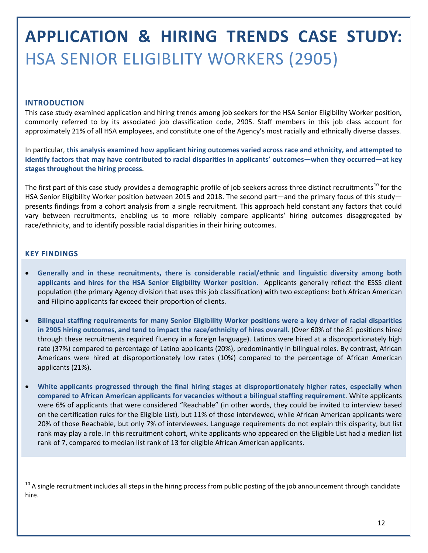# <span id="page-21-0"></span>**APPLICATION & HIRING TRENDS CASE STUDY:**  HSA SENIOR ELIGIBLITY WORKERS (2905)

#### **INTRODUCTION**

This case study examined application and hiring trends among job seekers for the HSA Senior Eligibility Worker position, commonly referred to by its associated job classification code, 2905. Staff members in this job class account for approximately 21% of all HSA employees, and constitute one of the Agency's most racially and ethnically diverse classes.

In particular, **this analysis examined how applicant hiring outcomes varied across race and ethnicity, and attempted to identify factors that may have contributed to racial disparities in applicants' outcomes—when they occurred—at key stages throughout the hiring process**.

The first part of this case study provides a demographic profile of job seekers across three distinct recruitments<sup>[10](#page-21-1)</sup> for the HSA Senior Eligibility Worker position between 2015 and 2018. The second part—and the primary focus of this study presents findings from a cohort analysis from a single recruitment. This approach held constant any factors that could vary between recruitments, enabling us to more reliably compare applicants' hiring outcomes disaggregated by race/ethnicity, and to identify possible racial disparities in their hiring outcomes.

#### **KEY FINDINGS**

- **Generally and in these recruitments, there is considerable racial/ethnic and linguistic diversity among both applicants and hires for the HSA Senior Eligibility Worker position.** Applicants generally reflect the ESSS client population (the primary Agency division that uses this job classification) with two exceptions: both African American and Filipino applicants far exceed their proportion of clients.
- **Bilingual staffing requirements for many Senior Eligibility Worker positions were a key driver of racial disparities in 2905 hiring outcomes, and tend to impact the race/ethnicity of hires overall.** (Over 60% of the 81 positions hired through these recruitments required fluency in a foreign language). Latinos were hired at a disproportionately high rate (37%) compared to percentage of Latino applicants (20%), predominantly in bilingual roles. By contrast, African Americans were hired at disproportionately low rates (10%) compared to the percentage of African American applicants (21%).
- **White applicants progressed through the final hiring stages at disproportionately higher rates, especially when compared to African American applicants for vacancies without a bilingual staffing requirement**. White applicants were 6% of applicants that were considered "Reachable" (in other words, they could be invited to interview based on the certification rules for the Eligible List), but 11% of those interviewed, while African American applicants were 20% of those Reachable, but only 7% of interviewees. Language requirements do not explain this disparity, but list rank may play a role. In this recruitment cohort, white applicants who appeared on the Eligible List had a median list rank of 7, compared to median list rank of 13 for eligible African American applicants.

<span id="page-21-1"></span> $10$  A single recruitment includes all steps in the hiring process from public posting of the job announcement through candidate hire.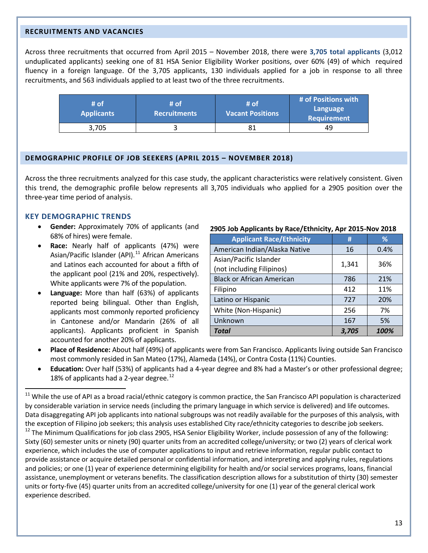#### **RECRUITMENTS AND VACANCIES**

Across three recruitments that occurred from April 2015 – November 2018, there were **3,705 total applicants** (3,012 unduplicated applicants) seeking one of 81 HSA Senior Eligibility Worker positions, over 60% (49) of which required fluency in a foreign language. Of the 3,705 applicants, 130 individuals applied for a job in response to all three recruitments, and 563 individuals applied to at least two of the three recruitments.

| # of<br><b>Applicants</b> | /# of<br><b>Recruitments</b> | # of<br><b>Vacant Positions</b> | # of Positions with<br>Language<br><b>Requirement</b> |
|---------------------------|------------------------------|---------------------------------|-------------------------------------------------------|
| 3,705                     |                              |                                 | 49                                                    |

#### **DEMOGRAPHIC PROFILE OF JOB SEEKERS (APRIL 2015 – NOVEMBER 2018)**

Across the three recruitments analyzed for this case study, the applicant characteristics were relatively consistent. Given this trend, the demographic profile below represents all 3,705 individuals who applied for a 2905 position over the three-year time period of analysis.

#### **KEY DEMOGRAPHIC TRENDS**

- **Gender:** Approximately 70% of applicants (and 68% of hires) were female.
- **Race:** Nearly half of applicants (47%) were Asian/Pacific Islander (API). $11$  African Americans and Latinos each accounted for about a fifth of the applicant pool (21% and 20%, respectively). White applicants were 7% of the population.
- **Language:** More than half (63%) of applicants reported being bilingual. Other than English, applicants most commonly reported proficiency in Cantonese and/or Mandarin (26% of all applicants). Applicants proficient in Spanish accounted for another 20% of applicants.

#### **2905 Job Applicants by Race/Ethnicity, Apr 2015-Nov 2018**

| <b>Applicant Race/Ethnicity</b>                     | #     | %    |
|-----------------------------------------------------|-------|------|
| American Indian/Alaska Native                       | 16    | 0.4% |
| Asian/Pacific Islander<br>(not including Filipinos) | 1,341 | 36%  |
| <b>Black or African American</b>                    | 786   | 21%  |
| Filipino                                            | 412   | 11%  |
| Latino or Hispanic                                  | 727   | 20%  |
| White (Non-Hispanic)                                | 256   | 7%   |
| Unknown                                             | 167   | 5%   |
| <b>Total</b>                                        | 3.705 | 100% |

- **Place of Residence:** About half (49%) of applicants were from San Francisco. Applicants living outside San Francisco most commonly resided in San Mateo (17%), Alameda (14%), or Contra Costa (11%) Counties.
- **Education:** Over half (53%) of applicants had a 4-year degree and 8% had a Master's or other professional degree; 18% of applicants had a 2-year degree. $^{12}$  $^{12}$  $^{12}$

<span id="page-22-1"></span><span id="page-22-0"></span><sup>&</sup>lt;sup>11</sup> While the use of API as a broad racial/ethnic category is common practice, the San Francisco API population is characterized by considerable variation in service needs (including the primary language in which service is delivered) and life outcomes. Data disaggregating API job applicants into national subgroups was not readily available for the purposes of this analysis, with the exception of Filipino job seekers; this analysis uses established City race/ethnicity categories to describe job seekers. <sup>12</sup> The Minimum Qualifications for job class 2905, HSA Senior Eligibility Worker, include possession of any of the following: Sixty (60) semester units or ninety (90) quarter units from an accredited college/university; or two (2) years of clerical work experience, which includes the use of computer applications to input and retrieve information, regular public contact to provide assistance or acquire detailed personal or confidential information, and interpreting and applying rules, regulations and policies; or one (1) year of experience determining eligibility for health and/or social services programs, loans, financial assistance, unemployment or veterans benefits. The classification description allows for a substitution of thirty (30) semester units or forty-five (45) quarter units from an accredited college/university for one (1) year of the general clerical work experience described.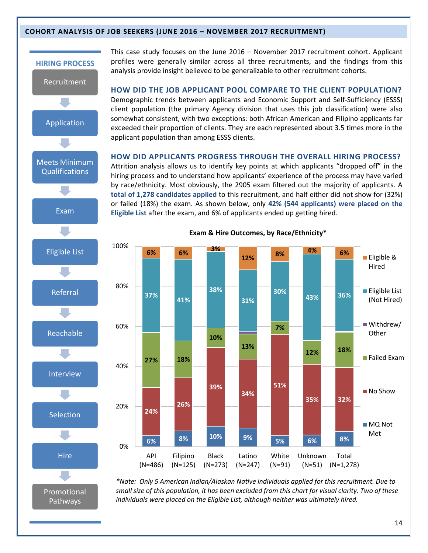#### **COHORT ANALYSIS OF JOB SEEKERS (JUNE 2016 – NOVEMBER 2017 RECRUITMENT)**



This case study focuses on the June 2016 – November 2017 recruitment cohort. Applicant profiles were generally similar across all three recruitments, and the findings from this analysis provide insight believed to be generalizable to other recruitment cohorts.

**HOW DID THE JOB APPLICANT POOL COMPARE TO THE CLIENT POPULATION?**  Demographic trends between applicants and Economic Support and Self-Sufficiency (ESSS) client population (the primary Agency division that uses this job classification) were also somewhat consistent, with two exceptions: both African American and Filipino applicants far exceeded their proportion of clients. They are each represented about 3.5 times more in the applicant population than among ESSS clients.

#### **HOW DID APPLICANTS PROGRESS THROUGH THE OVERALL HIRING PROCESS?**

Attrition analysis allows us to identify key points at which applicants "dropped off" in the hiring process and to understand how applicants' experience of the process may have varied by race/ethnicity. Most obviously, the 2905 exam filtered out the majority of applicants. A **total of 1,278 candidates applied** to this recruitment, and half either did not show for (32%) or failed (18%) the exam. As shown below, only **42% (544 applicants) were placed on the Eligible List** after the exam, and 6% of applicants ended up getting hired.



**Exam & Hire Outcomes, by Race/Ethnicity\***

*\*Note: Only 5 American Indian/Alaskan Native individuals applied for this recruitment. Due to small size of this population, it has been excluded from this chart for visual clarity. Two of these individuals were placed on the Eligible List, although neither was ultimately hired.*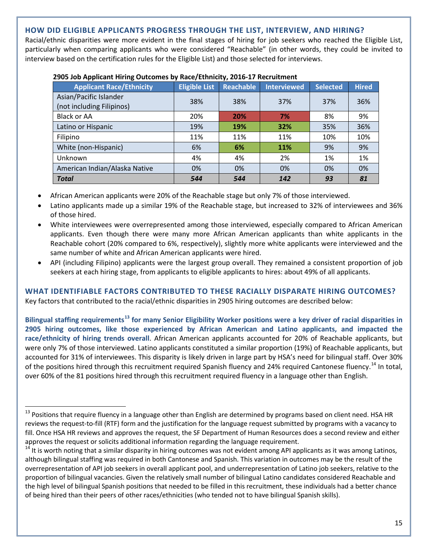### **HOW DID ELIGIBLE APPLICANTS PROGRESS THROUGH THE LIST, INTERVIEW, AND HIRING?**

Racial/ethnic disparities were more evident in the final stages of hiring for job seekers who reached the Eligible List, particularly when comparing applicants who were considered "Reachable" (in other words, they could be invited to interview based on the certification rules for the Eligible List) and those selected for interviews.

| <b>Applicant Race/Ethnicity</b>                     | <b>Eligible List</b> | <b>Reachable</b> | <b>Interviewed</b> | <b>Selected</b> | <b>Hired</b> |
|-----------------------------------------------------|----------------------|------------------|--------------------|-----------------|--------------|
| Asian/Pacific Islander<br>(not including Filipinos) | 38%                  | 38%              | 37%                | 37%             | 36%          |
| Black or AA                                         | 20%                  | 20%              | 7%                 | 8%              | 9%           |
| Latino or Hispanic                                  | 19%                  | 19%              | 32%                | 35%             | 36%          |
| Filipino                                            | 11%                  | 11%              | 11%                | 10%             | 10%          |
| White (non-Hispanic)                                | 6%                   | 6%               | 11%                | 9%              | 9%           |
| Unknown                                             | 4%                   | 4%               | 2%                 | 1%              | 1%           |
| American Indian/Alaska Native                       | 0%                   | 0%               | 0%                 | 0%              | 0%           |
| <b>Total</b>                                        | 544                  | 544              | 142                | 93              | 81           |

#### **2905 Job Applicant Hiring Outcomes by Race/Ethnicity, 2016-17 Recruitment**

- African American applicants were 20% of the Reachable stage but only 7% of those interviewed.
- Latino applicants made up a similar 19% of the Reachable stage, but increased to 32% of interviewees and 36% of those hired.
- White interviewees were overrepresented among those interviewed, especially compared to African American applicants. Even though there were many more African American applicants than white applicants in the Reachable cohort (20% compared to 6%, respectively), slightly more white applicants were interviewed and the same number of white and African American applicants were hired.
- API (including Filipino) applicants were the largest group overall. They remained a consistent proportion of job seekers at each hiring stage, from applicants to eligible applicants to hires: about 49% of all applicants.

**WHAT IDENTIFIABLE FACTORS CONTRIBUTED TO THESE RACIALLY DISPARATE HIRING OUTCOMES?**  Key factors that contributed to the racial/ethnic disparities in 2905 hiring outcomes are described below:

**Bilingual staffing requirements[13](#page-24-0) for many Senior Eligibility Worker positions were a key driver of racial disparities in 2905 hiring outcomes, like those experienced by African American and Latino applicants, and impacted the race/ethnicity of hiring trends overall**. African American applicants accounted for 20% of Reachable applicants, but were only 7% of those interviewed. Latino applicants constituted a similar proportion (19%) of Reachable applicants, but accounted for 31% of interviewees. This disparity is likely driven in large part by HSA's need for bilingual staff. Over 30% of the positions hired through this recruitment required Spanish fluency and 24% required Cantonese fluency.<sup>[14](#page-24-1)</sup> In total, over 60% of the 81 positions hired through this recruitment required fluency in a language other than English.

<span id="page-24-0"></span><sup>&</sup>lt;sup>13</sup> Positions that require fluency in a language other than English are determined by programs based on client need. HSA HR reviews the request-to-fill (RTF) form and the justification for the language request submitted by programs with a vacancy to fill. Once HSA HR reviews and approves the request, the SF Department of Human Resources does a second review and either approves the request or solicits additional information regarding the language requirement.<br><sup>14</sup> It is worth noting that a similar disparity in hiring outcomes was not evident among API applicants as it was among Latinos,

<span id="page-24-1"></span>although bilingual staffing was required in both Cantonese and Spanish. This variation in outcomes may be the result of the overrepresentation of API job seekers in overall applicant pool, and underrepresentation of Latino job seekers, relative to the proportion of bilingual vacancies. Given the relatively small number of bilingual Latino candidates considered Reachable and the high level of bilingual Spanish positions that needed to be filled in this recruitment, these individuals had a better chance of being hired than their peers of other races/ethnicities (who tended not to have bilingual Spanish skills).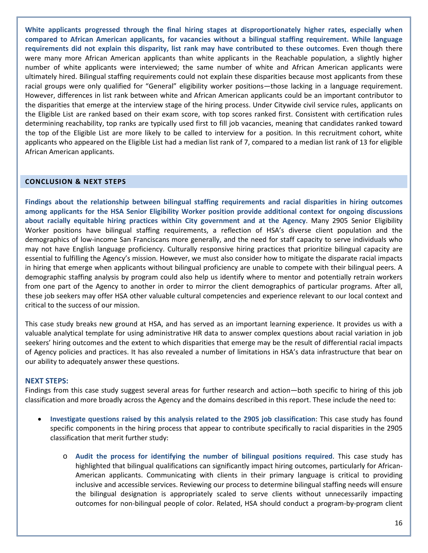**White applicants progressed through the final hiring stages at disproportionately higher rates, especially when compared to African American applicants, for vacancies without a bilingual staffing requirement. While language requirements did not explain this disparity, list rank may have contributed to these outcomes**. Even though there were many more African American applicants than white applicants in the Reachable population, a slightly higher number of white applicants were interviewed; the same number of white and African American applicants were ultimately hired. Bilingual staffing requirements could not explain these disparities because most applicants from these racial groups were only qualified for "General" eligibility worker positions—those lacking in a language requirement. However, differences in list rank between white and African American applicants could be an important contributor to the disparities that emerge at the interview stage of the hiring process. Under Citywide civil service rules, applicants on the Eligible List are ranked based on their exam score, with top scores ranked first. Consistent with certification rules determining reachability, top ranks are typically used first to fill job vacancies, meaning that candidates ranked toward the top of the Eligible List are more likely to be called to interview for a position. In this recruitment cohort, white applicants who appeared on the Eligible List had a median list rank of 7, compared to a median list rank of 13 for eligible African American applicants.

### **CONCLUSION & NEXT STEPS**

**Findings about the relationship between bilingual staffing requirements and racial disparities in hiring outcomes among applicants for the HSA Senior Eligibility Worker position provide additional context for ongoing discussions about racially equitable hiring practices within City government and at the Agency**. Many 2905 Senior Eligibility Worker positions have bilingual staffing requirements, a reflection of HSA's diverse client population and the demographics of low-income San Franciscans more generally, and the need for staff capacity to serve individuals who may not have English language proficiency. Culturally responsive hiring practices that prioritize bilingual capacity are essential to fulfilling the Agency's mission. However, we must also consider how to mitigate the disparate racial impacts in hiring that emerge when applicants without bilingual proficiency are unable to compete with their bilingual peers. A demographic staffing analysis by program could also help us identify where to mentor and potentially retrain workers from one part of the Agency to another in order to mirror the client demographics of particular programs. After all, these job seekers may offer HSA other valuable cultural competencies and experience relevant to our local context and critical to the success of our mission.

This case study breaks new ground at HSA, and has served as an important learning experience. It provides us with a valuable analytical template for using administrative HR data to answer complex questions about racial variation in job seekers' hiring outcomes and the extent to which disparities that emerge may be the result of differential racial impacts of Agency policies and practices. It has also revealed a number of limitations in HSA's data infrastructure that bear on our ability to adequately answer these questions.

#### **NEXT STEPS:**

Findings from this case study suggest several areas for further research and action—both specific to hiring of this job classification and more broadly across the Agency and the domains described in this report. These include the need to:

- **Investigate questions raised by this analysis related to the 2905 job classification**: This case study has found specific components in the hiring process that appear to contribute specifically to racial disparities in the 2905 classification that merit further study:
	- o **Audit the process for identifying the number of bilingual positions required**. This case study has highlighted that bilingual qualifications can significantly impact hiring outcomes, particularly for African-American applicants. Communicating with clients in their primary language is critical to providing inclusive and accessible services. Reviewing our process to determine bilingual staffing needs will ensure the bilingual designation is appropriately scaled to serve clients without unnecessarily impacting outcomes for non-bilingual people of color. Related, HSA should conduct a program-by-program client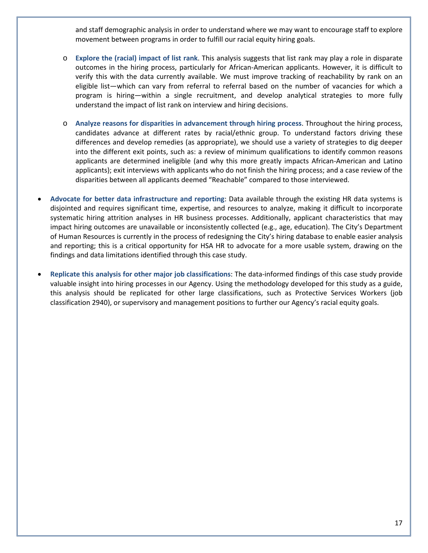and staff demographic analysis in order to understand where we may want to encourage staff to explore movement between programs in order to fulfill our racial equity hiring goals.

- o **Explore the (racial) impact of list rank**. This analysis suggests that list rank may play a role in disparate outcomes in the hiring process, particularly for African-American applicants. However, it is difficult to verify this with the data currently available. We must improve tracking of reachability by rank on an eligible list—which can vary from referral to referral based on the number of vacancies for which a program is hiring—within a single recruitment, and develop analytical strategies to more fully understand the impact of list rank on interview and hiring decisions.
- o **Analyze reasons for disparities in advancement through hiring process**. Throughout the hiring process, candidates advance at different rates by racial/ethnic group. To understand factors driving these differences and develop remedies (as appropriate), we should use a variety of strategies to dig deeper into the different exit points, such as: a review of minimum qualifications to identify common reasons applicants are determined ineligible (and why this more greatly impacts African-American and Latino applicants); exit interviews with applicants who do not finish the hiring process; and a case review of the disparities between all applicants deemed "Reachable" compared to those interviewed.
- **Advocate for better data infrastructure and reporting**: Data available through the existing HR data systems is disjointed and requires significant time, expertise, and resources to analyze, making it difficult to incorporate systematic hiring attrition analyses in HR business processes. Additionally, applicant characteristics that may impact hiring outcomes are unavailable or inconsistently collected (e.g., age, education). The City's Department of Human Resources is currently in the process of redesigning the City's hiring database to enable easier analysis and reporting; this is a critical opportunity for HSA HR to advocate for a more usable system, drawing on the findings and data limitations identified through this case study.
- **Replicate this analysis for other major job classifications**: The data-informed findings of this case study provide valuable insight into hiring processes in our Agency. Using the methodology developed for this study as a guide, this analysis should be replicated for other large classifications, such as Protective Services Workers (job classification 2940), or supervisory and management positions to further our Agency's racial equity goals.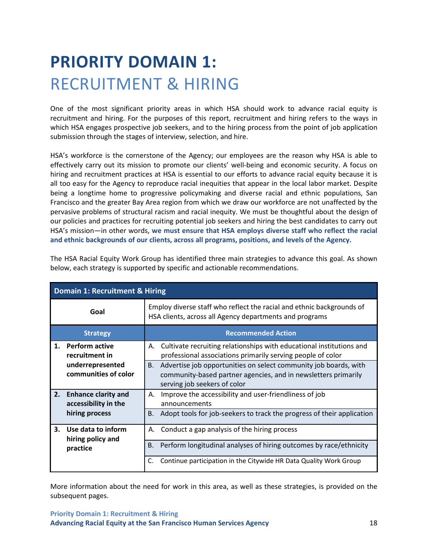# <span id="page-27-0"></span>**PRIORITY DOMAIN 1:** RECRUITMENT & HIRING

One of the most significant priority areas in which HSA should work to advance racial equity is recruitment and hiring. For the purposes of this report, recruitment and hiring refers to the ways in which HSA engages prospective job seekers, and to the hiring process from the point of job application submission through the stages of interview, selection, and hire.

HSA's workforce is the cornerstone of the Agency; our employees are the reason why HSA is able to effectively carry out its mission to promote our clients' well-being and economic security. A focus on hiring and recruitment practices at HSA is essential to our efforts to advance racial equity because it is all too easy for the Agency to reproduce racial inequities that appear in the local labor market. Despite being a longtime home to progressive policymaking and diverse racial and ethnic populations, San Francisco and the greater Bay Area region from which we draw our workforce are not unaffected by the pervasive problems of structural racism and racial inequity. We must be thoughtful about the design of our policies and practices for recruiting potential job seekers and hiring the best candidates to carry out HSA's mission—in other words, **we must ensure that HSA employs diverse staff who reflect the racial and ethnic backgrounds of our clients, across all programs, positions, and levels of the Agency.**

|    | <b>Domain 1: Recruitment &amp; Hiring</b>      |                                                                                                                                                                                 |  |  |  |
|----|------------------------------------------------|---------------------------------------------------------------------------------------------------------------------------------------------------------------------------------|--|--|--|
|    | Goal                                           | Employ diverse staff who reflect the racial and ethnic backgrounds of<br>HSA clients, across all Agency departments and programs                                                |  |  |  |
|    | <b>Strategy</b>                                | <b>Recommended Action</b>                                                                                                                                                       |  |  |  |
| 1. | <b>Perform active</b><br>recruitment in        | Cultivate recruiting relationships with educational institutions and<br>А.<br>professional associations primarily serving people of color                                       |  |  |  |
|    | underrepresented<br>communities of color       | Advertise job opportunities on select community job boards, with<br><b>B.</b><br>community-based partner agencies, and in newsletters primarily<br>serving job seekers of color |  |  |  |
|    | 2. Enhance clarity and<br>accessibility in the | Improve the accessibility and user-friendliness of job<br>А.<br>announcements                                                                                                   |  |  |  |
|    | hiring process                                 | Adopt tools for job-seekers to track the progress of their application<br>B.                                                                                                    |  |  |  |
| 3. | Use data to inform<br>hiring policy and        | Conduct a gap analysis of the hiring process<br>А.                                                                                                                              |  |  |  |
|    | practice                                       | Perform longitudinal analyses of hiring outcomes by race/ethnicity<br>В.                                                                                                        |  |  |  |
|    |                                                | Continue participation in the Citywide HR Data Quality Work Group                                                                                                               |  |  |  |

The HSA Racial Equity Work Group has identified three main strategies to advance this goal. As shown below, each strategy is supported by specific and actionable recommendations.

More information about the need for work in this area, as well as these strategies, is provided on the subsequent pages.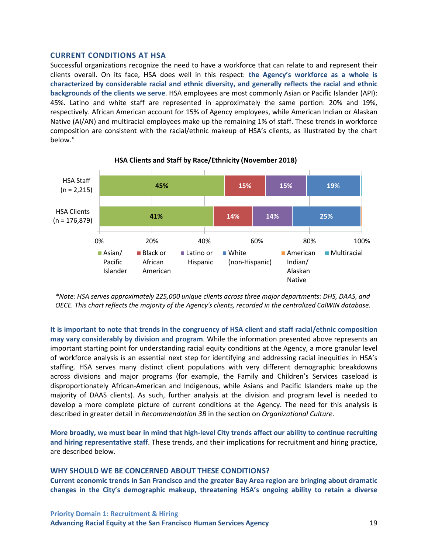#### **CURRENT CONDITIONS AT HSA**

Successful organizations recognize the need to have a workforce that can relate to and represent their clients overall. On its face, HSA does well in this respect: **the Agency's workforce as a whole is characterized by considerable racial and ethnic diversity, and generally reflects the racial and ethnic backgrounds of the clients we serve**. HSA employees are most commonly Asian or Pacific Islander (API): 45%. Latino and white staff are represented in approximately the same portion: 20% and 19%, respectively. African American account for 15% of Agency employees, while American Indian or Alaskan Native (AI/AN) and multiracial employees make up the remaining 1% of staff. These trends in workforce composition are consistent with the racial/ethnic makeup of HSA's clients, as illustrated by the chart  $helow<sup>x</sup>$  $helow<sup>x</sup>$  $helow<sup>x</sup>$ 



**HSA Clients and Staff by Race/Ethnicity (November 2018)**

*\*Note: HSA serves approximately 225,000 unique clients across three major departments: DHS, DAAS, and OECE. This chart reflects the majority of the Agency's clients, recorded in the centralized CalWIN database.*

**It is important to note that trends in the congruency of HSA client and staff racial/ethnic composition may vary considerably by division and program**. While the information presented above represents an important starting point for understanding racial equity conditions at the Agency, a more granular level of workforce analysis is an essential next step for identifying and addressing racial inequities in HSA's staffing. HSA serves many distinct client populations with very different demographic breakdowns across divisions and major programs (for example, the Family and Children's Services caseload is disproportionately African-American and Indigenous, while Asians and Pacific Islanders make up the majority of DAAS clients). As such, further analysis at the division and program level is needed to develop a more complete picture of current conditions at the Agency. The need for this analysis is described in greater detail in *Recommendation 3B* in the section on *Organizational Culture*.

**More broadly, we must bear in mind that high-level City trends affect our ability to continue recruiting and hiring representative staff**. These trends, and their implications for recruitment and hiring practice, are described below.

#### **WHY SHOULD WE BE CONCERNED ABOUT THESE CONDITIONS?**

**Current economic trends in San Francisco and the greater Bay Area region are bringing about dramatic changes in the City's demographic makeup, threatening HSA's ongoing ability to retain a diverse**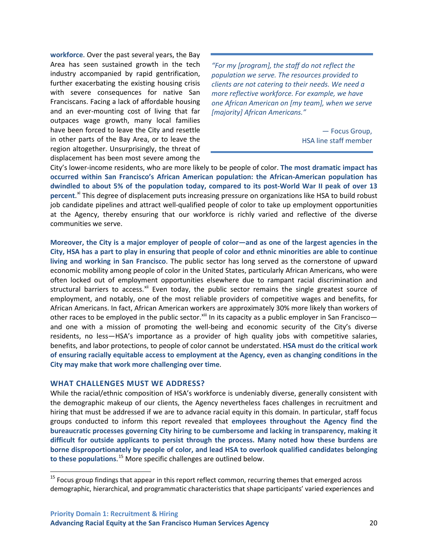**workforce**. Over the past several years, the Bay Area has seen sustained growth in the tech industry accompanied by rapid gentrification, further exacerbating the existing housing crisis with severe consequences for native San Franciscans. Facing a lack of affordable housing and an ever-mounting cost of living that far outpaces wage growth, many local families have been forced to leave the City and resettle in other parts of the Bay Area, or to leave the region altogether. Unsurprisingly, the threat of displacement has been most severe among the

*"For my [program], the staff do not reflect the population we serve. The resources provided to clients are not catering to their needs. We need a more reflective workforce. For example, we have one African American on [my team], when we serve [majority] African Americans."*

> — Focus Group, HSA line staff member

City's lower-income residents, who are more likely to be people of color. **The most dramatic impact has occurred within San Francisco's African American population: the African-American population has dwindled to about 5% of the population today, compared to its post-World War II peak of over 13 percent**. [xi](#page-71-10) This degree of displacement puts increasing pressure on organizations like HSA to build robust job candidate pipelines and attract well-qualified people of color to take up employment opportunities at the Agency, thereby ensuring that our workforce is richly varied and reflective of the diverse communities we serve.

**Moreover, the City is a major employer of people of color—and as one of the largest agencies in the City, HSA has a part to play in ensuring that people of color and ethnic minorities are able to continue living and working in San Francisco**. The public sector has long served as the cornerstone of upward economic mobility among people of color in the United States, particularly African Americans, who were often locked out of employment opportunities elsewhere due to rampant racial discrimination and structural barriers to access.<sup>[xii](#page-71-11)</sup> Even today, the public sector remains the single greatest source of employment, and notably, one of the most reliable providers of competitive wages and benefits, for African Americans. In fact, African American workers are approximately 30% more likely than workers of other races to be employed in the public sector.<sup>[xiii](#page-71-12)</sup> In its capacity as a public employer in San Francisco and one with a mission of promoting the well-being and economic security of the City's diverse residents, no less—HSA's importance as a provider of high quality jobs with competitive salaries, benefits, and labor protections, to people of color cannot be understated. **HSA must do the critical work of ensuring racially equitable access to employment at the Agency, even as changing conditions in the City may make that work more challenging over time**.

#### **WHAT CHALLENGES MUST WE ADDRESS?**

While the racial/ethnic composition of HSA's workforce is undeniably diverse, generally consistent with the demographic makeup of our clients, the Agency nevertheless faces challenges in recruitment and hiring that must be addressed if we are to advance racial equity in this domain. In particular, staff focus groups conducted to inform this report revealed that **employees throughout the Agency find the bureaucratic processes governing City hiring to be cumbersome and lacking in transparency, making it difficult for outside applicants to persist through the process. Many noted how these burdens are borne disproportionately by people of color, and lead HSA to overlook qualified candidates belonging to these populations**. [15](#page-29-0) More specific challenges are outlined below.

<span id="page-29-0"></span><sup>&</sup>lt;sup>15</sup> Focus group findings that appear in this report reflect common, recurring themes that emerged across demographic, hierarchical, and programmatic characteristics that shape participants' varied experiences and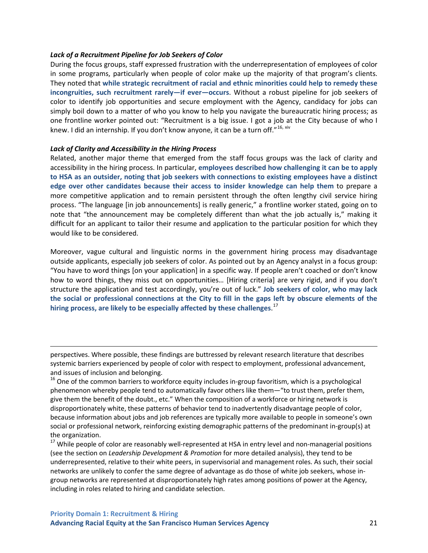#### *Lack of a Recruitment Pipeline for Job Seekers of Color*

During the focus groups, staff expressed frustration with the underrepresentation of employees of color in some programs, particularly when people of color make up the majority of that program's clients. They noted that **while strategic recruitment of racial and ethnic minorities could help to remedy these incongruities, such recruitment rarely—if ever—occurs**. Without a robust pipeline for job seekers of color to identify job opportunities and secure employment with the Agency, candidacy for jobs can simply boil down to a matter of who you know to help you navigate the bureaucratic hiring process; as one frontline worker pointed out: "Recruitment is a big issue. I got a job at the City because of who I knew. I did an internship. If you don't know anyone, it can be a turn off."<sup>[16,](#page-30-0) [xiv](#page-71-13)</sup>

#### *Lack of Clarity and Accessibility in the Hiring Process*

l

Related, another major theme that emerged from the staff focus groups was the lack of clarity and accessibility in the hiring process. In particular, **employees described how challenging it can be to apply to HSA as an outsider, noting that job seekers with connections to existing employees have a distinct edge over other candidates because their access to insider knowledge can help them** to prepare a more competitive application and to remain persistent through the often lengthy civil service hiring process. "The language [in job announcements] is really generic," a frontline worker stated, going on to note that "the announcement may be completely different than what the job actually is," making it difficult for an applicant to tailor their resume and application to the particular position for which they would like to be considered.

Moreover, vague cultural and linguistic norms in the government hiring process may disadvantage outside applicants, especially job seekers of color. As pointed out by an Agency analyst in a focus group: "You have to word things [on your application] in a specific way. If people aren't coached or don't know how to word things, they miss out on opportunities… [Hiring criteria] are very rigid, and if you don't structure the application and test accordingly, you're out of luck." **Job seekers of color, who may lack the social or professional connections at the City to fill in the gaps left by obscure elements of the hiring process, are likely to be especially affected by these challenges**. [17](#page-30-1)

perspectives. Where possible, these findings are buttressed by relevant research literature that describes systemic barriers experienced by people of color with respect to employment, professional advancement, and issues of inclusion and belonging.

<span id="page-30-0"></span><sup>16</sup> One of the common barriers to workforce equity includes in-group favoritism, which is a psychological phenomenon whereby people tend to automatically favor others like them—"to trust them, prefer them, give them the benefit of the doubt., etc." When the composition of a workforce or hiring network is disproportionately white, these patterns of behavior tend to inadvertently disadvantage people of color, because information about jobs and job references are typically more available to people in someone's own social or professional network, reinforcing existing demographic patterns of the predominant in-group(s) at the organization.

<span id="page-30-1"></span><sup>17</sup> While people of color are reasonably well-represented at HSA in entry level and non-managerial positions (see the section on *Leadership Development & Promotion* for more detailed analysis), they tend to be underrepresented, relative to their white peers, in supervisorial and management roles. As such, their social networks are unlikely to confer the same degree of advantage as do those of white job seekers, whose ingroup networks are represented at disproportionately high rates among positions of power at the Agency, including in roles related to hiring and candidate selection.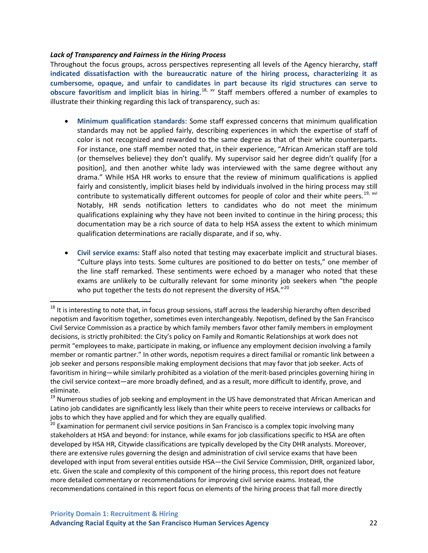#### *Lack of Transparency and Fairness in the Hiring Process*

Throughout the focus groups, across perspectives representing all levels of the Agency hierarchy, **staff indicated dissatisfaction with the bureaucratic nature of the hiring process, characterizing it as cumbersome, opaque, and unfair to candidates in part because its rigid structures can serve to obscure favoritism and implicit bias in hiring**. [18,](#page-31-0) [xv](#page-71-14) Staff members offered a number of examples to illustrate their thinking regarding this lack of transparency, such as:

- **Minimum qualification standards**: Some staff expressed concerns that minimum qualification standards may not be applied fairly, describing experiences in which the expertise of staff of color is not recognized and rewarded to the same degree as that of their white counterparts. For instance, one staff member noted that, in their experience, "African American staff are told (or themselves believe) they don't qualify. My supervisor said her degree didn't qualify [for a position], and then another white lady was interviewed with the same degree without any drama." While HSA HR works to ensure that the review of minimum qualifications is applied fairly and consistently, implicit biases held by individuals involved in the hiring process may still contribute to systematically different outcomes for people of color and their white peers.<sup>[19,](#page-31-1) [xvi](#page-71-15)</sup> Notably, HR sends notification letters to candidates who do not meet the minimum qualifications explaining why they have not been invited to continue in the hiring process; this documentation may be a rich source of data to help HSA assess the extent to which minimum qualification determinations are racially disparate, and if so, why.
- **Civil service exams:** Staff also noted that testing may exacerbate implicit and structural biases. "Culture plays into tests. Some cultures are positioned to do better on tests," one member of the line staff remarked. These sentiments were echoed by a manager who noted that these exams are unlikely to be culturally relevant for some minority job seekers when "the people who put together the tests do not represent the diversity of HSA. $"^{20}$  $"^{20}$  $"^{20}$

<span id="page-31-0"></span> $18$  It is interesting to note that, in focus group sessions, staff across the leadership hierarchy often described nepotism and favoritism together, sometimes even interchangeably. Nepotism, defined by the San Francisco Civil Service Commission as a practice by which family members favor other family members in employment decisions, is strictly prohibited: the City's policy on Family and Romantic Relationships at work does not permit "employees to make, participate in making, or influence any employment decision involving a family member or romantic partner." In other words, nepotism requires a direct familial or romantic link between a job seeker and persons responsible making employment decisions that may favor that job seeker. Acts of favoritism in hiring—while similarly prohibited as a violation of the merit-based principles governing hiring in the civil service context—are more broadly defined, and as a result, more difficult to identify, prove, and eliminate.

<span id="page-31-1"></span><sup>&</sup>lt;sup>19</sup> Numerous studies of job seeking and employment in the US have demonstrated that African American and Latino job candidates are significantly less likely than their white peers to receive interviews or callbacks for jobs to which they have applied and for which they are equally qualified.

<span id="page-31-2"></span><sup>&</sup>lt;sup>20</sup> Examination for permanent civil service positions in San Francisco is a complex topic involving many stakeholders at HSA and beyond: for instance, while exams for job classifications specific to HSA are often developed by HSA HR, Citywide classifications are typically developed by the City DHR analysts. Moreover, there are extensive rules governing the design and administration of civil service exams that have been developed with input from several entities outside HSA—the Civil Service Commission, DHR, organized labor, etc. Given the scale and complexity of this component of the hiring process, this report does not feature more detailed commentary or recommendations for improving civil service exams. Instead, the recommendations contained in this report focus on elements of the hiring process that fall more directly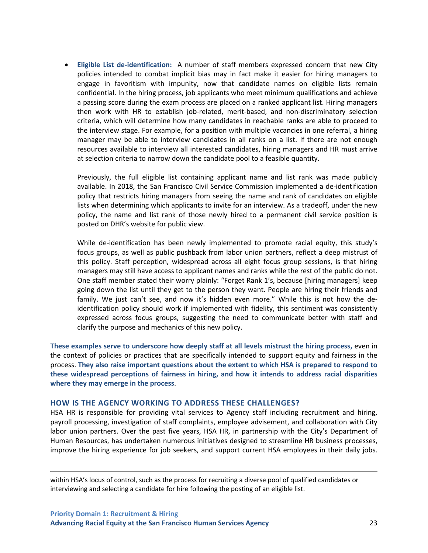• **Eligible List de-identification:** A number of staff members expressed concern that new City policies intended to combat implicit bias may in fact make it easier for hiring managers to engage in favoritism with impunity, now that candidate names on eligible lists remain confidential. In the hiring process, job applicants who meet minimum qualifications and achieve a passing score during the exam process are placed on a ranked applicant list. Hiring managers then work with HR to establish job-related, merit-based, and non-discriminatory selection criteria, which will determine how many candidates in reachable ranks are able to proceed to the interview stage. For example, for a position with multiple vacancies in one referral, a hiring manager may be able to interview candidates in all ranks on a list. If there are not enough resources available to interview all interested candidates, hiring managers and HR must arrive at selection criteria to narrow down the candidate pool to a feasible quantity.

Previously, the full eligible list containing applicant name and list rank was made publicly available. In 2018, the San Francisco Civil Service Commission implemented a de-identification policy that restricts hiring managers from seeing the name and rank of candidates on eligible lists when determining which applicants to invite for an interview. As a tradeoff, under the new policy, the name and list rank of those newly hired to a permanent civil service position is posted on DHR's website for public view.

While de-identification has been newly implemented to promote racial equity, this study's focus groups, as well as public pushback from labor union partners, reflect a deep mistrust of this policy. Staff perception, widespread across all eight focus group sessions, is that hiring managers may still have access to applicant names and ranks while the rest of the public do not. One staff member stated their worry plainly: "Forget Rank 1's, because [hiring managers] keep going down the list until they get to the person they want. People are hiring their friends and family. We just can't see, and now it's hidden even more." While this is not how the deidentification policy should work if implemented with fidelity, this sentiment was consistently expressed across focus groups, suggesting the need to communicate better with staff and clarify the purpose and mechanics of this new policy.

**These examples serve to underscore how deeply staff at all levels mistrust the hiring process,** even in the context of policies or practices that are specifically intended to support equity and fairness in the process. **They also raise important questions about the extent to which HSA is prepared to respond to these widespread perceptions of fairness in hiring, and how it intends to address racial disparities where they may emerge in the process**.

#### **HOW IS THE AGENCY WORKING TO ADDRESS THESE CHALLENGES?**

HSA HR is responsible for providing vital services to Agency staff including recruitment and hiring, payroll processing, investigation of staff complaints, employee advisement, and collaboration with City labor union partners. Over the past five years, HSA HR, in partnership with the City's Department of Human Resources, has undertaken numerous initiatives designed to streamline HR business processes, improve the hiring experience for job seekers, and support current HSA employees in their daily jobs.

within HSA's locus of control, such as the process for recruiting a diverse pool of qualified candidates or interviewing and selecting a candidate for hire following the posting of an eligible list.

 $\overline{\phantom{a}}$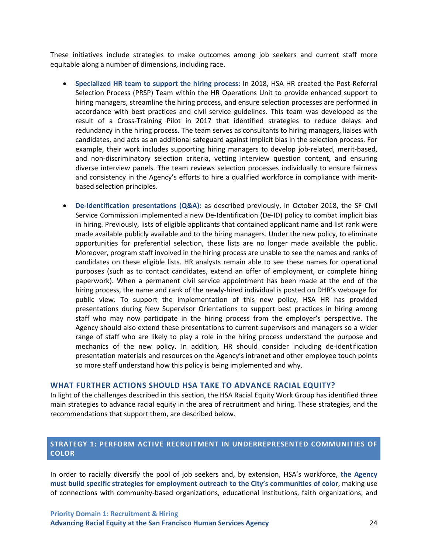These initiatives include strategies to make outcomes among job seekers and current staff more equitable along a number of dimensions, including race.

- **Specialized HR team to support the hiring process:** In 2018, HSA HR created the Post-Referral Selection Process (PRSP) Team within the HR Operations Unit to provide enhanced support to hiring managers, streamline the hiring process, and ensure selection processes are performed in accordance with best practices and civil service guidelines. This team was developed as the result of a Cross-Training Pilot in 2017 that identified strategies to reduce delays and redundancy in the hiring process. The team serves as consultants to hiring managers, liaises with candidates, and acts as an additional safeguard against implicit bias in the selection process. For example, their work includes supporting hiring managers to develop job-related, merit-based, and non-discriminatory selection criteria, vetting interview question content, and ensuring diverse interview panels. The team reviews selection processes individually to ensure fairness and consistency in the Agency's efforts to hire a qualified workforce in compliance with meritbased selection principles.
- **De-Identification presentations (Q&A):** as described previously, in October 2018, the SF Civil Service Commission implemented a new De-Identification (De-ID) policy to combat implicit bias in hiring. Previously, lists of eligible applicants that contained applicant name and list rank were made available publicly available and to the hiring managers. Under the new policy, to eliminate opportunities for preferential selection, these lists are no longer made available the public. Moreover, program staff involved in the hiring process are unable to see the names and ranks of candidates on these eligible lists. HR analysts remain able to see these names for operational purposes (such as to contact candidates, extend an offer of employment, or complete hiring paperwork). When a permanent civil service appointment has been made at the end of the hiring process, the name and rank of the newly-hired individual is posted on DHR's webpage for public view. To support the implementation of this new policy, HSA HR has provided presentations during New Supervisor Orientations to support best practices in hiring among staff who may now participate in the hiring process from the employer's perspective. The Agency should also extend these presentations to current supervisors and managers so a wider range of staff who are likely to play a role in the hiring process understand the purpose and mechanics of the new policy. In addition, HR should consider including de-identification presentation materials and resources on the Agency's intranet and other employee touch points so more staff understand how this policy is being implemented and why.

#### **WHAT FURTHER ACTIONS SHOULD HSA TAKE TO ADVANCE RACIAL EQUITY?**

In light of the challenges described in this section, the HSA Racial Equity Work Group has identified three main strategies to advance racial equity in the area of recruitment and hiring. These strategies, and the recommendations that support them, are described below.

### <span id="page-33-0"></span>**STRATEGY 1: PERFORM ACTIVE RECRUITMENT IN UNDERREPRESENTED COMMUNITIES OF COLOR**

In order to racially diversify the pool of job seekers and, by extension, HSA's workforce, **the Agency must build specific strategies for employment outreach to the City's communities of color**, making use of connections with community-based organizations, educational institutions, faith organizations, and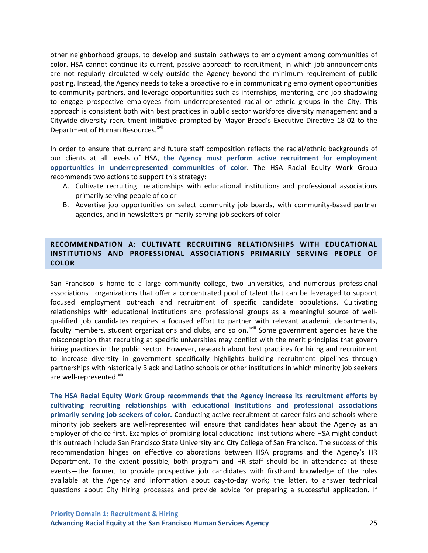other neighborhood groups, to develop and sustain pathways to employment among communities of color. HSA cannot continue its current, passive approach to recruitment, in which job announcements are not regularly circulated widely outside the Agency beyond the minimum requirement of public posting. Instead, the Agency needs to take a proactive role in communicating employment opportunities to community partners, and leverage opportunities such as internships, mentoring, and job shadowing to engage prospective employees from underrepresented racial or ethnic groups in the City. This approach is consistent both with best practices in public sector workforce diversity management and a Citywide diversity recruitment initiative prompted by Mayor Breed's Executive Directive 18-02 to the Department of Human Resources.<sup>[xvii](#page-71-16)</sup>

In order to ensure that current and future staff composition reflects the racial/ethnic backgrounds of our clients at all levels of HSA, **the Agency must perform active recruitment for employment opportunities in underrepresented communities of color**. The HSA Racial Equity Work Group recommends two actions to support this strategy:

- A. Cultivate recruiting relationships with educational institutions and professional associations primarily serving people of color
- B. Advertise job opportunities on select community job boards, with community-based partner agencies, and in newsletters primarily serving job seekers of color

### **RECOMMENDATION A: CULTIVATE RECRUITING RELATIONSHIPS WITH EDUCATIONAL INSTITUTIONS AND PROFESSIONAL ASSOCIATIONS PRIMARILY SERVING PEOPLE OF COLOR**

San Francisco is home to a large community college, two universities, and numerous professional associations—organizations that offer a concentrated pool of talent that can be leveraged to support focused employment outreach and recruitment of specific candidate populations. Cultivating relationships with educational institutions and professional groups as a meaningful source of wellqualified job candidates requires a focused effort to partner with relevant academic departments, faculty members, student organizations and clubs, and so on.<sup>xviii</sup> Some government agencies have the misconception that recruiting at specific universities may conflict with the merit principles that govern hiring practices in the public sector. However, research about best practices for hiring and recruitment to increase diversity in government specifically highlights building recruitment pipelines through partnerships with historically Black and Latino schools or other institutions in which minority job seekers are well-represented.<sup>[xix](#page-71-17)</sup>

**The HSA Racial Equity Work Group recommends that the Agency increase its recruitment efforts by cultivating recruiting relationships with educational institutions and professional associations primarily serving job seekers of color.** Conducting active recruitment at career fairs and schools where minority job seekers are well-represented will ensure that candidates hear about the Agency as an employer of choice first. Examples of promising local educational institutions where HSA might conduct this outreach include San Francisco State University and City College of San Francisco. The success of this recommendation hinges on effective collaborations between HSA programs and the Agency's HR Department. To the extent possible, both program and HR staff should be in attendance at these events—the former, to provide prospective job candidates with firsthand knowledge of the roles available at the Agency and information about day-to-day work; the latter, to answer technical questions about City hiring processes and provide advice for preparing a successful application. If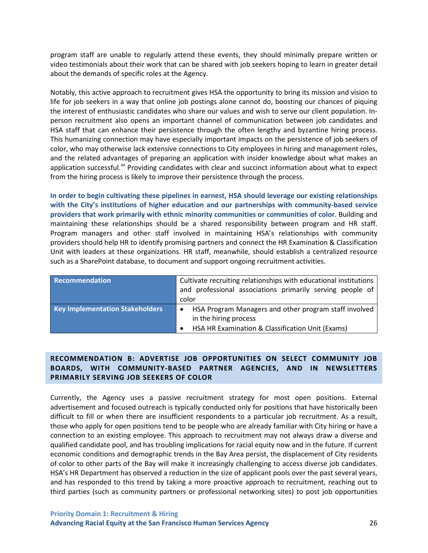program staff are unable to regularly attend these events, they should minimally prepare written or video testimonials about their work that can be shared with job seekers hoping to learn in greater detail about the demands of specific roles at the Agency.

Notably, this active approach to recruitment gives HSA the opportunity to bring its mission and vision to life for job seekers in a way that online job postings alone cannot do, boosting our chances of piquing the interest of enthusiastic candidates who share our values and wish to serve our client population. Inperson recruitment also opens an important channel of communication between job candidates and HSA staff that can enhance their persistence through the often lengthy and byzantine hiring process. This humanizing connection may have especially important impacts on the persistence of job seekers of color, who may otherwise lack extensive connections to City employees in hiring and management roles, and the related advantages of preparing an application with insider knowledge about what makes an application successful.<sup>[xx](#page-71-18)</sup> Providing candidates with clear and succinct information about what to expect from the hiring process is likely to improve their persistence through the process.

**In order to begin cultivating these pipelines in earnest, HSA should leverage our existing relationships with the City's institutions of higher education and our partnerships with community-based service providers that work primarily with ethnic minority communities or communities of color**. Building and maintaining these relationships should be a shared responsibility between program and HR staff. Program managers and other staff involved in maintaining HSA's relationships with community providers should help HR to identify promising partners and connect the HR Examination & Classification Unit with leaders at these organizations. HR staff, meanwhile, should establish a centralized resource such as a SharePoint database, to document and support ongoing recruitment activities.

| Recommendation                         | Cultivate recruiting relationships with educational institutions<br>and professional associations primarily serving people of |  |
|----------------------------------------|-------------------------------------------------------------------------------------------------------------------------------|--|
|                                        | color                                                                                                                         |  |
| <b>Key Implementation Stakeholders</b> | HSA Program Managers and other program staff involved<br>in the hiring process                                                |  |
|                                        | HSA HR Examination & Classification Unit (Exams)                                                                              |  |

### **RECOMMENDATION B: ADVERTISE JOB OPPORTUNITIES ON SELECT COMMUNITY JOB BOARDS, WITH COMMUNITY-BASED PARTNER AGENCIES, AND IN NEWSLETTERS PRIMARILY SERVING JOB SEEKERS OF COLOR**

Currently, the Agency uses a passive recruitment strategy for most open positions. External advertisement and focused outreach is typically conducted only for positions that have historically been difficult to fill or when there are insufficient respondents to a particular job recruitment. As a result, those who apply for open positions tend to be people who are already familiar with City hiring or have a connection to an existing employee. This approach to recruitment may not always draw a diverse and qualified candidate pool, and has troubling implications for racial equity now and in the future. If current economic conditions and demographic trends in the Bay Area persist, the displacement of City residents of color to other parts of the Bay will make it increasingly challenging to access diverse job candidates. HSA's HR Department has observed a reduction in the size of applicant pools over the past several years, and has responded to this trend by taking a more proactive approach to recruitment, reaching out to third parties (such as community partners or professional networking sites) to post job opportunities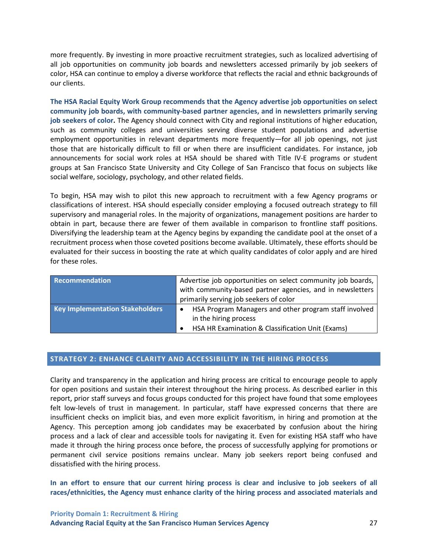more frequently. By investing in more proactive recruitment strategies, such as localized advertising of all job opportunities on community job boards and newsletters accessed primarily by job seekers of color, HSA can continue to employ a diverse workforce that reflects the racial and ethnic backgrounds of our clients.

**The HSA Racial Equity Work Group recommends that the Agency advertise job opportunities on select community job boards, with community-based partner agencies, and in newsletters primarily serving job seekers of color.** The Agency should connect with City and regional institutions of higher education, such as community colleges and universities serving diverse student populations and advertise employment opportunities in relevant departments more frequently—for all job openings, not just those that are historically difficult to fill or when there are insufficient candidates. For instance, job announcements for social work roles at HSA should be shared with Title IV-E programs or student groups at San Francisco State University and City College of San Francisco that focus on subjects like social welfare, sociology, psychology, and other related fields.

To begin, HSA may wish to pilot this new approach to recruitment with a few Agency programs or classifications of interest. HSA should especially consider employing a focused outreach strategy to fill supervisory and managerial roles. In the majority of organizations, management positions are harder to obtain in part, because there are fewer of them available in comparison to frontline staff positions. Diversifying the leadership team at the Agency begins by expanding the candidate pool at the onset of a recruitment process when those coveted positions become available. Ultimately, these efforts should be evaluated for their success in boosting the rate at which quality candidates of color apply and are hired for these roles.

| Recommendation                         | Advertise job opportunities on select community job boards,<br>with community-based partner agencies, and in newsletters |
|----------------------------------------|--------------------------------------------------------------------------------------------------------------------------|
|                                        | primarily serving job seekers of color                                                                                   |
| <b>Key Implementation Stakeholders</b> | HSA Program Managers and other program staff involved<br>in the hiring process                                           |
|                                        | HSA HR Examination & Classification Unit (Exams)                                                                         |

## **STRATEGY 2: ENHANCE CLARITY AND ACCESSIBILITY IN THE HIRING PROCESS**

Clarity and transparency in the application and hiring process are critical to encourage people to apply for open positions and sustain their interest throughout the hiring process. As described earlier in this report, prior staff surveys and focus groups conducted for this project have found that some employees felt low-levels of trust in management. In particular, staff have expressed concerns that there are insufficient checks on implicit bias, and even more explicit favoritism, in hiring and promotion at the Agency. This perception among job candidates may be exacerbated by confusion about the hiring process and a lack of clear and accessible tools for navigating it. Even for existing HSA staff who have made it through the hiring process once before, the process of successfully applying for promotions or permanent civil service positions remains unclear. Many job seekers report being confused and dissatisfied with the hiring process.

**In an effort to ensure that our current hiring process is clear and inclusive to job seekers of all races/ethnicities, the Agency must enhance clarity of the hiring process and associated materials and**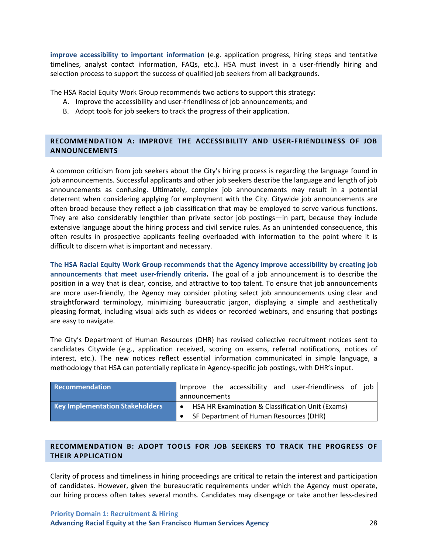**improve accessibility to important information** (e.g. application progress, hiring steps and tentative timelines, analyst contact information, FAQs, etc.). HSA must invest in a user-friendly hiring and selection process to support the success of qualified job seekers from all backgrounds.

The HSA Racial Equity Work Group recommends two actions to support this strategy:

- A. Improve the accessibility and user-friendliness of job announcements; and
- B. Adopt tools for job seekers to track the progress of their application.

## **RECOMMENDATION A: IMPROVE THE ACCESSIBILITY AND USER-FRIENDLINESS OF JOB ANNOUNCEMENTS**

A common criticism from job seekers about the City's hiring process is regarding the language found in job announcements. Successful applicants and other job seekers describe the language and length of job announcements as confusing. Ultimately, complex job announcements may result in a potential deterrent when considering applying for employment with the City. Citywide job announcements are often broad because they reflect a job classification that may be employed to serve various functions. They are also considerably lengthier than private sector job postings—in part, because they include extensive language about the hiring process and civil service rules. As an unintended consequence, this often results in prospective applicants feeling overloaded with information to the point where it is difficult to discern what is important and necessary.

**The HSA Racial Equity Work Group recommends that the Agency improve accessibility by creating job announcements that meet user-friendly criteria.** The goal of a job announcement is to describe the position in a way that is clear, concise, and attractive to top talent. To ensure that job announcements are more user-friendly, the Agency may consider piloting select job announcements using clear and straightforward terminology, minimizing bureaucratic jargon, displaying a simple and aesthetically pleasing format, including visual aids such as videos or recorded webinars, and ensuring that postings are easy to navigate.

The City's Department of Human Resources (DHR) has revised collective recruitment notices sent to candidates Citywide (e.g., application received, scoring on exams, referral notifications, notices of interest, etc.). The new notices reflect essential information communicated in simple language, a methodology that HSA can potentially replicate in Agency-specific job postings, with DHR's input.

| Recommendation                         | Improve the accessibility and user-friendliness of job |
|----------------------------------------|--------------------------------------------------------|
|                                        | announcements                                          |
| <b>Key Implementation Stakeholders</b> | HSA HR Examination & Classification Unit (Exams)       |
|                                        | SF Department of Human Resources (DHR)                 |

## **RECOMMENDATION B: ADOPT TOOLS FOR JOB SEEKERS TO TRACK THE PROGRESS OF THEIR APPLICATION**

Clarity of process and timeliness in hiring proceedings are critical to retain the interest and participation of candidates. However, given the bureaucratic requirements under which the Agency must operate, our hiring process often takes several months. Candidates may disengage or take another less-desired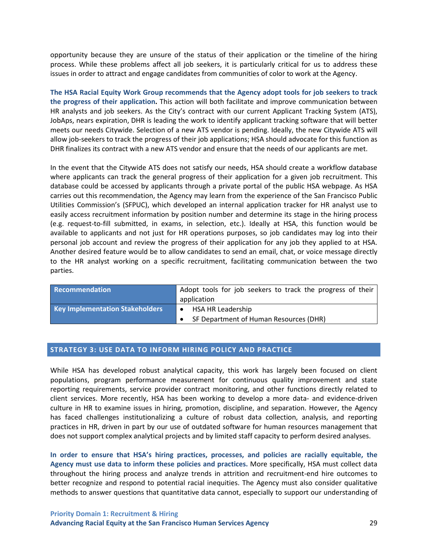opportunity because they are unsure of the status of their application or the timeline of the hiring process. While these problems affect all job seekers, it is particularly critical for us to address these issues in order to attract and engage candidates from communities of color to work at the Agency.

**The HSA Racial Equity Work Group recommends that the Agency adopt tools for job seekers to track the progress of their application.** This action will both facilitate and improve communication between HR analysts and job seekers. As the City's contract with our current Applicant Tracking System (ATS), JobAps, nears expiration, DHR is leading the work to identify applicant tracking software that will better meets our needs Citywide. Selection of a new ATS vendor is pending. Ideally, the new Citywide ATS will allow job-seekers to track the progress of their job applications; HSA should advocate for this function as DHR finalizes its contract with a new ATS vendor and ensure that the needs of our applicants are met.

In the event that the Citywide ATS does not satisfy our needs, HSA should create a workflow database where applicants can track the general progress of their application for a given job recruitment. This database could be accessed by applicants through a private portal of the public HSA webpage. As HSA carries out this recommendation, the Agency may learn from the experience of the San Francisco Public Utilities Commission's (SFPUC), which developed an internal application tracker for HR analyst use to easily access recruitment information by position number and determine its stage in the hiring process (e.g. request-to-fill submitted, in exams, in selection, etc.). Ideally at HSA, this function would be available to applicants and not just for HR operations purposes, so job candidates may log into their personal job account and review the progress of their application for any job they applied to at HSA. Another desired feature would be to allow candidates to send an email, chat, or voice message directly to the HR analyst working on a specific recruitment, facilitating communication between the two parties.

| Recommendation                         | Adopt tools for job seekers to track the progress of their |
|----------------------------------------|------------------------------------------------------------|
|                                        | application                                                |
| <b>Key Implementation Stakeholders</b> | <b>HSA HR Leadership</b><br>$\bullet$                      |
|                                        | SF Department of Human Resources (DHR)                     |

## **STRATEGY 3: USE DATA TO INFORM HIRING POLICY AND PRACTICE**

While HSA has developed robust analytical capacity, this work has largely been focused on client populations, program performance measurement for continuous quality improvement and state reporting requirements, service provider contract monitoring, and other functions directly related to client services. More recently, HSA has been working to develop a more data- and evidence-driven culture in HR to examine issues in hiring, promotion, discipline, and separation. However, the Agency has faced challenges institutionalizing a culture of robust data collection, analysis, and reporting practices in HR, driven in part by our use of outdated software for human resources management that does not support complex analytical projects and by limited staff capacity to perform desired analyses.

**In order to ensure that HSA's hiring practices, processes, and policies are racially equitable, the Agency must use data to inform these policies and practices.** More specifically, HSA must collect data throughout the hiring process and analyze trends in attrition and recruitment-end hire outcomes to better recognize and respond to potential racial inequities. The Agency must also consider qualitative methods to answer questions that quantitative data cannot, especially to support our understanding of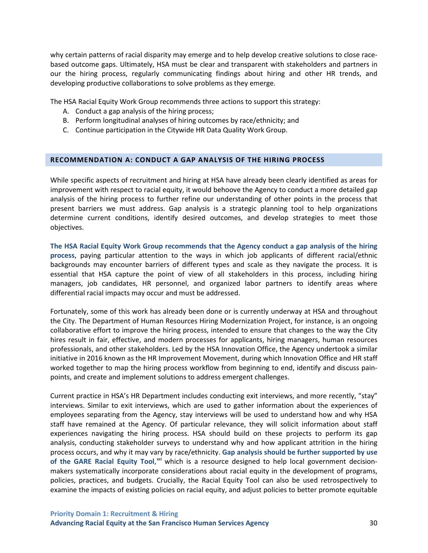why certain patterns of racial disparity may emerge and to help develop creative solutions to close racebased outcome gaps. Ultimately, HSA must be clear and transparent with stakeholders and partners in our the hiring process, regularly communicating findings about hiring and other HR trends, and developing productive collaborations to solve problems as they emerge.

The HSA Racial Equity Work Group recommends three actions to support this strategy:

- A. Conduct a gap analysis of the hiring process;
- B. Perform longitudinal analyses of hiring outcomes by race/ethnicity; and
- C. Continue participation in the Citywide HR Data Quality Work Group.

#### **RECOMMENDATION A: CONDUCT A GAP ANALYSIS OF THE HIRING PROCESS**

While specific aspects of recruitment and hiring at HSA have already been clearly identified as areas for improvement with respect to racial equity, it would behoove the Agency to conduct a more detailed gap analysis of the hiring process to further refine our understanding of other points in the process that present barriers we must address. Gap analysis is a strategic planning tool to help organizations determine current conditions, identify desired outcomes, and develop strategies to meet those objectives.

**The HSA Racial Equity Work Group recommends that the Agency conduct a gap analysis of the hiring process**, paying particular attention to the ways in which job applicants of different racial/ethnic backgrounds may encounter barriers of different types and scale as they navigate the process. It is essential that HSA capture the point of view of all stakeholders in this process, including hiring managers, job candidates, HR personnel, and organized labor partners to identify areas where differential racial impacts may occur and must be addressed.

Fortunately, some of this work has already been done or is currently underway at HSA and throughout the City. The Department of Human Resources Hiring Modernization Project, for instance, is an ongoing collaborative effort to improve the hiring process, intended to ensure that changes to the way the City hires result in fair, effective, and modern processes for applicants, hiring managers, human resources professionals, and other stakeholders. Led by the HSA Innovation Office, the Agency undertook a similar initiative in 2016 known as the HR Improvement Movement, during which Innovation Office and HR staff worked together to map the hiring process workflow from beginning to end, identify and discuss painpoints, and create and implement solutions to address emergent challenges.

Current practice in HSA's HR Department includes conducting exit interviews, and more recently, "stay" interviews. Similar to exit interviews, which are used to gather information about the experiences of employees separating from the Agency, stay interviews will be used to understand how and why HSA staff have remained at the Agency. Of particular relevance, they will solicit information about staff experiences navigating the hiring process. HSA should build on these projects to perform its gap analysis, conducting stakeholder surveys to understand why and how applicant attrition in the hiring process occurs, and why it may vary by race/ethnicity. **Gap analysis should be further supported by use**  of the GARE Racial Equity Tool,<sup>[xxi](#page-71-0)</sup> which is a resource designed to help local government decisionmakers systematically incorporate considerations about racial equity in the development of programs, policies, practices, and budgets. Crucially, the Racial Equity Tool can also be used retrospectively to examine the impacts of existing policies on racial equity, and adjust policies to better promote equitable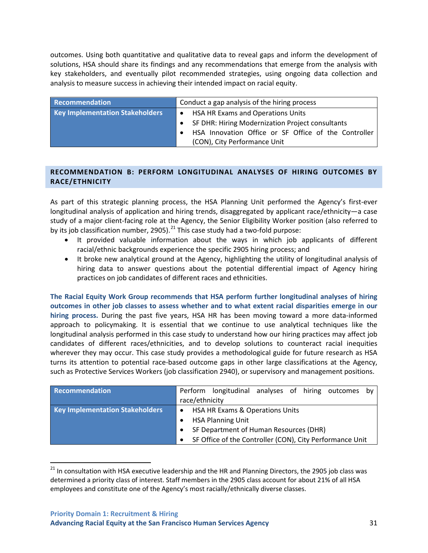outcomes. Using both quantitative and qualitative data to reveal gaps and inform the development of solutions, HSA should share its findings and any recommendations that emerge from the analysis with key stakeholders, and eventually pilot recommended strategies, using ongoing data collection and analysis to measure success in achieving their intended impact on racial equity.

| Recommendation                         | Conduct a gap analysis of the hiring process         |
|----------------------------------------|------------------------------------------------------|
| <b>Key Implementation Stakeholders</b> | HSA HR Exams and Operations Units<br>$\bullet$       |
|                                        | SF DHR: Hiring Modernization Project consultants     |
|                                        | HSA Innovation Office or SF Office of the Controller |
|                                        | (CON), City Performance Unit                         |

## **RECOMMENDATION B: PERFORM LONGITUDINAL ANALYSES OF HIRING OUTCOMES BY RACE/ETHNICITY**

As part of this strategic planning process, the HSA Planning Unit performed the Agency's first-ever longitudinal analysis of application and hiring trends, disaggregated by applicant race/ethnicity—a case study of a major client-facing role at the Agency, the Senior Eligibility Worker position (also referred to by its job classification number, 2905).<sup>[21](#page-40-0)</sup> This case study had a two-fold purpose:

- It provided valuable information about the ways in which job applicants of different racial/ethnic backgrounds experience the specific 2905 hiring process; and
- It broke new analytical ground at the Agency, highlighting the utility of longitudinal analysis of hiring data to answer questions about the potential differential impact of Agency hiring practices on job candidates of different races and ethnicities.

**The Racial Equity Work Group recommends that HSA perform further longitudinal analyses of hiring outcomes in other job classes to assess whether and to what extent racial disparities emerge in our hiring process.** During the past five years, HSA HR has been moving toward a more data-informed approach to policymaking. It is essential that we continue to use analytical techniques like the longitudinal analysis performed in this case study to understand how our hiring practices may affect job candidates of different races/ethnicities, and to develop solutions to counteract racial inequities wherever they may occur. This case study provides a methodological guide for future research as HSA turns its attention to potential race-based outcome gaps in other large classifications at the Agency, such as Protective Services Workers (job classification 2940), or supervisory and management positions.

| <b>Recommendation</b>                  | Perform longitudinal analyses of hiring outcomes<br>bv<br>race/ethnicity |
|----------------------------------------|--------------------------------------------------------------------------|
| <b>Key Implementation Stakeholders</b> | HSA HR Exams & Operations Units<br>$\bullet$                             |
|                                        | <b>HSA Planning Unit</b>                                                 |
|                                        | SF Department of Human Resources (DHR)                                   |
|                                        | SF Office of the Controller (CON), City Performance Unit<br>$\bullet$    |

<span id="page-40-0"></span><sup>&</sup>lt;sup>21</sup> In consultation with HSA executive leadership and the HR and Planning Directors, the 2905 job class was determined a priority class of interest. Staff members in the 2905 class account for about 21% of all HSA employees and constitute one of the Agency's most racially/ethnically diverse classes.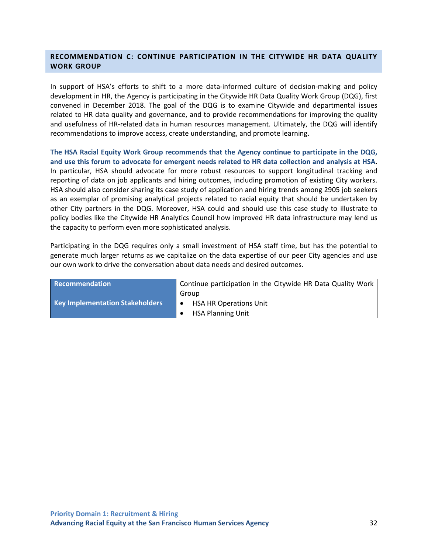## **RECOMMENDATION C: CONTINUE PARTICIPATION IN THE CITYWIDE HR DATA QUALITY WORK GROUP**

In support of HSA's efforts to shift to a more data-informed culture of decision-making and policy development in HR, the Agency is participating in the Citywide HR Data Quality Work Group (DQG), first convened in December 2018. The goal of the DQG is to examine Citywide and departmental issues related to HR data quality and governance, and to provide recommendations for improving the quality and usefulness of HR-related data in human resources management. Ultimately, the DQG will identify recommendations to improve access, create understanding, and promote learning.

**The HSA Racial Equity Work Group recommends that the Agency continue to participate in the DQG, and use this forum to advocate for emergent needs related to HR data collection and analysis at HSA.** In particular, HSA should advocate for more robust resources to support longitudinal tracking and reporting of data on job applicants and hiring outcomes, including promotion of existing City workers. HSA should also consider sharing its case study of application and hiring trends among 2905 job seekers as an exemplar of promising analytical projects related to racial equity that should be undertaken by other City partners in the DQG. Moreover, HSA could and should use this case study to illustrate to policy bodies like the Citywide HR Analytics Council how improved HR data infrastructure may lend us the capacity to perform even more sophisticated analysis.

Participating in the DQG requires only a small investment of HSA staff time, but has the potential to generate much larger returns as we capitalize on the data expertise of our peer City agencies and use our own work to drive the conversation about data needs and desired outcomes.

| <b>Recommendation</b>                  | Continue participation in the Citywide HR Data Quality Work |
|----------------------------------------|-------------------------------------------------------------|
|                                        | Group                                                       |
| <b>Key Implementation Stakeholders</b> | <b>HSA HR Operations Unit</b>                               |
|                                        | <b>HSA Planning Unit</b>                                    |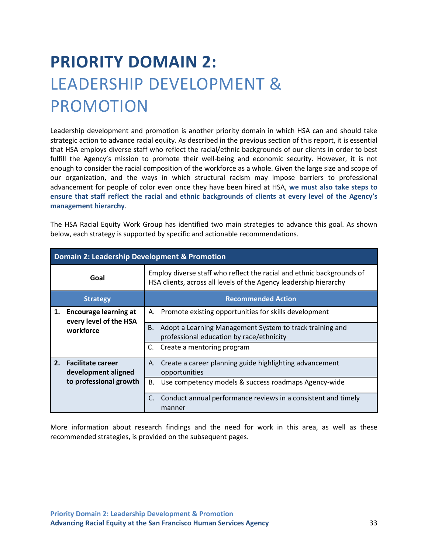# **PRIORITY DOMAIN 2:** LEADERSHIP DEVELOPMENT & PROMOTION

Leadership development and promotion is another priority domain in which HSA can and should take strategic action to advance racial equity. As described in the previous section of this report, it is essential that HSA employs diverse staff who reflect the racial/ethnic backgrounds of our clients in order to best fulfill the Agency's mission to promote their well-being and economic security. However, it is not enough to consider the racial composition of the workforce as a whole. Given the large size and scope of our organization, and the ways in which structural racism may impose barriers to professional advancement for people of color even once they have been hired at HSA, **we must also take steps to ensure that staff reflect the racial and ethnic backgrounds of clients at every level of the Agency's management hierarchy**.

The HSA Racial Equity Work Group has identified two main strategies to advance this goal. As shown below, each strategy is supported by specific and actionable recommendations.

|    | <b>Domain 2: Leadership Development &amp; Promotion</b> |                                                                                                                                            |  |
|----|---------------------------------------------------------|--------------------------------------------------------------------------------------------------------------------------------------------|--|
|    | Goal                                                    | Employ diverse staff who reflect the racial and ethnic backgrounds of<br>HSA clients, across all levels of the Agency leadership hierarchy |  |
|    | <b>Strategy</b>                                         | <b>Recommended Action</b>                                                                                                                  |  |
| 1. | <b>Encourage learning at</b><br>every level of the HSA  | Promote existing opportunities for skills development<br>А.                                                                                |  |
|    | workforce                                               | Adopt a Learning Management System to track training and<br>В.<br>professional education by race/ethnicity                                 |  |
|    |                                                         | Create a mentoring program<br>C.                                                                                                           |  |
|    | 2. Facilitate career<br>development aligned             | A. Create a career planning guide highlighting advancement<br>opportunities                                                                |  |
|    | to professional growth                                  | Use competency models & success roadmaps Agency-wide<br>В.                                                                                 |  |
|    |                                                         | Conduct annual performance reviews in a consistent and timely<br>manner                                                                    |  |

More information about research findings and the need for work in this area, as well as these recommended strategies, is provided on the subsequent pages.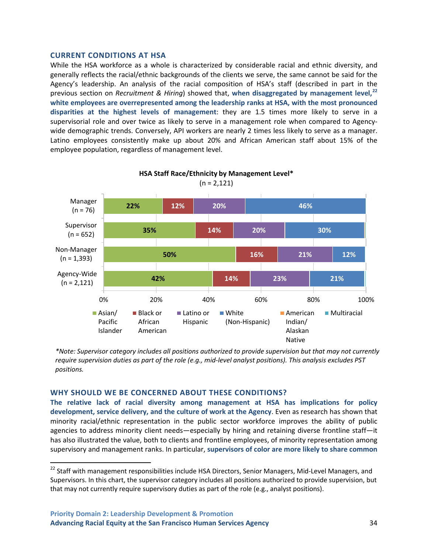#### **CURRENT CONDITIONS AT HSA**

While the HSA workforce as a whole is characterized by considerable racial and ethnic diversity, and generally reflects the racial/ethnic backgrounds of the clients we serve, the same cannot be said for the Agency's leadership. An analysis of the racial composition of HSA's staff (described in part in the previous section on *Recruitment & Hiring*) showed that, **when disaggregated by management level,[22](#page-43-0) white employees are overrepresented among the leadership ranks at HSA, with the most pronounced disparities at the highest levels of management**: they are 1.5 times more likely to serve in a supervisorial role and over twice as likely to serve in a management role when compared to Agencywide demographic trends. Conversely, API workers are nearly 2 times less likely to serve as a manager. Latino employees consistently make up about 20% and African American staff about 15% of the employee population, regardless of management level.



**HSA Staff Race/Ethnicity by Management Level\***  $(n = 2, 121)$ 

*\*Note: Supervisor category includes all positions authorized to provide supervision but that may not currently require supervision duties as part of the role (e.g., mid-level analyst positions). This analysis excludes PST positions.*

#### **WHY SHOULD WE BE CONCERNED ABOUT THESE CONDITIONS?**

**The relative lack of racial diversity among management at HSA has implications for policy development, service delivery, and the culture of work at the Agency**. Even as research has shown that minority racial/ethnic representation in the public sector workforce improves the ability of public agencies to address minority client needs—especially by hiring and retaining diverse frontline staff—it has also illustrated the value, both to clients and frontline employees, of minority representation among supervisory and management ranks. In particular, **supervisors of color are more likely to share common** 

<span id="page-43-0"></span><sup>&</sup>lt;sup>22</sup> Staff with management responsibilities include HSA Directors, Senior Managers, Mid-Level Managers, and Supervisors. In this chart, the supervisor category includes all positions authorized to provide supervision, but that may not currently require supervisory duties as part of the role (e.g., analyst positions).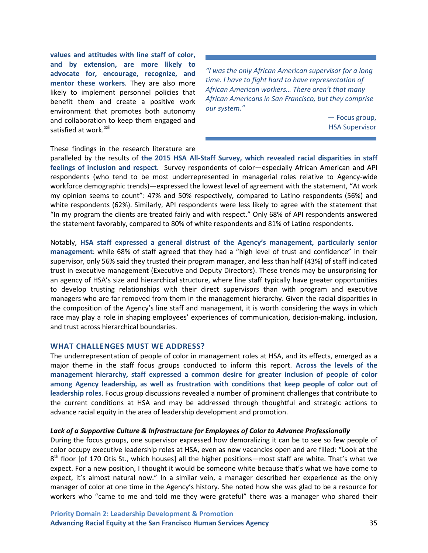**values and attitudes with line staff of color, and by extension, are more likely to advocate for, encourage, recognize, and mentor these workers**. They are also more likely to implement personnel policies that benefit them and create a positive work environment that promotes both autonomy and collaboration to keep them engaged and satisfied at work.<sup>[xxii](#page-71-1)</sup>

*"I was the only African American supervisor for a long time. I have to fight hard to have representation of African American workers… There aren't that many African Americans in San Francisco, but they comprise our system."*

> — Focus group, HSA Supervisor

These findings in the research literature are

paralleled by the results of **the 2015 HSA All-Staff Survey, which revealed racial disparities in staff feelings of inclusion and respect**. Survey respondents of color—especially African American and API respondents (who tend to be most underrepresented in managerial roles relative to Agency-wide workforce demographic trends)—expressed the lowest level of agreement with the statement, "At work my opinion seems to count": 47% and 50% respectively, compared to Latino respondents (56%) and white respondents (62%). Similarly, API respondents were less likely to agree with the statement that "In my program the clients are treated fairly and with respect." Only 68% of API respondents answered the statement favorably, compared to 80% of white respondents and 81% of Latino respondents.

Notably, **HSA staff expressed a general distrust of the Agency's management, particularly senior management**: while 68% of staff agreed that they had a "high level of trust and confidence" in their supervisor, only 56% said they trusted their program manager, and less than half (43%) of staff indicated trust in executive management (Executive and Deputy Directors). These trends may be unsurprising for an agency of HSA's size and hierarchical structure, where line staff typically have greater opportunities to develop trusting relationships with their direct supervisors than with program and executive managers who are far removed from them in the management hierarchy. Given the racial disparities in the composition of the Agency's line staff and management, it is worth considering the ways in which race may play a role in shaping employees' experiences of communication, decision-making, inclusion, and trust across hierarchical boundaries.

#### **WHAT CHALLENGES MUST WE ADDRESS?**

The underrepresentation of people of color in management roles at HSA, and its effects, emerged as a major theme in the staff focus groups conducted to inform this report. **Across the levels of the management hierarchy, staff expressed a common desire for greater inclusion of people of color among Agency leadership, as well as frustration with conditions that keep people of color out of leadership roles**. Focus group discussions revealed a number of prominent challenges that contribute to the current conditions at HSA and may be addressed through thoughtful and strategic actions to advance racial equity in the area of leadership development and promotion.

#### *Lack of a Supportive Culture & Infrastructure for Employees of Color to Advance Professionally*

During the focus groups, one supervisor expressed how demoralizing it can be to see so few people of color occupy executive leadership roles at HSA, even as new vacancies open and are filled: "Look at the  $8<sup>th</sup>$  floor [of 170 Otis St., which houses] all the higher positions—most staff are white. That's what we expect. For a new position, I thought it would be someone white because that's what we have come to expect, it's almost natural now." In a similar vein, a manager described her experience as the only manager of color at one time in the Agency's history. She noted how she was glad to be a resource for workers who "came to me and told me they were grateful" there was a manager who shared their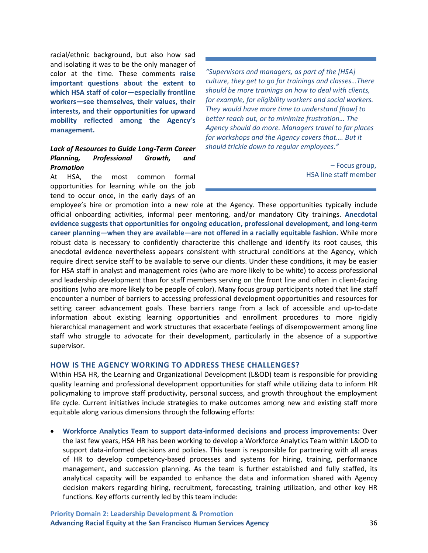racial/ethnic background, but also how sad and isolating it was to be the only manager of color at the time. These comments **raise important questions about the extent to which HSA staff of color—especially frontline workers—see themselves, their values, their interests, and their opportunities for upward mobility reflected among the Agency's management.**

#### *Lack of Resources to Guide Long-Term Career Planning, Professional Growth, and Promotion*

At HSA, the most common formal opportunities for learning while on the iob tend to occur once, in the early days of an

*"Supervisors and managers, as part of the [HSA] culture, they get to go for trainings and classes…There should be more trainings on how to deal with clients, for example, for eligibility workers and social workers. They would have more time to understand [how] to better reach out, or to minimize frustration… The Agency should do more. Managers travel to far places for workshops and the Agency covers that…. But it should trickle down to regular employees."* 

> – Focus group, HSA line staff member

employee's hire or promotion into a new role at the Agency. These opportunities typically include official onboarding activities, informal peer mentoring, and/or mandatory City trainings. **Anecdotal evidence suggests that opportunities for ongoing education, professional development, and long-term career planning—when they are available—are not offered in a racially equitable fashion.** While more robust data is necessary to confidently characterize this challenge and identify its root causes, this anecdotal evidence nevertheless appears consistent with structural conditions at the Agency, which require direct service staff to be available to serve our clients. Under these conditions, it may be easier for HSA staff in analyst and management roles (who are more likely to be white) to access professional and leadership development than for staff members serving on the front line and often in client-facing positions (who are more likely to be people of color). Many focus group participants noted that line staff encounter a number of barriers to accessing professional development opportunities and resources for setting career advancement goals. These barriers range from a lack of accessible and up-to-date information about existing learning opportunities and enrollment procedures to more rigidly hierarchical management and work structures that exacerbate feelings of disempowerment among line staff who struggle to advocate for their development, particularly in the absence of a supportive supervisor.

#### **HOW IS THE AGENCY WORKING TO ADDRESS THESE CHALLENGES?**

Within HSA HR, the Learning and Organizational Development (L&OD) team is responsible for providing quality learning and professional development opportunities for staff while utilizing data to inform HR policymaking to improve staff productivity, personal success, and growth throughout the employment life cycle. Current initiatives include strategies to make outcomes among new and existing staff more equitable along various dimensions through the following efforts:

• **Workforce Analytics Team to support data-informed decisions and process improvements:** Over the last few years, HSA HR has been working to develop a Workforce Analytics Team within L&OD to support data-informed decisions and policies. This team is responsible for partnering with all areas of HR to develop competency-based processes and systems for hiring, training, performance management, and succession planning. As the team is further established and fully staffed, its analytical capacity will be expanded to enhance the data and information shared with Agency decision makers regarding hiring, recruitment, forecasting, training utilization, and other key HR functions. Key efforts currently led by this team include: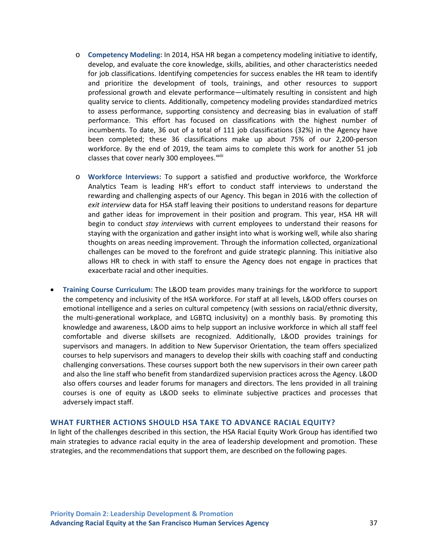- o **Competency Modeling:** In 2014, HSA HR began a competency modeling initiative to identify, develop, and evaluate the core knowledge, skills, abilities, and other characteristics needed for job classifications. Identifying competencies for success enables the HR team to identify and prioritize the development of tools, trainings, and other resources to support professional growth and elevate performance—ultimately resulting in consistent and high quality service to clients. Additionally, competency modeling provides standardized metrics to assess performance, supporting consistency and decreasing bias in evaluation of staff performance. This effort has focused on classifications with the highest number of incumbents. To date, 36 out of a total of 111 job classifications (32%) in the Agency have been completed; these 36 classifications make up about 75% of our 2,200-person workforce. By the end of 2019, the team aims to complete this work for another 51 job classes that cover nearly 300 employees.<sup>xxiii</sup>
- o **Workforce Interviews:** To support a satisfied and productive workforce, the Workforce Analytics Team is leading HR's effort to conduct staff interviews to understand the rewarding and challenging aspects of our Agency. This began in 2016 with the collection of *exit interview* data for HSA staff leaving their positions to understand reasons for departure and gather ideas for improvement in their position and program. This year, HSA HR will begin to conduct *stay interviews* with current employees to understand their reasons for staying with the organization and gather insight into what is working well, while also sharing thoughts on areas needing improvement. Through the information collected, organizational challenges can be moved to the forefront and guide strategic planning. This initiative also allows HR to check in with staff to ensure the Agency does not engage in practices that exacerbate racial and other inequities.
- **Training Course Curriculum:** The L&OD team provides many trainings for the workforce to support the competency and inclusivity of the HSA workforce. For staff at all levels, L&OD offers courses on emotional intelligence and a series on cultural competency (with sessions on racial/ethnic diversity, the multi-generational workplace, and LGBTQ inclusivity) on a monthly basis. By promoting this knowledge and awareness, L&OD aims to help support an inclusive workforce in which all staff feel comfortable and diverse skillsets are recognized. Additionally, L&OD provides trainings for supervisors and managers. In addition to New Supervisor Orientation, the team offers specialized courses to help supervisors and managers to develop their skills with coaching staff and conducting challenging conversations. These courses support both the new supervisors in their own career path and also the line staff who benefit from standardized supervision practices across the Agency. L&OD also offers courses and leader forums for managers and directors. The lens provided in all training courses is one of equity as L&OD seeks to eliminate subjective practices and processes that adversely impact staff.

#### **WHAT FURTHER ACTIONS SHOULD HSA TAKE TO ADVANCE RACIAL EQUITY?**

In light of the challenges described in this section, the HSA Racial Equity Work Group has identified two main strategies to advance racial equity in the area of leadership development and promotion. These strategies, and the recommendations that support them, are described on the following pages.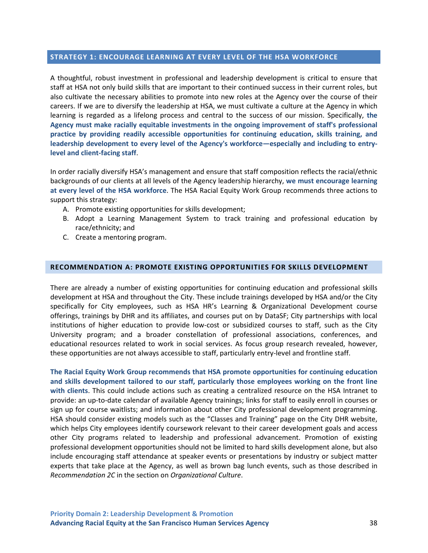#### **STRATEGY 1: ENCOURAGE LEARNING AT EVERY LEVEL OF THE HSA WORKFORCE**

A thoughtful, robust investment in professional and leadership development is critical to ensure that staff at HSA not only build skills that are important to their continued success in their current roles, but also cultivate the necessary abilities to promote into new roles at the Agency over the course of their careers. If we are to diversify the leadership at HSA, we must cultivate a culture at the Agency in which learning is regarded as a lifelong process and central to the success of our mission. Specifically, **the Agency must make racially equitable investments in the ongoing improvement of staff's professional practice by providing readily accessible opportunities for continuing education, skills training, and leadership development to every level of the Agency's workforce—especially and including to entrylevel and client-facing staff**.

In order racially diversify HSA's management and ensure that staff composition reflects the racial/ethnic backgrounds of our clients at all levels of the Agency leadership hierarchy, **we must encourage learning at every level of the HSA workforce**. The HSA Racial Equity Work Group recommends three actions to support this strategy:

- A. Promote existing opportunities for skills development;
- B. Adopt a Learning Management System to track training and professional education by race/ethnicity; and
- C. Create a mentoring program.

#### **RECOMMENDATION A: PROMOTE EXISTING OPPORTUNITIES FOR SKILLS DEVELOPMENT**

There are already a number of existing opportunities for continuing education and professional skills development at HSA and throughout the City. These include trainings developed by HSA and/or the City specifically for City employees, such as HSA HR's Learning & Organizational Development course offerings, trainings by DHR and its affiliates, and courses put on by DataSF; City partnerships with local institutions of higher education to provide low-cost or subsidized courses to staff, such as the City University program; and a broader constellation of professional associations, conferences, and educational resources related to work in social services. As focus group research revealed, however, these opportunities are not always accessible to staff, particularly entry-level and frontline staff.

**The Racial Equity Work Group recommends that HSA promote opportunities for continuing education and skills development tailored to our staff, particularly those employees working on the front line with clients**. This could include actions such as creating a centralized resource on the HSA Intranet to provide: an up-to-date calendar of available Agency trainings; links for staff to easily enroll in courses or sign up for course waitlists; and information about other City professional development programming. HSA should consider existing models such as the "Classes and Training" page on the City DHR website, which helps City employees identify coursework relevant to their career development goals and access other City programs related to leadership and professional advancement. Promotion of existing professional development opportunities should not be limited to hard skills development alone, but also include encouraging staff attendance at speaker events or presentations by industry or subject matter experts that take place at the Agency, as well as brown bag lunch events, such as those described in *Recommendation 2C* in the section on *Organizational Culture*.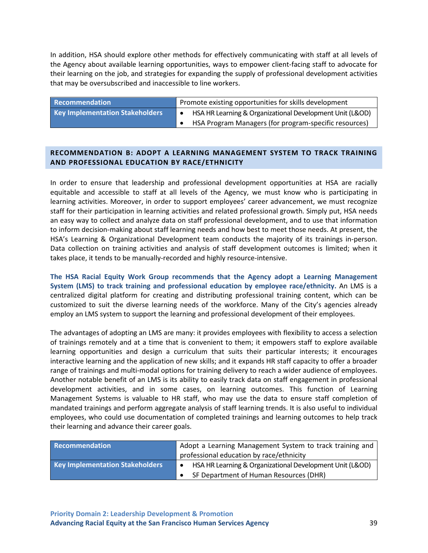In addition, HSA should explore other methods for effectively communicating with staff at all levels of the Agency about available learning opportunities, ways to empower client-facing staff to advocate for their learning on the job, and strategies for expanding the supply of professional development activities that may be oversubscribed and inaccessible to line workers.

| Recommendation                         | Promote existing opportunities for skills development    |
|----------------------------------------|----------------------------------------------------------|
| <b>Key Implementation Stakeholders</b> | HSA HR Learning & Organizational Development Unit (L&OD) |
|                                        | HSA Program Managers (for program-specific resources)    |

## **RECOMMENDATION B: ADOPT A LEARNING MANAGEMENT SYSTEM TO TRACK TRAINING AND PROFESSIONAL EDUCATION BY RACE/ETHNICITY**

In order to ensure that leadership and professional development opportunities at HSA are racially equitable and accessible to staff at all levels of the Agency, we must know who is participating in learning activities. Moreover, in order to support employees' career advancement, we must recognize staff for their participation in learning activities and related professional growth. Simply put, HSA needs an easy way to collect and analyze data on staff professional development, and to use that information to inform decision-making about staff learning needs and how best to meet those needs. At present, the HSA's Learning & Organizational Development team conducts the majority of its trainings in-person. Data collection on training activities and analysis of staff development outcomes is limited; when it takes place, it tends to be manually-recorded and highly resource-intensive.

**The HSA Racial Equity Work Group recommends that the Agency adopt a Learning Management System (LMS) to track training and professional education by employee race/ethnicity.** An LMS is a centralized digital platform for creating and distributing professional training content, which can be customized to suit the diverse learning needs of the workforce. Many of the City's agencies already employ an LMS system to support the learning and professional development of their employees.

The advantages of adopting an LMS are many: it provides employees with flexibility to access a selection of trainings remotely and at a time that is convenient to them; it empowers staff to explore available learning opportunities and design a curriculum that suits their particular interests; it encourages interactive learning and the application of new skills; and it expands HR staff capacity to offer a broader range of trainings and multi-modal options for training delivery to reach a wider audience of employees. Another notable benefit of an LMS is its ability to easily track data on staff engagement in professional development activities, and in some cases, on learning outcomes. This function of Learning Management Systems is valuable to HR staff, who may use the data to ensure staff completion of mandated trainings and perform aggregate analysis of staff learning trends. It is also useful to individual employees, who could use documentation of completed trainings and learning outcomes to help track their learning and advance their career goals.

| Recommendation                         | Adopt a Learning Management System to track training and |
|----------------------------------------|----------------------------------------------------------|
|                                        | professional education by race/ethnicity                 |
| <b>Key Implementation Stakeholders</b> | HSA HR Learning & Organizational Development Unit (L&OD) |
|                                        | SF Department of Human Resources (DHR)                   |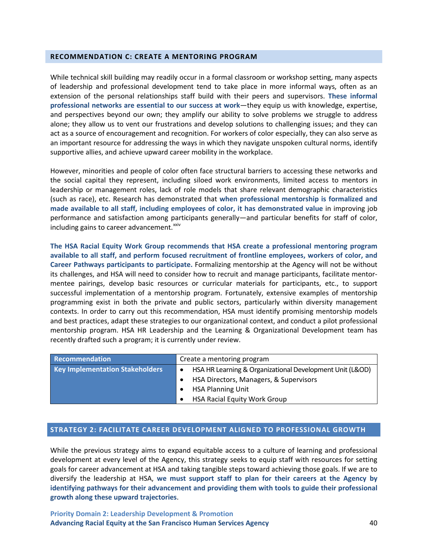#### **RECOMMENDATION C: CREATE A MENTORING PROGRAM**

While technical skill building may readily occur in a formal classroom or workshop setting, many aspects of leadership and professional development tend to take place in more informal ways, often as an extension of the personal relationships staff build with their peers and supervisors. **These informal professional networks are essential to our success at work**—they equip us with knowledge, expertise, and perspectives beyond our own; they amplify our ability to solve problems we struggle to address alone; they allow us to vent our frustrations and develop solutions to challenging issues; and they can act as a source of encouragement and recognition. For workers of color especially, they can also serve as an important resource for addressing the ways in which they navigate unspoken cultural norms, identify supportive allies, and achieve upward career mobility in the workplace.

However, minorities and people of color often face structural barriers to accessing these networks and the social capital they represent, including siloed work environments, limited access to mentors in leadership or management roles, lack of role models that share relevant demographic characteristics (such as race), etc. Research has demonstrated that **when professional mentorship is formalized and made available to all staff, including employees of color, it has demonstrated value** in improving job performance and satisfaction among participants generally—and particular benefits for staff of color, including gains to career advancement.<sup>[xxiv](#page-71-2)</sup>

**The HSA Racial Equity Work Group recommends that HSA create a professional mentoring program available to all staff, and perform focused recruitment of frontline employees, workers of color, and Career Pathways participants to participate.** Formalizing mentorship at the Agency will not be without its challenges, and HSA will need to consider how to recruit and manage participants, facilitate mentormentee pairings, develop basic resources or curricular materials for participants, etc., to support successful implementation of a mentorship program. Fortunately, extensive examples of mentorship programming exist in both the private and public sectors, particularly within diversity management contexts. In order to carry out this recommendation, HSA must identify promising mentorship models and best practices, adapt these strategies to our organizational context, and conduct a pilot professional mentorship program. HSA HR Leadership and the Learning & Organizational Development team has recently drafted such a program; it is currently under review.

| Recommendation                  | Create a mentoring program                               |
|---------------------------------|----------------------------------------------------------|
| Key Implementation Stakeholders | HSA HR Learning & Organizational Development Unit (L&OD) |
|                                 | HSA Directors, Managers, & Supervisors                   |
|                                 | <b>HSA Planning Unit</b>                                 |
|                                 | <b>HSA Racial Equity Work Group</b>                      |

## **STRATEGY 2: FACILITATE CAREER DEVELOPMENT ALIGNED TO PROFESSIONAL GROWTH**

While the previous strategy aims to expand equitable access to a culture of learning and professional development at every level of the Agency, this strategy seeks to equip staff with resources for setting goals for career advancement at HSA and taking tangible steps toward achieving those goals. If we are to diversify the leadership at HSA, **we must support staff to plan for their careers at the Agency by identifying pathways for their advancement and providing them with tools to guide their professional growth along these upward trajectories**.

**Priority Domain 2: Leadership Development & Promotion Advancing Racial Equity at the San Francisco Human Services Agency** 40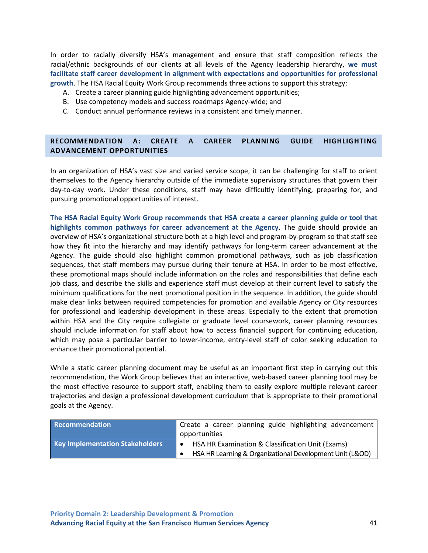In order to racially diversify HSA's management and ensure that staff composition reflects the racial/ethnic backgrounds of our clients at all levels of the Agency leadership hierarchy, **we must facilitate staff career development in alignment with expectations and opportunities for professional growth**. The HSA Racial Equity Work Group recommends three actions to support this strategy:

- A. Create a career planning guide highlighting advancement opportunities;
- B. Use competency models and success roadmaps Agency-wide; and
- C. Conduct annual performance reviews in a consistent and timely manner.

## **RECOMMENDATION A: CREATE A CAREER PLANNING GUIDE HIGHLIGHTING ADVANCEMENT OPPORTUNITIES**

In an organization of HSA's vast size and varied service scope, it can be challenging for staff to orient themselves to the Agency hierarchy outside of the immediate supervisory structures that govern their day-to-day work. Under these conditions, staff may have difficultly identifying, preparing for, and pursuing promotional opportunities of interest.

**The HSA Racial Equity Work Group recommends that HSA create a career planning guide or tool that highlights common pathways for career advancement at the Agency**. The guide should provide an overview of HSA's organizational structure both at a high level and program-by-program so that staff see how they fit into the hierarchy and may identify pathways for long-term career advancement at the Agency. The guide should also highlight common promotional pathways, such as job classification sequences, that staff members may pursue during their tenure at HSA. In order to be most effective, these promotional maps should include information on the roles and responsibilities that define each job class, and describe the skills and experience staff must develop at their current level to satisfy the minimum qualifications for the next promotional position in the sequence. In addition, the guide should make clear links between required competencies for promotion and available Agency or City resources for professional and leadership development in these areas. Especially to the extent that promotion within HSA and the City require collegiate or graduate level coursework, career planning resources should include information for staff about how to access financial support for continuing education, which may pose a particular barrier to lower-income, entry-level staff of color seeking education to enhance their promotional potential.

While a static career planning document may be useful as an important first step in carrying out this recommendation, the Work Group believes that an interactive, web-based career planning tool may be the most effective resource to support staff, enabling them to easily explore multiple relevant career trajectories and design a professional development curriculum that is appropriate to their promotional goals at the Agency.

| Recommendation                         | Create a career planning guide highlighting advancement  |
|----------------------------------------|----------------------------------------------------------|
|                                        | opportunities                                            |
| <b>Key Implementation Stakeholders</b> | HSA HR Examination & Classification Unit (Exams)         |
|                                        | HSA HR Learning & Organizational Development Unit (L&OD) |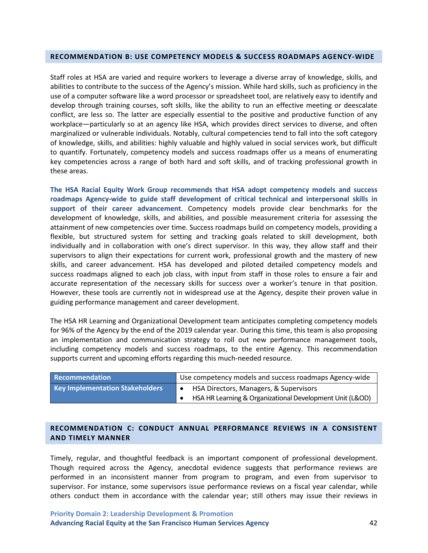#### **RECOMMENDATION B: USE COMPETENCY MODELS & SUCCESS ROADMAPS AGENCY-WIDE**

Staff roles at HSA are varied and require workers to leverage a diverse array of knowledge, skills, and abilities to contribute to the success of the Agency's mission. While hard skills, such as proficiency in the use of a computer software like a word processor or spreadsheet tool, are relatively easy to identify and develop through training courses, soft skills, like the ability to run an effective meeting or deescalate conflict, are less so. The latter are especially essential to the positive and productive function of any workplace—particularly so at an agency like HSA, which provides direct services to diverse, and often marginalized or vulnerable individuals. Notably, cultural competencies tend to fall into the soft category of knowledge, skills, and abilities: highly valuable and highly valued in social services work, but difficult to quantify. Fortunately, competency models and success roadmaps offer us a means of enumerating key competencies across a range of both hard and soft skills, and of tracking professional growth in these areas.

**The HSA Racial Equity Work Group recommends that HSA adopt competency models and success roadmaps Agency-wide to guide staff development of critical technical and interpersonal skills in support of their career advancement**. Competency models provide clear benchmarks for the development of knowledge, skills, and abilities, and possible measurement criteria for assessing the attainment of new competencies over time. Success roadmaps build on competency models, providing a flexible, but structured system for setting and tracking goals related to skill development, both individually and in collaboration with one's direct supervisor. In this way, they allow staff and their supervisors to align their expectations for current work, professional growth and the mastery of new skills, and career advancement. HSA has developed and piloted detailed competency models and success roadmaps aligned to each job class, with input from staff in those roles to ensure a fair and accurate representation of the necessary skills for success over a worker's tenure in that position. However, these tools are currently not in widespread use at the Agency, despite their proven value in guiding performance management and career development.

The HSA HR Learning and Organizational Development team anticipates completing competency models for 96% of the Agency by the end of the 2019 calendar year. During this time, this team is also proposing an implementation and communication strategy to roll out new performance management tools, including competency models and success roadmaps, to the entire Agency. This recommendation supports current and upcoming efforts regarding this much-needed resource.

| <b>Recommendation</b>                  | Use competency models and success roadmaps Agency-wide   |
|----------------------------------------|----------------------------------------------------------|
| <b>Key Implementation Stakeholders</b> | HSA Directors, Managers, & Supervisors                   |
|                                        | HSA HR Learning & Organizational Development Unit (L&OD) |

## **RECOMMENDATION C: CONDUCT ANNUAL PERFORMANCE REVIEWS IN A CONSISTENT AND TIMELY MANNER**

Timely, regular, and thoughtful feedback is an important component of professional development. Though required across the Agency, anecdotal evidence suggests that performance reviews are performed in an inconsistent manner from program to program, and even from supervisor to supervisor. For instance, some supervisors issue performance reviews on a fiscal year calendar, while others conduct them in accordance with the calendar year; still others may issue their reviews in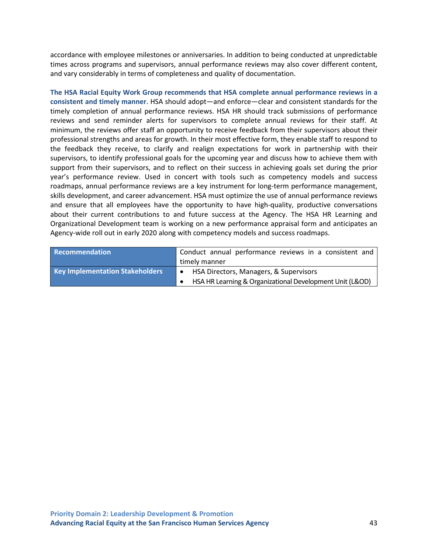accordance with employee milestones or anniversaries. In addition to being conducted at unpredictable times across programs and supervisors, annual performance reviews may also cover different content, and vary considerably in terms of completeness and quality of documentation.

**The HSA Racial Equity Work Group recommends that HSA complete annual performance reviews in a consistent and timely manner**. HSA should adopt—and enforce—clear and consistent standards for the timely completion of annual performance reviews. HSA HR should track submissions of performance reviews and send reminder alerts for supervisors to complete annual reviews for their staff. At minimum, the reviews offer staff an opportunity to receive feedback from their supervisors about their professional strengths and areas for growth. In their most effective form, they enable staff to respond to the feedback they receive, to clarify and realign expectations for work in partnership with their supervisors, to identify professional goals for the upcoming year and discuss how to achieve them with support from their supervisors, and to reflect on their success in achieving goals set during the prior year's performance review. Used in concert with tools such as competency models and success roadmaps, annual performance reviews are a key instrument for long-term performance management, skills development, and career advancement. HSA must optimize the use of annual performance reviews and ensure that all employees have the opportunity to have high-quality, productive conversations about their current contributions to and future success at the Agency. The HSA HR Learning and Organizational Development team is working on a new performance appraisal form and anticipates an Agency-wide roll out in early 2020 along with competency models and success roadmaps.

| Recommendation                         | Conduct annual performance reviews in a consistent and   |
|----------------------------------------|----------------------------------------------------------|
|                                        | timely manner                                            |
| <b>Key Implementation Stakeholders</b> | HSA Directors, Managers, & Supervisors                   |
|                                        | HSA HR Learning & Organizational Development Unit (L&OD) |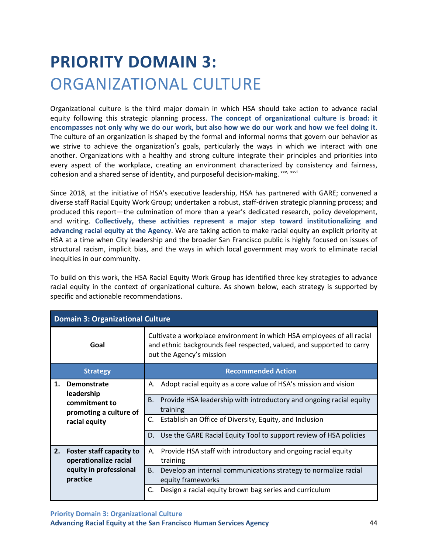## **PRIORITY DOMAIN 3:** ORGANIZATIONAL CULTURE

Organizational culture is the third major domain in which HSA should take action to advance racial equity following this strategic planning process. **The concept of organizational culture is broad: it encompasses not only why we do our work, but also how we do our work and how we feel doing it.** The culture of an organization is shaped by the formal and informal norms that govern our behavior as we strive to achieve the organization's goals, particularly the ways in which we interact with one another. Organizations with a healthy and strong culture integrate their principles and priorities into every aspect of the workplace, creating an environment characterized by consistency and fairness, cohesion and a shared sense of identity, and purposeful decision-making. [xxv,](#page-71-3) [xxvi](#page-71-4)

Since 2018, at the initiative of HSA's executive leadership, HSA has partnered with GARE; convened a diverse staff Racial Equity Work Group; undertaken a robust, staff-driven strategic planning process; and produced this report—the culmination of more than a year's dedicated research, policy development, and writing. **Collectively, these activities represent a major step toward institutionalizing and advancing racial equity at the Agency**. We are taking action to make racial equity an explicit priority at HSA at a time when City leadership and the broader San Francisco public is highly focused on issues of structural racism, implicit bias, and the ways in which local government may work to eliminate racial inequities in our community.

To build on this work, the HSA Racial Equity Work Group has identified three key strategies to advance racial equity in the context of organizational culture. As shown below, each strategy is supported by specific and actionable recommendations.

|    | <b>Domain 3: Organizational Culture</b>                  |                                                                                                                                                                             |  |
|----|----------------------------------------------------------|-----------------------------------------------------------------------------------------------------------------------------------------------------------------------------|--|
|    | Goal                                                     | Cultivate a workplace environment in which HSA employees of all racial<br>and ethnic backgrounds feel respected, valued, and supported to carry<br>out the Agency's mission |  |
|    | <b>Strategy</b>                                          | <b>Recommended Action</b>                                                                                                                                                   |  |
| 1. | Demonstrate<br>leadership                                | Adopt racial equity as a core value of HSA's mission and vision<br>А.                                                                                                       |  |
|    | commitment to<br>promoting a culture of<br>racial equity | Provide HSA leadership with introductory and ongoing racial equity<br>В.<br>training                                                                                        |  |
|    |                                                          | C.<br>Establish an Office of Diversity, Equity, and Inclusion                                                                                                               |  |
|    |                                                          | Use the GARE Racial Equity Tool to support review of HSA policies<br>D.                                                                                                     |  |
| 2. | <b>Foster staff capacity to</b><br>operationalize racial | Provide HSA staff with introductory and ongoing racial equity<br>А.<br>training                                                                                             |  |
|    | equity in professional<br>practice                       | Develop an internal communications strategy to normalize racial<br>B.<br>equity frameworks                                                                                  |  |
|    |                                                          | Design a racial equity brown bag series and curriculum<br>C.                                                                                                                |  |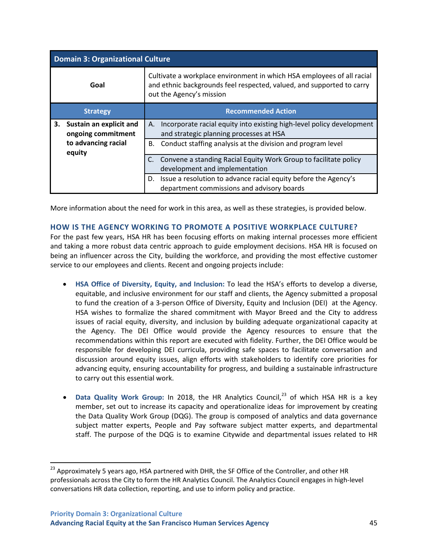| <b>Domain 3: Organizational Culture</b> |                                               |                                                                                                                                                                             |  |
|-----------------------------------------|-----------------------------------------------|-----------------------------------------------------------------------------------------------------------------------------------------------------------------------------|--|
|                                         | Goal                                          | Cultivate a workplace environment in which HSA employees of all racial<br>and ethnic backgrounds feel respected, valued, and supported to carry<br>out the Agency's mission |  |
|                                         | <b>Strategy</b>                               | <b>Recommended Action</b>                                                                                                                                                   |  |
| 3.                                      | Sustain an explicit and<br>ongoing commitment | Incorporate racial equity into existing high-level policy development<br>А.<br>and strategic planning processes at HSA                                                      |  |
|                                         | to advancing racial<br>equity                 | Conduct staffing analysis at the division and program level<br>В.                                                                                                           |  |
|                                         |                                               | Convene a standing Racial Equity Work Group to facilitate policy<br>development and implementation                                                                          |  |
|                                         |                                               | Issue a resolution to advance racial equity before the Agency's<br>D.<br>department commissions and advisory boards                                                         |  |

More information about the need for work in this area, as well as these strategies, is provided below.

## **HOW IS THE AGENCY WORKING TO PROMOTE A POSITIVE WORKPLACE CULTURE?**

For the past few years, HSA HR has been focusing efforts on making internal processes more efficient and taking a more robust data centric approach to guide employment decisions. HSA HR is focused on being an influencer across the City, building the workforce, and providing the most effective customer service to our employees and clients. Recent and ongoing projects include:

- **HSA Office of Diversity, Equity, and Inclusion:** To lead the HSA's efforts to develop a diverse, equitable, and inclusive environment for our staff and clients, the Agency submitted a proposal to fund the creation of a 3-person Office of Diversity, Equity and Inclusion (DEI) at the Agency. HSA wishes to formalize the shared commitment with Mayor Breed and the City to address issues of racial equity, diversity, and inclusion by building adequate organizational capacity at the Agency. The DEI Office would provide the Agency resources to ensure that the recommendations within this report are executed with fidelity. Further, the DEI Office would be responsible for developing DEI curricula, providing safe spaces to facilitate conversation and discussion around equity issues, align efforts with stakeholders to identify core priorities for advancing equity, ensuring accountability for progress, and building a sustainable infrastructure to carry out this essential work.
- **Data Quality Work Group:** In 2018, the HR Analytics Council,<sup>[23](#page-54-0)</sup> of which HSA HR is a key member, set out to increase its capacity and operationalize ideas for improvement by creating the Data Quality Work Group (DQG). The group is composed of analytics and data governance subject matter experts, People and Pay software subject matter experts, and departmental staff. The purpose of the DQG is to examine Citywide and departmental issues related to HR

<span id="page-54-0"></span><sup>&</sup>lt;sup>23</sup> Approximately 5 years ago, HSA partnered with DHR, the SF Office of the Controller, and other HR professionals across the City to form the HR Analytics Council. The Analytics Council engages in high-level conversations HR data collection, reporting, and use to inform policy and practice.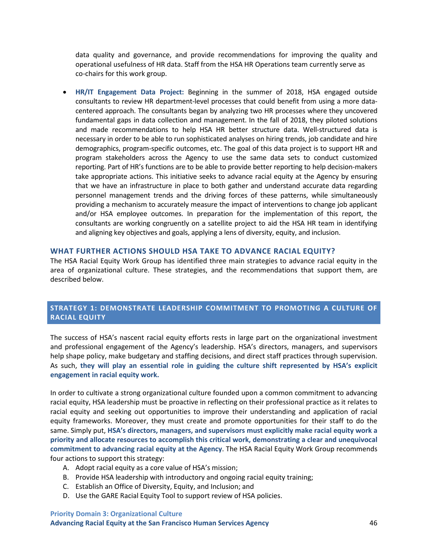data quality and governance, and provide recommendations for improving the quality and operational usefulness of HR data. Staff from the HSA HR Operations team currently serve as co-chairs for this work group.

• **HR/IT Engagement Data Project:** Beginning in the summer of 2018, HSA engaged outside consultants to review HR department-level processes that could benefit from using a more datacentered approach. The consultants began by analyzing two HR processes where they uncovered fundamental gaps in data collection and management. In the fall of 2018, they piloted solutions and made recommendations to help HSA HR better structure data. Well-structured data is necessary in order to be able to run sophisticated analyses on hiring trends, job candidate and hire demographics, program-specific outcomes, etc. The goal of this data project is to support HR and program stakeholders across the Agency to use the same data sets to conduct customized reporting. Part of HR's functions are to be able to provide better reporting to help decision-makers take appropriate actions. This initiative seeks to advance racial equity at the Agency by ensuring that we have an infrastructure in place to both gather and understand accurate data regarding personnel management trends and the driving forces of these patterns, while simultaneously providing a mechanism to accurately measure the impact of interventions to change job applicant and/or HSA employee outcomes. In preparation for the implementation of this report, the consultants are working congruently on a satellite project to aid the HSA HR team in identifying and aligning key objectives and goals, applying a lens of diversity, equity, and inclusion.

#### **WHAT FURTHER ACTIONS SHOULD HSA TAKE TO ADVANCE RACIAL EQUITY?**

The HSA Racial Equity Work Group has identified three main strategies to advance racial equity in the area of organizational culture. These strategies, and the recommendations that support them, are described below.

## **STRATEGY 1: DEMONSTRATE LEADERSHIP COMMITMENT TO PROMOTING A CULTURE OF RACIAL EQUITY**

The success of HSA's nascent racial equity efforts rests in large part on the organizational investment and professional engagement of the Agency's leadership. HSA's directors, managers, and supervisors help shape policy, make budgetary and staffing decisions, and direct staff practices through supervision. As such, **they will play an essential role in guiding the culture shift represented by HSA's explicit engagement in racial equity work.**

In order to cultivate a strong organizational culture founded upon a common commitment to advancing racial equity, HSA leadership must be proactive in reflecting on their professional practice as it relates to racial equity and seeking out opportunities to improve their understanding and application of racial equity frameworks. Moreover, they must create and promote opportunities for their staff to do the same. Simply put, **HSA's directors, managers, and supervisors must explicitly make racial equity work a priority and allocate resources to accomplish this critical work, demonstrating a clear and unequivocal commitment to advancing racial equity at the Agency**. The HSA Racial Equity Work Group recommends four actions to support this strategy:

- A. Adopt racial equity as a core value of HSA's mission;
- B. Provide HSA leadership with introductory and ongoing racial equity training;
- C. Establish an Office of Diversity, Equity, and Inclusion; and
- D. Use the GARE Racial Equity Tool to support review of HSA policies.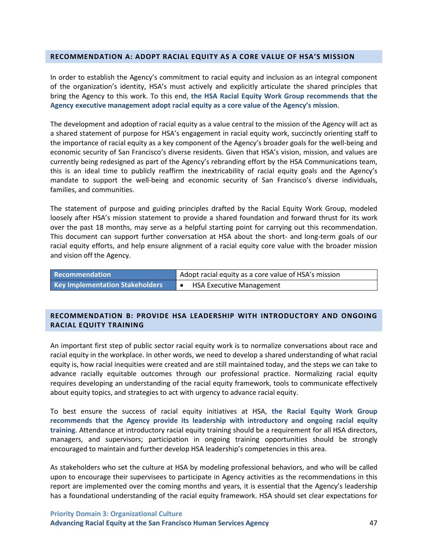#### **RECOMMENDATION A: ADOPT RACIAL EQUITY AS A CORE VALUE OF HSA'S MISSION**

In order to establish the Agency's commitment to racial equity and inclusion as an integral component of the organization's identity, HSA's must actively and explicitly articulate the shared principles that bring the Agency to this work. To this end, **the HSA Racial Equity Work Group recommends that the Agency executive management adopt racial equity as a core value of the Agency's mission**.

The development and adoption of racial equity as a value central to the mission of the Agency will act as a shared statement of purpose for HSA's engagement in racial equity work, succinctly orienting staff to the importance of racial equity as a key component of the Agency's broader goals for the well-being and economic security of San Francisco's diverse residents. Given that HSA's vision, mission, and values are currently being redesigned as part of the Agency's rebranding effort by the HSA Communications team, this is an ideal time to publicly reaffirm the inextricability of racial equity goals and the Agency's mandate to support the well-being and economic security of San Francisco's diverse individuals, families, and communities.

The statement of purpose and guiding principles drafted by the Racial Equity Work Group, modeled loosely after HSA's mission statement to provide a shared foundation and forward thrust for its work over the past 18 months, may serve as a helpful starting point for carrying out this recommendation. This document can support further conversation at HSA about the short- and long-term goals of our racial equity efforts, and help ensure alignment of a racial equity core value with the broader mission and vision off the Agency.

| <b>Recommendation</b>           | Adopt racial equity as a core value of HSA's mission |
|---------------------------------|------------------------------------------------------|
| Key Implementation Stakeholders | <b>HSA Executive Management</b>                      |

## **RECOMMENDATION B: PROVIDE HSA LEADERSHIP WITH INTRODUCTORY AND ONGOING RACIAL EQUITY TRAINING**

An important first step of public sector racial equity work is to normalize conversations about race and racial equity in the workplace. In other words, we need to develop a shared understanding of what racial equity is, how racial inequities were created and are still maintained today, and the steps we can take to advance racially equitable outcomes through our professional practice. Normalizing racial equity requires developing an understanding of the racial equity framework, tools to communicate effectively about equity topics, and strategies to act with urgency to advance racial equity.

To best ensure the success of racial equity initiatives at HSA, **the Racial Equity Work Group recommends that the Agency provide its leadership with introductory and ongoing racial equity training**. Attendance at introductory racial equity training should be a requirement for all HSA directors, managers, and supervisors; participation in ongoing training opportunities should be strongly encouraged to maintain and further develop HSA leadership's competencies in this area.

As stakeholders who set the culture at HSA by modeling professional behaviors, and who will be called upon to encourage their supervisees to participate in Agency activities as the recommendations in this report are implemented over the coming months and years, it is essential that the Agency's leadership has a foundational understanding of the racial equity framework. HSA should set clear expectations for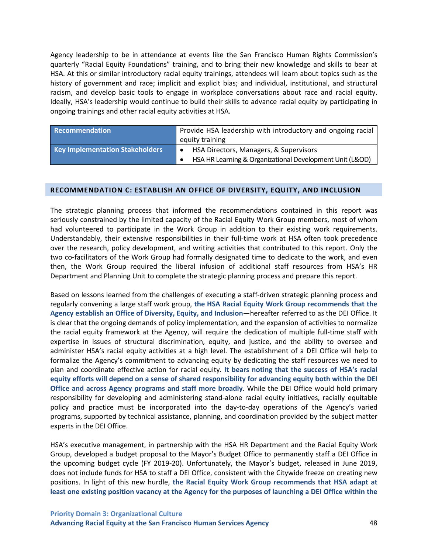Agency leadership to be in attendance at events like the San Francisco Human Rights Commission's quarterly "Racial Equity Foundations" training, and to bring their new knowledge and skills to bear at HSA. At this or similar introductory racial equity trainings, attendees will learn about topics such as the history of government and race; implicit and explicit bias; and individual, institutional, and structural racism, and develop basic tools to engage in workplace conversations about race and racial equity. Ideally, HSA's leadership would continue to build their skills to advance racial equity by participating in ongoing trainings and other racial equity activities at HSA.

| Recommendation                         | Provide HSA leadership with introductory and ongoing racial |
|----------------------------------------|-------------------------------------------------------------|
|                                        | equity training                                             |
| <b>Key Implementation Stakeholders</b> | HSA Directors, Managers, & Supervisors                      |
|                                        | HSA HR Learning & Organizational Development Unit (L&OD)    |

#### **RECOMMENDATION C: ESTABLISH AN OFFICE OF DIVERSITY, EQUITY, AND INCLUSION**

The strategic planning process that informed the recommendations contained in this report was seriously constrained by the limited capacity of the Racial Equity Work Group members, most of whom had volunteered to participate in the Work Group in addition to their existing work requirements. Understandably, their extensive responsibilities in their full-time work at HSA often took precedence over the research, policy development, and writing activities that contributed to this report. Only the two co-facilitators of the Work Group had formally designated time to dedicate to the work, and even then, the Work Group required the liberal infusion of additional staff resources from HSA's HR Department and Planning Unit to complete the strategic planning process and prepare this report.

Based on lessons learned from the challenges of executing a staff-driven strategic planning process and regularly convening a large staff work group, **the HSA Racial Equity Work Group recommends that the Agency establish an Office of Diversity, Equity, and Inclusion**—hereafter referred to as the DEI Office. It is clear that the ongoing demands of policy implementation, and the expansion of activities to normalize the racial equity framework at the Agency, will require the dedication of multiple full-time staff with expertise in issues of structural discrimination, equity, and justice, and the ability to oversee and administer HSA's racial equity activities at a high level. The establishment of a DEI Office will help to formalize the Agency's commitment to advancing equity by dedicating the staff resources we need to plan and coordinate effective action for racial equity. **It bears noting that the success of HSA's racial equity efforts will depend on a sense of shared responsibility for advancing equity both within the DEI Office and across Agency programs and staff more broadly**. While the DEI Office would hold primary responsibility for developing and administering stand-alone racial equity initiatives, racially equitable policy and practice must be incorporated into the day-to-day operations of the Agency's varied programs, supported by technical assistance, planning, and coordination provided by the subject matter experts in the DEI Office.

HSA's executive management, in partnership with the HSA HR Department and the Racial Equity Work Group, developed a budget proposal to the Mayor's Budget Office to permanently staff a DEI Office in the upcoming budget cycle (FY 2019-20). Unfortunately, the Mayor's budget, released in June 2019, does not include funds for HSA to staff a DEI Office, consistent with the Citywide freeze on creating new positions. In light of this new hurdle, **the Racial Equity Work Group recommends that HSA adapt at least one existing position vacancy at the Agency for the purposes of launching a DEI Office within the**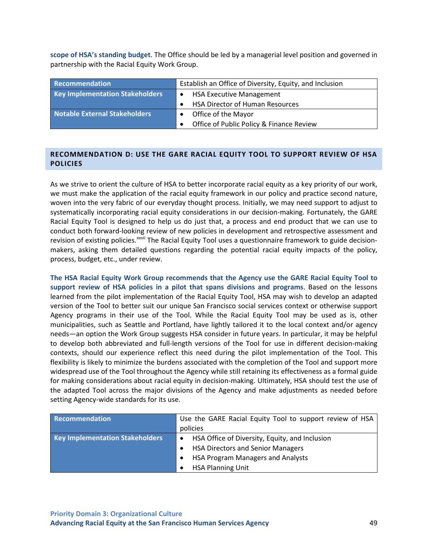**scope of HSA's standing budget**. The Office should be led by a managerial level position and governed in partnership with the Racial Equity Work Group.

| Recommendation                         | Establish an Office of Diversity, Equity, and Inclusion |
|----------------------------------------|---------------------------------------------------------|
| <b>Key Implementation Stakeholders</b> | <b>HSA Executive Management</b><br>$\bullet$            |
|                                        | <b>HSA Director of Human Resources</b>                  |
| Notable External Stakeholders          | Office of the Mayor                                     |
|                                        | Office of Public Policy & Finance Review                |

## **RECOMMENDATION D: USE THE GARE RACIAL EQUITY TOOL TO SUPPORT REVIEW OF HSA POLICIES**

As we strive to orient the culture of HSA to better incorporate racial equity as a key priority of our work, we must make the application of the racial equity framework in our policy and practice second nature, woven into the very fabric of our everyday thought process. Initially, we may need support to adjust to systematically incorporating racial equity considerations in our decision-making. Fortunately, the GARE Racial Equity Tool is designed to help us do just that, a process and end product that we can use to conduct both forward-looking review of new policies in development and retrospective assessment and revision of existing policies.<sup>xxvii</sup> The Racial Equity Tool uses a questionnaire framework to guide decisionmakers, asking them detailed questions regarding the potential racial equity impacts of the policy, process, budget, etc., under review.

**The HSA Racial Equity Work Group recommends that the Agency use the GARE Racial Equity Tool to support review of HSA policies in a pilot that spans divisions and programs**. Based on the lessons learned from the pilot implementation of the Racial Equity Tool, HSA may wish to develop an adapted version of the Tool to better suit our unique San Francisco social services context or otherwise support Agency programs in their use of the Tool. While the Racial Equity Tool may be used as is, other municipalities, such as Seattle and Portland, have lightly tailored it to the local context and/or agency needs—an option the Work Group suggests HSA consider in future years. In particular, it may be helpful to develop both abbreviated and full-length versions of the Tool for use in different decision-making contexts, should our experience reflect this need during the pilot implementation of the Tool. This flexibility is likely to minimize the burdens associated with the completion of the Tool and support more widespread use of the Tool throughout the Agency while still retaining its effectiveness as a formal guide for making considerations about racial equity in decision-making. Ultimately, HSA should test the use of the adapted Tool across the major divisions of the Agency and make adjustments as needed before setting Agency-wide standards for its use.

| Recommendation                         | Use the GARE Racial Equity Tool to support review of HSA    |
|----------------------------------------|-------------------------------------------------------------|
|                                        | policies                                                    |
| <b>Key Implementation Stakeholders</b> | HSA Office of Diversity, Equity, and Inclusion<br>$\bullet$ |
|                                        | <b>HSA Directors and Senior Managers</b>                    |
|                                        | HSA Program Managers and Analysts                           |
|                                        | <b>HSA Planning Unit</b>                                    |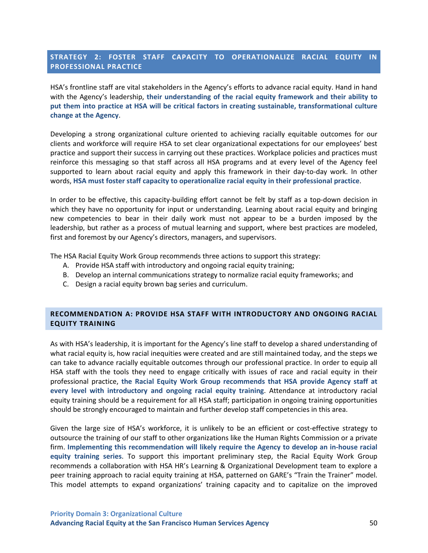## **STRATEGY 2: FOSTER STAFF CAPACITY TO OPERATIONALIZE RACIAL EQUITY IN PROFESSIONAL PRACTICE**

HSA's frontline staff are vital stakeholders in the Agency's efforts to advance racial equity. Hand in hand with the Agency's leadership, **their understanding of the racial equity framework and their ability to put them into practice at HSA will be critical factors in creating sustainable, transformational culture change at the Agency**.

Developing a strong organizational culture oriented to achieving racially equitable outcomes for our clients and workforce will require HSA to set clear organizational expectations for our employees' best practice and support their success in carrying out these practices. Workplace policies and practices must reinforce this messaging so that staff across all HSA programs and at every level of the Agency feel supported to learn about racial equity and apply this framework in their day-to-day work. In other words, **HSA must foster staff capacity to operationalize racial equity in their professional practice**.

In order to be effective, this capacity-building effort cannot be felt by staff as a top-down decision in which they have no opportunity for input or understanding. Learning about racial equity and bringing new competencies to bear in their daily work must not appear to be a burden imposed by the leadership, but rather as a process of mutual learning and support, where best practices are modeled, first and foremost by our Agency's directors, managers, and supervisors.

The HSA Racial Equity Work Group recommends three actions to support this strategy:

- A. Provide HSA staff with introductory and ongoing racial equity training;
- B. Develop an internal communications strategy to normalize racial equity frameworks; and
- C. Design a racial equity brown bag series and curriculum.

## **RECOMMENDATION A: PROVIDE HSA STAFF WITH INTRODUCTORY AND ONGOING RACIAL EQUITY TRAINING**

As with HSA's leadership, it is important for the Agency's line staff to develop a shared understanding of what racial equity is, how racial inequities were created and are still maintained today, and the steps we can take to advance racially equitable outcomes through our professional practice. In order to equip all HSA staff with the tools they need to engage critically with issues of race and racial equity in their professional practice, **the Racial Equity Work Group recommends that HSA provide Agency staff at every level with introductory and ongoing racial equity training**. Attendance at introductory racial equity training should be a requirement for all HSA staff; participation in ongoing training opportunities should be strongly encouraged to maintain and further develop staff competencies in this area.

Given the large size of HSA's workforce, it is unlikely to be an efficient or cost-effective strategy to outsource the training of our staff to other organizations like the Human Rights Commission or a private firm. **Implementing this recommendation will likely require the Agency to develop an in-house racial equity training series**. To support this important preliminary step, the Racial Equity Work Group recommends a collaboration with HSA HR's Learning & Organizational Development team to explore a peer training approach to racial equity training at HSA, patterned on GARE's "Train the Trainer" model. This model attempts to expand organizations' training capacity and to capitalize on the improved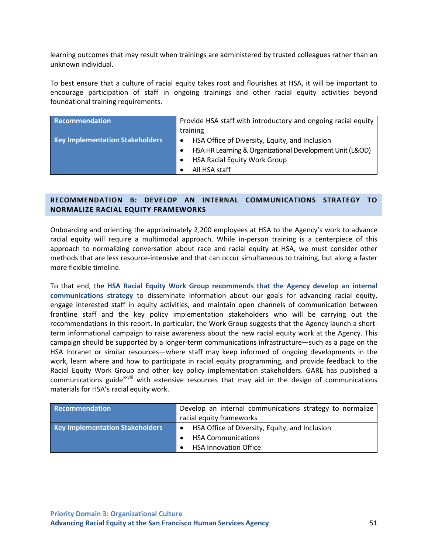learning outcomes that may result when trainings are administered by trusted colleagues rather than an unknown individual.

To best ensure that a culture of racial equity takes root and flourishes at HSA, it will be important to encourage participation of staff in ongoing trainings and other racial equity activities beyond foundational training requirements.

| Recommendation                         | Provide HSA staff with introductory and ongoing racial equity |
|----------------------------------------|---------------------------------------------------------------|
|                                        | training                                                      |
| <b>Key Implementation Stakeholders</b> | HSA Office of Diversity, Equity, and Inclusion<br>$\bullet$   |
|                                        | HSA HR Learning & Organizational Development Unit (L&OD)      |
|                                        | <b>HSA Racial Equity Work Group</b>                           |
|                                        | All HSA staff                                                 |

## **RECOMMENDATION B: DEVELOP AN INTERNAL COMMUNICATIONS STRATEGY TO NORMALIZE RACIAL EQUITY FRAMEWORKS**

Onboarding and orienting the approximately 2,200 employees at HSA to the Agency's work to advance racial equity will require a multimodal approach. While in-person training is a centerpiece of this approach to normalizing conversation about race and racial equity at HSA, we must consider other methods that are less resource-intensive and that can occur simultaneous to training, but along a faster more flexible timeline.

To that end, the **HSA Racial Equity Work Group recommends that the Agency develop an internal communications strategy** to disseminate information about our goals for advancing racial equity, engage interested staff in equity activities, and maintain open channels of communication between frontline staff and the key policy implementation stakeholders who will be carrying out the recommendations in this report. In particular, the Work Group suggests that the Agency launch a shortterm informational campaign to raise awareness about the new racial equity work at the Agency. This campaign should be supported by a longer-term communications infrastructure—such as a page on the HSA Intranet or similar resources—where staff may keep informed of ongoing developments in the work, learn where and how to participate in racial equity programming, and provide feedback to the Racial Equity Work Group and other key policy implementation stakeholders. GARE has published a commun[i](#page-71-5)cations guide<sup>xxviii</sup> with extensive resources that may aid in the design of communications materials for HSA's racial equity work.

| Recommendation                  | Develop an internal communications strategy to normalize    |
|---------------------------------|-------------------------------------------------------------|
|                                 | racial equity frameworks                                    |
| Key Implementation Stakeholders | HSA Office of Diversity, Equity, and Inclusion<br>$\bullet$ |
|                                 | <b>HSA Communications</b>                                   |
|                                 | <b>HSA Innovation Office</b>                                |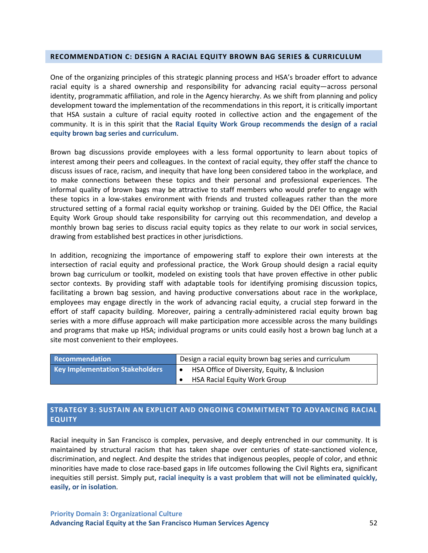#### **RECOMMENDATION C: DESIGN A RACIAL EQUITY BROWN BAG SERIES & CURRICULUM**

One of the organizing principles of this strategic planning process and HSA's broader effort to advance racial equity is a shared ownership and responsibility for advancing racial equity—across personal identity, programmatic affiliation, and role in the Agency hierarchy. As we shift from planning and policy development toward the implementation of the recommendations in this report, it is critically important that HSA sustain a culture of racial equity rooted in collective action and the engagement of the community. It is in this spirit that the **Racial Equity Work Group recommends the design of a racial equity brown bag series and curriculum**.

Brown bag discussions provide employees with a less formal opportunity to learn about topics of interest among their peers and colleagues. In the context of racial equity, they offer staff the chance to discuss issues of race, racism, and inequity that have long been considered taboo in the workplace, and to make connections between these topics and their personal and professional experiences. The informal quality of brown bags may be attractive to staff members who would prefer to engage with these topics in a low-stakes environment with friends and trusted colleagues rather than the more structured setting of a formal racial equity workshop or training. Guided by the DEI Office, the Racial Equity Work Group should take responsibility for carrying out this recommendation, and develop a monthly brown bag series to discuss racial equity topics as they relate to our work in social services, drawing from established best practices in other jurisdictions.

In addition, recognizing the importance of empowering staff to explore their own interests at the intersection of racial equity and professional practice, the Work Group should design a racial equity brown bag curriculum or toolkit, modeled on existing tools that have proven effective in other public sector contexts. By providing staff with adaptable tools for identifying promising discussion topics, facilitating a brown bag session, and having productive conversations about race in the workplace, employees may engage directly in the work of advancing racial equity, a crucial step forward in the effort of staff capacity building. Moreover, pairing a centrally-administered racial equity brown bag series with a more diffuse approach will make participation more accessible across the many buildings and programs that make up HSA; individual programs or units could easily host a brown bag lunch at a site most convenient to their employees.

| Recommendation                         | Design a racial equity brown bag series and curriculum |
|----------------------------------------|--------------------------------------------------------|
| <b>Key Implementation Stakeholders</b> | HSA Office of Diversity, Equity, & Inclusion           |
|                                        | <b>HSA Racial Equity Work Group</b>                    |

## **STRATEGY 3: SUSTAIN AN EXPLICIT AND ONGOING COMMITMENT TO ADVANCING RACIAL EQUITY**

Racial inequity in San Francisco is complex, pervasive, and deeply entrenched in our community. It is maintained by structural racism that has taken shape over centuries of state-sanctioned violence, discrimination, and neglect. And despite the strides that indigenous peoples, people of color, and ethnic minorities have made to close race-based gaps in life outcomes following the Civil Rights era, significant inequities still persist. Simply put, **racial inequity is a vast problem that will not be eliminated quickly, easily, or in isolation**.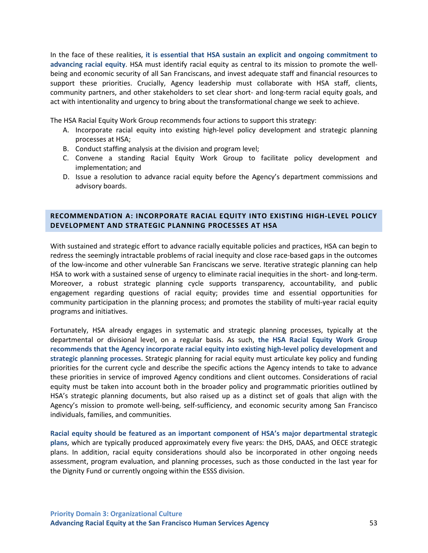In the face of these realities, **it is essential that HSA sustain an explicit and ongoing commitment to advancing racial equity**. HSA must identify racial equity as central to its mission to promote the wellbeing and economic security of all San Franciscans, and invest adequate staff and financial resources to support these priorities. Crucially, Agency leadership must collaborate with HSA staff, clients, community partners, and other stakeholders to set clear short- and long-term racial equity goals, and act with intentionality and urgency to bring about the transformational change we seek to achieve.

The HSA Racial Equity Work Group recommends four actions to support this strategy:

- A. Incorporate racial equity into existing high-level policy development and strategic planning processes at HSA;
- B. Conduct staffing analysis at the division and program level;
- C. Convene a standing Racial Equity Work Group to facilitate policy development and implementation; and
- D. Issue a resolution to advance racial equity before the Agency's department commissions and advisory boards.

## **RECOMMENDATION A: INCORPORATE RACIAL EQUITY INTO EXISTING HIGH-LEVEL POLICY DEVELOPMENT AND STRATEGIC PLANNING PROCESSES AT HSA**

With sustained and strategic effort to advance racially equitable policies and practices, HSA can begin to redress the seemingly intractable problems of racial inequity and close race-based gaps in the outcomes of the low-income and other vulnerable San Franciscans we serve. Iterative strategic planning can help HSA to work with a sustained sense of urgency to eliminate racial inequities in the short- and long-term. Moreover, a robust strategic planning cycle supports transparency, accountability, and public engagement regarding questions of racial equity; provides time and essential opportunities for community participation in the planning process; and promotes the stability of multi-year racial equity programs and initiatives.

Fortunately, HSA already engages in systematic and strategic planning processes, typically at the departmental or divisional level, on a regular basis. As such, **the HSA Racial Equity Work Group recommends that the Agency incorporate racial equity into existing high-level policy development and strategic planning processes.** Strategic planning for racial equity must articulate key policy and funding priorities for the current cycle and describe the specific actions the Agency intends to take to advance these priorities in service of improved Agency conditions and client outcomes. Considerations of racial equity must be taken into account both in the broader policy and programmatic priorities outlined by HSA's strategic planning documents, but also raised up as a distinct set of goals that align with the Agency's mission to promote well-being, self-sufficiency, and economic security among San Francisco individuals, families, and communities.

**Racial equity should be featured as an important component of HSA's major departmental strategic plans**, which are typically produced approximately every five years: the DHS, DAAS, and OECE strategic plans. In addition, racial equity considerations should also be incorporated in other ongoing needs assessment, program evaluation, and planning processes, such as those conducted in the last year for the Dignity Fund or currently ongoing within the ESSS division.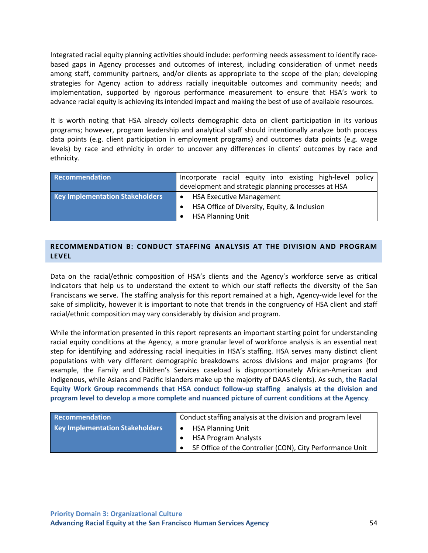Integrated racial equity planning activities should include: performing needs assessment to identify racebased gaps in Agency processes and outcomes of interest, including consideration of unmet needs among staff, community partners, and/or clients as appropriate to the scope of the plan; developing strategies for Agency action to address racially inequitable outcomes and community needs; and implementation, supported by rigorous performance measurement to ensure that HSA's work to advance racial equity is achieving its intended impact and making the best of use of available resources.

It is worth noting that HSA already collects demographic data on client participation in its various programs; however, program leadership and analytical staff should intentionally analyze both process data points (e.g. client participation in employment programs) and outcomes data points (e.g. wage levels) by race and ethnicity in order to uncover any differences in clients' outcomes by race and ethnicity.

| Recommendation                         | Incorporate racial equity into existing high-level policy |
|----------------------------------------|-----------------------------------------------------------|
|                                        | development and strategic planning processes at HSA       |
| <b>Key Implementation Stakeholders</b> | <b>HSA Executive Management</b>                           |
|                                        | HSA Office of Diversity, Equity, & Inclusion              |
|                                        | <b>HSA Planning Unit</b>                                  |

## **RECOMMENDATION B: CONDUCT STAFFING ANALYSIS AT THE DIVISION AND PROGRAM LEVEL**

Data on the racial/ethnic composition of HSA's clients and the Agency's workforce serve as critical indicators that help us to understand the extent to which our staff reflects the diversity of the San Franciscans we serve. The staffing analysis for this report remained at a high, Agency-wide level for the sake of simplicity, however it is important to note that trends in the congruency of HSA client and staff racial/ethnic composition may vary considerably by division and program.

While the information presented in this report represents an important starting point for understanding racial equity conditions at the Agency, a more granular level of workforce analysis is an essential next step for identifying and addressing racial inequities in HSA's staffing. HSA serves many distinct client populations with very different demographic breakdowns across divisions and major programs (for example, the Family and Children's Services caseload is disproportionately African-American and Indigenous, while Asians and Pacific Islanders make up the majority of DAAS clients). As such, **the Racial Equity Work Group recommends that HSA conduct follow-up staffing analysis at the division and program level to develop a more complete and nuanced picture of current conditions at the Agency**.

| Recommendation                         | Conduct staffing analysis at the division and program level |
|----------------------------------------|-------------------------------------------------------------|
| <b>Key Implementation Stakeholders</b> | <b>HSA Planning Unit</b><br>$\bullet$                       |
|                                        | <b>HSA Program Analysts</b>                                 |
|                                        | SF Office of the Controller (CON), City Performance Unit    |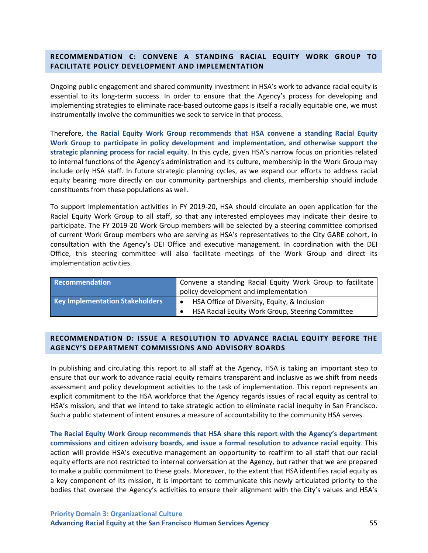## **RECOMMENDATION C: CONVENE A STANDING RACIAL EQUITY WORK GROUP TO FACILITATE POLICY DEVELOPMENT AND IMPLEMENTATION**

Ongoing public engagement and shared community investment in HSA's work to advance racial equity is essential to its long-term success. In order to ensure that the Agency's process for developing and implementing strategies to eliminate race-based outcome gaps is itself a racially equitable one, we must instrumentally involve the communities we seek to service in that process.

Therefore, **the Racial Equity Work Group recommends that HSA convene a standing Racial Equity Work Group to participate in policy development and implementation, and otherwise support the strategic planning process for racial equity**. In this cycle, given HSA's narrow focus on priorities related to internal functions of the Agency's administration and its culture, membership in the Work Group may include only HSA staff. In future strategic planning cycles, as we expand our efforts to address racial equity bearing more directly on our community partnerships and clients, membership should include constituents from these populations as well.

To support implementation activities in FY 2019-20, HSA should circulate an open application for the Racial Equity Work Group to all staff, so that any interested employees may indicate their desire to participate. The FY 2019-20 Work Group members will be selected by a steering committee comprised of current Work Group members who are serving as HSA's representatives to the City GARE cohort, in consultation with the Agency's DEI Office and executive management. In coordination with the DEI Office, this steering committee will also facilitate meetings of the Work Group and direct its implementation activities.

| Recommendation                         | Convene a standing Racial Equity Work Group to facilitate |  |
|----------------------------------------|-----------------------------------------------------------|--|
|                                        | policy development and implementation                     |  |
| <b>Key Implementation Stakeholders</b> | HSA Office of Diversity, Equity, & Inclusion<br>$\bullet$ |  |
|                                        | HSA Racial Equity Work Group, Steering Committee          |  |

## **RECOMMENDATION D: ISSUE A RESOLUTION TO ADVANCE RACIAL EQUITY BEFORE THE AGENCY'S DEPARTMENT COMMISSIONS AND ADVISORY BOARDS**

In publishing and circulating this report to all staff at the Agency, HSA is taking an important step to ensure that our work to advance racial equity remains transparent and inclusive as we shift from needs assessment and policy development activities to the task of implementation. This report represents an explicit commitment to the HSA workforce that the Agency regards issues of racial equity as central to HSA's mission, and that we intend to take strategic action to eliminate racial inequity in San Francisco. Such a public statement of intent ensures a measure of accountability to the community HSA serves.

**The Racial Equity Work Group recommends that HSA share this report with the Agency's department commissions and citizen advisory boards, and issue a formal resolution to advance racial equity**. This action will provide HSA's executive management an opportunity to reaffirm to all staff that our racial equity efforts are not restricted to internal conversation at the Agency, but rather that we are prepared to make a public commitment to these goals. Moreover, to the extent that HSA identifies racial equity as a key component of its mission, it is important to communicate this newly articulated priority to the bodies that oversee the Agency's activities to ensure their alignment with the City's values and HSA's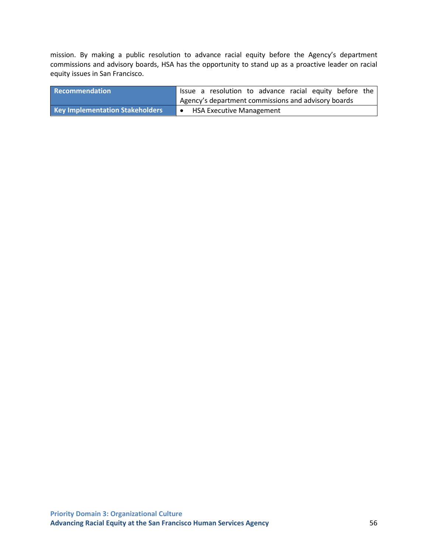mission. By making a public resolution to advance racial equity before the Agency's department commissions and advisory boards, HSA has the opportunity to stand up as a proactive leader on racial equity issues in San Francisco.

| Recommendation                         | Issue a resolution to advance racial equity before the |  |
|----------------------------------------|--------------------------------------------------------|--|
|                                        | Agency's department commissions and advisory boards    |  |
| <b>Key Implementation Stakeholders</b> | <b>HSA Executive Management</b>                        |  |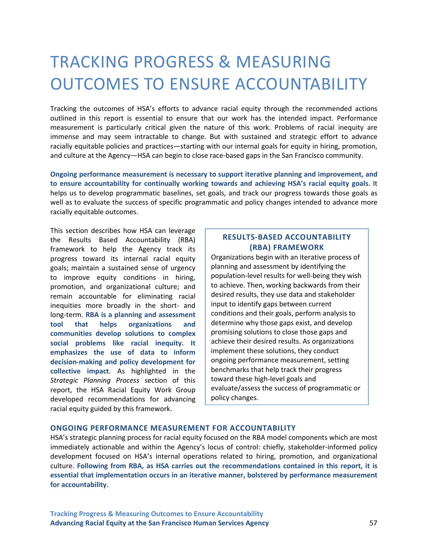## <span id="page-66-0"></span>TRACKING PROGRESS & MEASURING OUTCOMES TO ENSURE ACCOUNTABILITY

Tracking the outcomes of HSA's efforts to advance racial equity through the recommended actions outlined in this report is essential to ensure that our work has the intended impact. Performance measurement is particularly critical given the nature of this work. Problems of racial inequity are immense and may seem intractable to change. But with sustained and strategic effort to advance racially equitable policies and practices—starting with our internal goals for equity in hiring, promotion, and culture at the Agency—HSA can begin to close race-based gaps in the San Francisco community.

**Ongoing performance measurement is necessary to support iterative planning and improvement, and to ensure accountability for continually working towards and achieving HSA's racial equity goals**. It helps us to develop programmatic baselines, set goals, and track our progress towards those goals as well as to evaluate the success of specific programmatic and policy changes intended to advance more racially equitable outcomes.

This section describes how HSA can leverage the Results Based Accountability (RBA) framework to help the Agency track its progress toward its internal racial equity goals; maintain a sustained sense of urgency to improve equity conditions in hiring, promotion, and organizational culture; and remain accountable for eliminating racial inequities more broadly in the short- and long-term. **RBA is a planning and assessment tool that helps organizations and communities develop solutions to complex social problems like racial inequity. It emphasizes the use of data to inform decision-making and policy development for collective impact**. As highlighted in the *Strategic Planning Process* section of this report, the HSA Racial Equity Work Group developed recommendations for advancing racial equity guided by this framework.

## **RESULTS-BASED ACCOUNTABILITY (RBA) FRAMEWORK**

Organizations begin with an iterative process of planning and assessment by identifying the population-level results for well-being they wish to achieve. Then, working backwards from their desired results, they use data and stakeholder input to identify gaps between current conditions and their goals, perform analysis to determine why those gaps exist, and develop promising solutions to close those gaps and achieve their desired results. As organizations implement these solutions, they conduct ongoing performance measurement, setting benchmarks that help track their progress toward these high-level goals and evaluate/assess the success of programmatic or policy changes.

## **ONGOING PERFORMANCE MEASUREMENT FOR ACCOUNTABILITY**

HSA's strategic planning process for racial equity focused on the RBA model components which are most immediately actionable and within the Agency's locus of control: chiefly, stakeholder-informed policy development focused on HSA's internal operations related to hiring, promotion, and organizational culture. **Following from RBA, as HSA carries out the recommendations contained in this report, it is essential that implementation occurs in an iterative manner, bolstered by performance measurement for accountability**.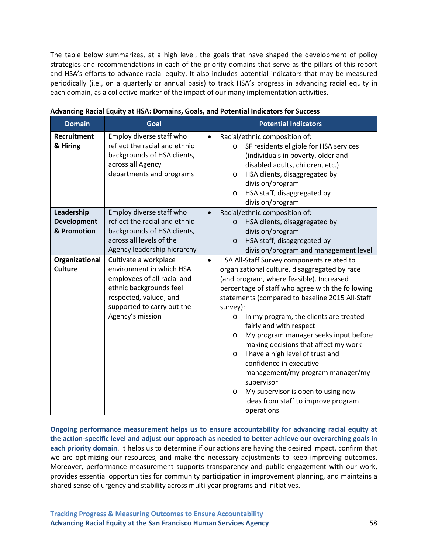The table below summarizes, at a high level, the goals that have shaped the development of policy strategies and recommendations in each of the priority domains that serve as the pillars of this report and HSA's efforts to advance racial equity. It also includes potential indicators that may be measured periodically (i.e., on a quarterly or annual basis) to track HSA's progress in advancing racial equity in each domain, as a collective marker of the impact of our many implementation activities.

| <b>Domain</b>                                   | Goal                                                                                                                                                                                    | <b>Potential Indicators</b>                                                                                                                                                                                                                                                                                                                                                                                                                                                                                                                                                                                                                                                     |
|-------------------------------------------------|-----------------------------------------------------------------------------------------------------------------------------------------------------------------------------------------|---------------------------------------------------------------------------------------------------------------------------------------------------------------------------------------------------------------------------------------------------------------------------------------------------------------------------------------------------------------------------------------------------------------------------------------------------------------------------------------------------------------------------------------------------------------------------------------------------------------------------------------------------------------------------------|
| Recruitment<br>& Hiring                         | Employ diverse staff who<br>reflect the racial and ethnic<br>backgrounds of HSA clients,<br>across all Agency<br>departments and programs                                               | Racial/ethnic composition of:<br>$\bullet$<br>SF residents eligible for HSA services<br>$\circ$<br>(individuals in poverty, older and<br>disabled adults, children, etc.)<br>HSA clients, disaggregated by<br>$\circ$<br>division/program<br>HSA staff, disaggregated by<br>$\circ$<br>division/program                                                                                                                                                                                                                                                                                                                                                                         |
| Leadership<br><b>Development</b><br>& Promotion | Employ diverse staff who<br>reflect the racial and ethnic<br>backgrounds of HSA clients,<br>across all levels of the<br>Agency leadership hierarchy                                     | Racial/ethnic composition of:<br>$\bullet$<br>HSA clients, disaggregated by<br>$\circ$<br>division/program<br>HSA staff, disaggregated by<br>$\circ$<br>division/program and management level                                                                                                                                                                                                                                                                                                                                                                                                                                                                                   |
| Organizational<br><b>Culture</b>                | Cultivate a workplace<br>environment in which HSA<br>employees of all racial and<br>ethnic backgrounds feel<br>respected, valued, and<br>supported to carry out the<br>Agency's mission | HSA All-Staff Survey components related to<br>$\bullet$<br>organizational culture, disaggregated by race<br>(and program, where feasible). Increased<br>percentage of staff who agree with the following<br>statements (compared to baseline 2015 All-Staff<br>survey):<br>In my program, the clients are treated<br>O<br>fairly and with respect<br>My program manager seeks input before<br>$\circ$<br>making decisions that affect my work<br>I have a high level of trust and<br>$\circ$<br>confidence in executive<br>management/my program manager/my<br>supervisor<br>My supervisor is open to using new<br>$\circ$<br>ideas from staff to improve program<br>operations |

**Advancing Racial Equity at HSA: Domains, Goals, and Potential Indicators for Success**

**Ongoing performance measurement helps us to ensure accountability for advancing racial equity at the action-specific level and adjust our approach as needed to better achieve our overarching goals in each priority domain**. It helps us to determine if our actions are having the desired impact, confirm that we are optimizing our resources, and make the necessary adjustments to keep improving outcomes. Moreover, performance measurement supports transparency and public engagement with our work, provides essential opportunities for community participation in improvement planning, and maintains a shared sense of urgency and stability across multi-year programs and initiatives.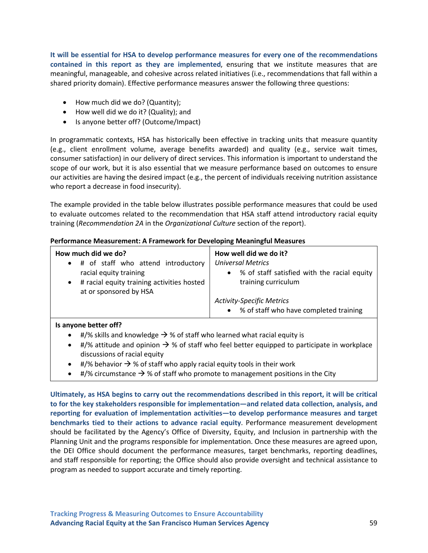**It will be essential for HSA to develop performance measures for every one of the recommendations contained in this report as they are implemented**, ensuring that we institute measures that are meaningful, manageable, and cohesive across related initiatives (i.e., recommendations that fall within a shared priority domain). Effective performance measures answer the following three questions:

- How much did we do? (Quantity);
- How well did we do it? (Quality); and
- Is anyone better off? (Outcome/Impact)

In programmatic contexts, HSA has historically been effective in tracking units that measure quantity (e.g., client enrollment volume, average benefits awarded) and quality (e.g., service wait times, consumer satisfaction) in our delivery of direct services. This information is important to understand the scope of our work, but it is also essential that we measure performance based on outcomes to ensure our activities are having the desired impact (e.g., the percent of individuals receiving nutrition assistance who report a decrease in food insecurity).

The example provided in the table below illustrates possible performance measures that could be used to evaluate outcomes related to the recommendation that HSA staff attend introductory racial equity training (*Recommendation 2A* in the *Organizational Culture* section of the report).

#### **Performance Measurement: A Framework for Developing Meaningful Measures**

#### **Is anyone better off?**

- #/% skills and knowledge  $\rightarrow$  % of staff who learned what racial equity is
- #/% attitude and opinion  $\rightarrow$  % of staff who feel better equipped to participate in workplace discussions of racial equity
- #/% behavior  $\rightarrow$  % of staff who apply racial equity tools in their work
- $\bullet$  #/% circumstance  $\rightarrow$  % of staff who promote to management positions in the City

**Ultimately, as HSA begins to carry out the recommendations described in this report, it will be critical to for the key stakeholders responsible for implementation—and related data collection, analysis, and reporting for evaluation of implementation activities—to develop performance measures and target benchmarks tied to their actions to advance racial equity**. Performance measurement development should be facilitated by the Agency's Office of Diversity, Equity, and Inclusion in partnership with the Planning Unit and the programs responsible for implementation. Once these measures are agreed upon, the DEI Office should document the performance measures, target benchmarks, reporting deadlines, and staff responsible for reporting; the Office should also provide oversight and technical assistance to program as needed to support accurate and timely reporting.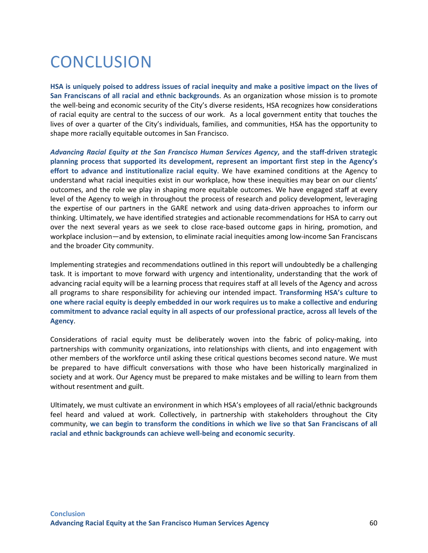## **CONCLUSION**

**HSA is uniquely poised to address issues of racial inequity and make a positive impact on the lives of San Franciscans of all racial and ethnic backgrounds**. As an organization whose mission is to promote the well-being and economic security of the City's diverse residents, HSA recognizes how considerations of racial equity are central to the success of our work. As a local government entity that touches the lives of over a quarter of the City's individuals, families, and communities, HSA has the opportunity to shape more racially equitable outcomes in San Francisco.

*Advancing Racial Equity at the San Francisco Human Services Agency***, and the staff-driven strategic planning process that supported its development, represent an important first step in the Agency's effort to advance and institutionalize racial equity**. We have examined conditions at the Agency to understand what racial inequities exist in our workplace, how these inequities may bear on our clients' outcomes, and the role we play in shaping more equitable outcomes. We have engaged staff at every level of the Agency to weigh in throughout the process of research and policy development, leveraging the expertise of our partners in the GARE network and using data-driven approaches to inform our thinking. Ultimately, we have identified strategies and actionable recommendations for HSA to carry out over the next several years as we seek to close race-based outcome gaps in hiring, promotion, and workplace inclusion—and by extension, to eliminate racial inequities among low-income San Franciscans and the broader City community.

Implementing strategies and recommendations outlined in this report will undoubtedly be a challenging task. It is important to move forward with urgency and intentionality, understanding that the work of advancing racial equity will be a learning process that requires staff at all levels of the Agency and across all programs to share responsibility for achieving our intended impact. **Transforming HSA's culture to one where racial equity is deeply embedded in our work requires us to make a collective and enduring commitment to advance racial equity in all aspects of our professional practice, across all levels of the Agency**.

Considerations of racial equity must be deliberately woven into the fabric of policy-making, into partnerships with community organizations, into relationships with clients, and into engagement with other members of the workforce until asking these critical questions becomes second nature. We must be prepared to have difficult conversations with those who have been historically marginalized in society and at work. Our Agency must be prepared to make mistakes and be willing to learn from them without resentment and guilt.

Ultimately, we must cultivate an environment in which HSA's employees of all racial/ethnic backgrounds feel heard and valued at work. Collectively, in partnership with stakeholders throughout the City community, **we can begin to transform the conditions in which we live so that San Franciscans of all racial and ethnic backgrounds can achieve well-being and economic security**.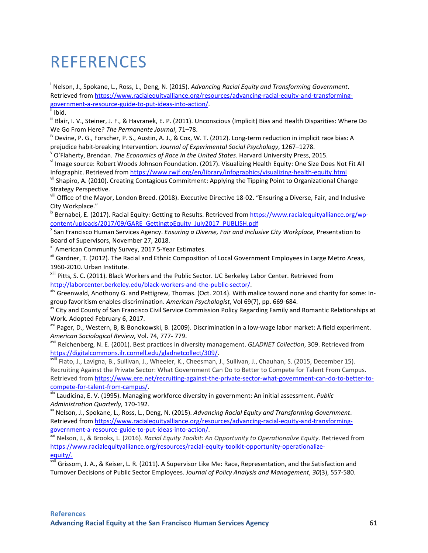## REFERENCES

 i Nelson, J., Spokane, L., Ross, L., Deng, N. (2015). *Advancing Racial Equity and Transforming Government*. Retrieved fro[m https://www.racialequityalliance.org/resources/advancing-racial-equity-and-transforming](https://www.racialequityalliance.org/resources/advancing-racial-equity-and-transforming-government-a-resource-guide-to-put-ideas-into-action/)[government-a-resource-guide-to-put-ideas-into-action/.](https://www.racialequityalliance.org/resources/advancing-racial-equity-and-transforming-government-a-resource-guide-to-put-ideas-into-action/)<br><sup>ii</sup> Ibid.

iii Blair, I. V., Steiner, J. F., & Havranek, E. P. (2011). Unconscious (Implicit) Bias and Health Disparities: Where Do

We Go From Here? *The Permanente Journal*, 71–78.<br><sup>iv</sup> Devine, P. G., Forscher, P. S., Austin, A. J., & Cox, W. T. (2012). Long-term reduction in implicit race bias: A

prejudice habit-breaking Intervention. Journal of Experimental Social Psychology, 1267–1278.<br><sup>V</sup> O'Flaherty, Brendan. *The Economics of Race in the United States*. Harvard University Press, 2015.<br><sup>Vi</sup> Image source: Robert Infographic. Retrieved fro[m https://www.rwjf.org/en/library/infographics/visualizing-health-equity.html](https://www.rwjf.org/en/library/infographics/visualizing-health-equity.html) vii Shapiro, A. (2010). Creating Contagious Commitment: Applying the Tipping Point to Organizational Change

Strategy Perspective.

viii Office of the Mayor, London Breed. (2018). Executive Directive 18-02. "Ensuring a Diverse, Fair, and Inclusive City Workplace."

<sup>ix</sup> Bernabei, E. (2017). Racial Equity: Getting to Results. Retrieved from [https://www.racialequityalliance.org/wp](https://www.racialequityalliance.org/wp-content/uploads/2017/09/GARE_GettingtoEquity_July2017_PUBLISH.pdf)[content/uploads/2017/09/GARE\\_GettingtoEquity\\_July2017\\_PUBLISH.pdf](https://www.racialequityalliance.org/wp-content/uploads/2017/09/GARE_GettingtoEquity_July2017_PUBLISH.pdf)

<sup>x</sup> San Francisco Human Services Agency. *Ensuring a Diverse, Fair and Inclusive City Workplace,* Presentation to Board of Supervisors, November 27, 2018.

xi American Community Survey, 2017 5-Year Estimates.

xii Gardner, T. (2012). The Racial and Ethnic Composition of Local Government Employees in Large Metro Areas, 1960-2010. Urban Institute.

xiii Pitts, S. C. (2011). Black Workers and the Public Sector. UC Berkeley Labor Center. Retrieved from

[http://laborcenter.berkeley.edu/black-workers-and-the-public-sector/.](http://laborcenter.berkeley.edu/black-workers-and-the-public-sector/)<br><sup>xiv</sup> Greenwald, Anothony G. and Pettigrew, Thomas. (Oct. 2014). With malice toward none and charity for some: In-<br>group favoritism enables discriminati

City and County of San Francisco Civil Service Commission Policy Regarding Family and Romantic Relationships at Work. Adopted February 6, 2017.

<sup>xvi</sup> Pager, D., Western, B, & Bonokowski, B. (2009). Discrimination in a low-wage labor market: A field experiment.

*American Sociological Review*, Vol. 74, 777- 779.<br><sup>xvii</sup> Reichenberg, N. E. (2001). Best practices in diversity management. *GLADNET Collection*, 309. Retrieved from<br>https://digitalcommons.ilr.cornell.edu/gladnetcollect/3

<sup>xviii</sup> Flato, J., Lavigna, B., Sullivan, J., Wheeler, K., Cheesman, J., Sullivan, J., Chauhan, S. (2015, December 15). Recruiting Against the Private Sector: What Government Can Do to Better to Compete for Talent From Campus. Retrieved fro[m https://www.ere.net/recruiting-against-the-private-sector-what-government-can-do-to-better-to](https://www.ere.net/recruiting-against-the-private-sector-what-government-can-do-to-better-to-compete-for-talent-from-campus/)[compete-for-talent-from-campus/.](https://www.ere.net/recruiting-against-the-private-sector-what-government-can-do-to-better-to-compete-for-talent-from-campus/) xix Laudicina, E. V. (1995). Managing workforce diversity in government: An initial assessment. *Public* 

Administration Quarterly, 170-192.<br><sup>xx</sup> Nelson, J., Spokane, L., Ross, L., Deng, N. (2015). *Advancing Racial Equity and Transforming Government.* 

Retrieved fro[m https://www.racialequityalliance.org/resources/advancing-racial-equity-and-transforming-](https://www.racialequityalliance.org/resources/advancing-racial-equity-and-transforming-government-a-resource-guide-to-put-ideas-into-action/)

[government-a-resource-guide-to-put-ideas-into-action/.](https://www.racialequityalliance.org/resources/advancing-racial-equity-and-transforming-government-a-resource-guide-to-put-ideas-into-action/)<br>xxi Nelson, J., & Brooks, L. (2016). *Racial Equity Toolkit: An Opportunity to Operationalize Equity*. Retrieved from https://www.racialequityalliance.org/resources/racial-equity-toolkit-opportunity-operationalizeequity/.<br><sup>xxii</sup> Grissom, J. A., & Keiser, L. R. (2011). A Supervisor Like Me: Race, Representation, and the Satisfaction and

Turnover Decisions of Public Sector Employees. *Journal of Policy Analysis and Management*, *30*(3), 557-580.